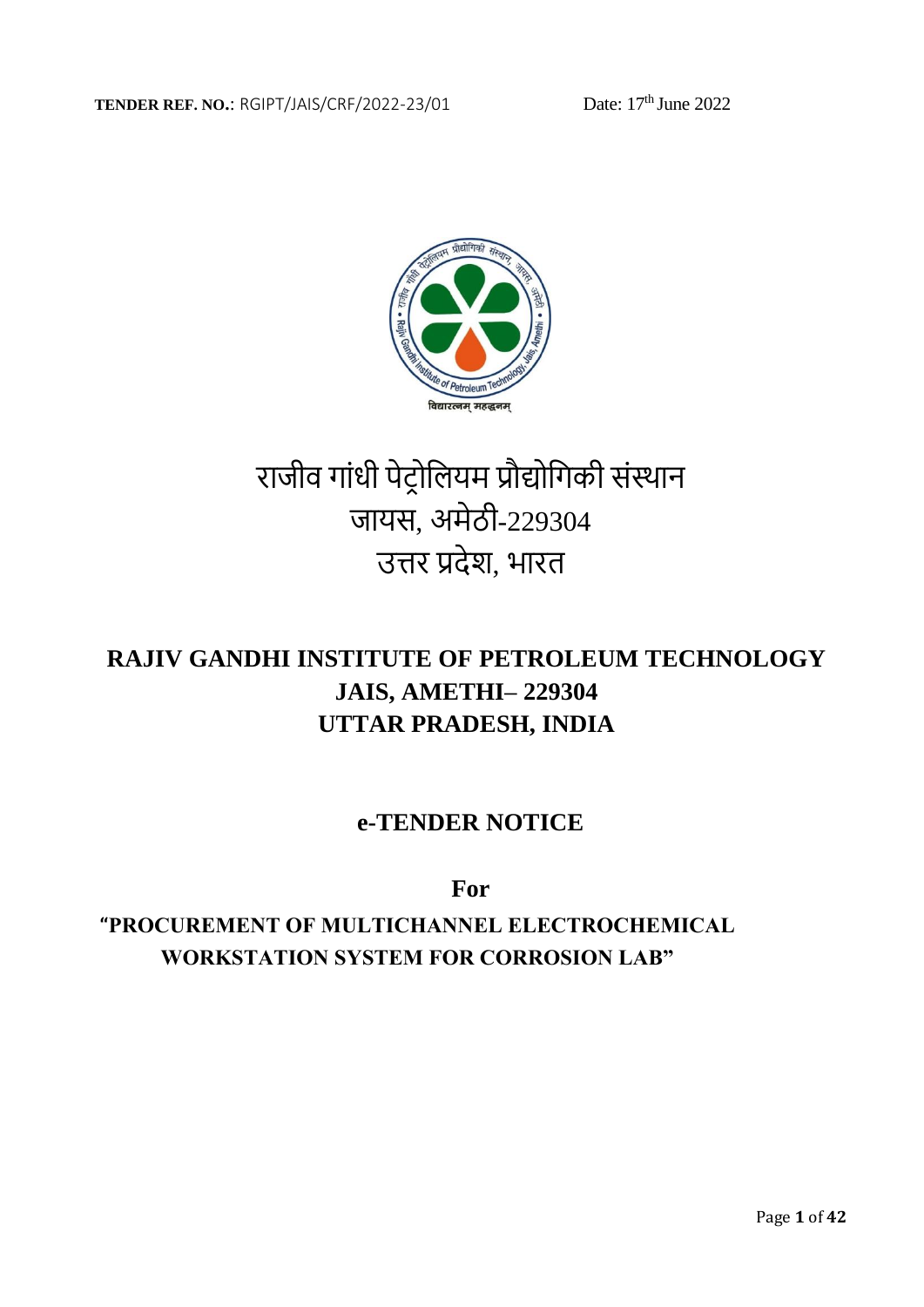

# राजीव गांधी पेट्रोलियम प्रौद्योगिकी संस्थान जायस, अमेठी-229304 उत्तर प्रदेश, भारत

# **RAJIV GANDHI INSTITUTE OF PETROLEUM TECHNOLOGY JAIS, AMETHI– 229304 UTTAR PRADESH, INDIA**

# **e-TENDER NOTICE**

**For** 

**"PROCUREMENT OF MULTICHANNEL ELECTROCHEMICAL WORKSTATION SYSTEM FOR CORROSION LAB"**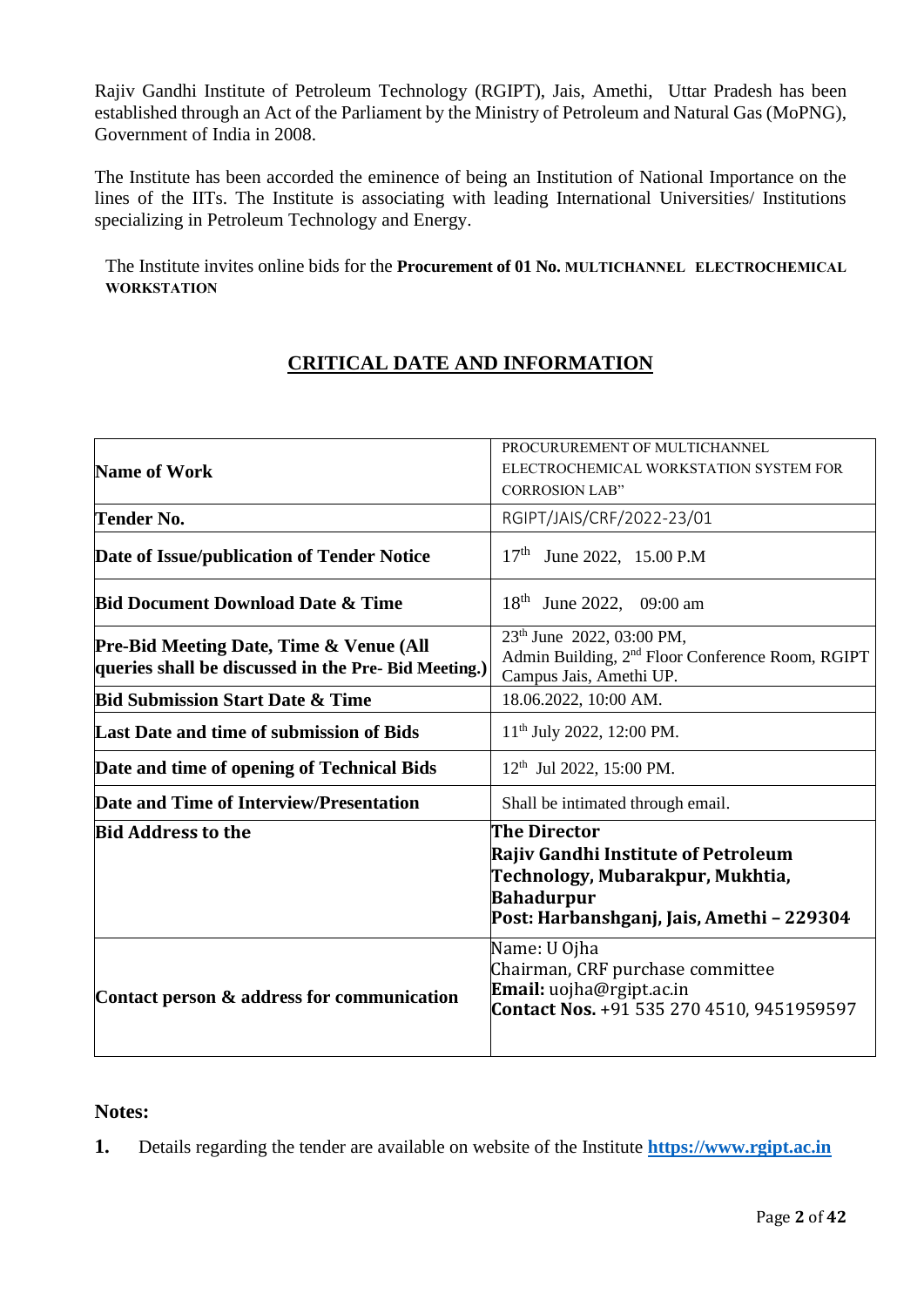Rajiv Gandhi Institute of Petroleum Technology (RGIPT), Jais, Amethi, Uttar Pradesh has been established through an Act of the Parliament by the Ministry of Petroleum and Natural Gas (MoPNG), Government of India in 2008.

The Institute has been accorded the eminence of being an Institution of National Importance on the lines of the IITs. The Institute is associating with leading International Universities/ Institutions specializing in Petroleum Technology and Energy.

The Institute invites online bids for the **Procurement of 01 No. MULTICHANNEL ELECTROCHEMICAL WORKSTATION**

# **CRITICAL DATE AND INFORMATION**

| <b>Name of Work</b>                                                                                        | PROCURUREMENT OF MULTICHANNEL<br>ELECTROCHEMICAL WORKSTATION SYSTEM FOR<br><b>CORROSION LAB"</b>                                                          |
|------------------------------------------------------------------------------------------------------------|-----------------------------------------------------------------------------------------------------------------------------------------------------------|
| Tender No.                                                                                                 | RGIPT/JAIS/CRF/2022-23/01                                                                                                                                 |
| Date of Issue/publication of Tender Notice                                                                 | 17 <sup>th</sup><br>June 2022, 15.00 P.M                                                                                                                  |
| <b>Bid Document Download Date &amp; Time</b>                                                               | 18 <sup>th</sup><br>June 2022, 09:00 am                                                                                                                   |
| <b>Pre-Bid Meeting Date, Time &amp; Venue (All</b><br>queries shall be discussed in the Pre- Bid Meeting.) | 23 <sup>th</sup> June 2022, 03:00 PM,<br>Admin Building, 2 <sup>nd</sup> Floor Conference Room, RGIPT<br>Campus Jais, Amethi UP.                          |
| <b>Bid Submission Start Date &amp; Time</b>                                                                | 18.06.2022, 10:00 AM.                                                                                                                                     |
| Last Date and time of submission of Bids                                                                   | $11th$ July 2022, 12:00 PM.                                                                                                                               |
| Date and time of opening of Technical Bids                                                                 | $12th$ Jul 2022, 15:00 PM.                                                                                                                                |
| Date and Time of Interview/Presentation                                                                    | Shall be intimated through email.                                                                                                                         |
| <b>Bid Address to the</b>                                                                                  | The Director<br>Rajiv Gandhi Institute of Petroleum<br>Technology, Mubarakpur, Mukhtia,<br><b>Bahadurpur</b><br>Post: Harbanshganj, Jais, Amethi - 229304 |
| Contact person & address for communication                                                                 | Name: U Ojha<br>Chairman, CRF purchase committee<br>Email: uojha@rgipt.ac.in<br>Contact Nos. +91 535 270 4510, 9451959597                                 |

#### **Notes:**

**1.** Details regarding the tender are available on website of the Institute **[https://www.rgipt.ac.in](https://www.rgipt.ac.in/)**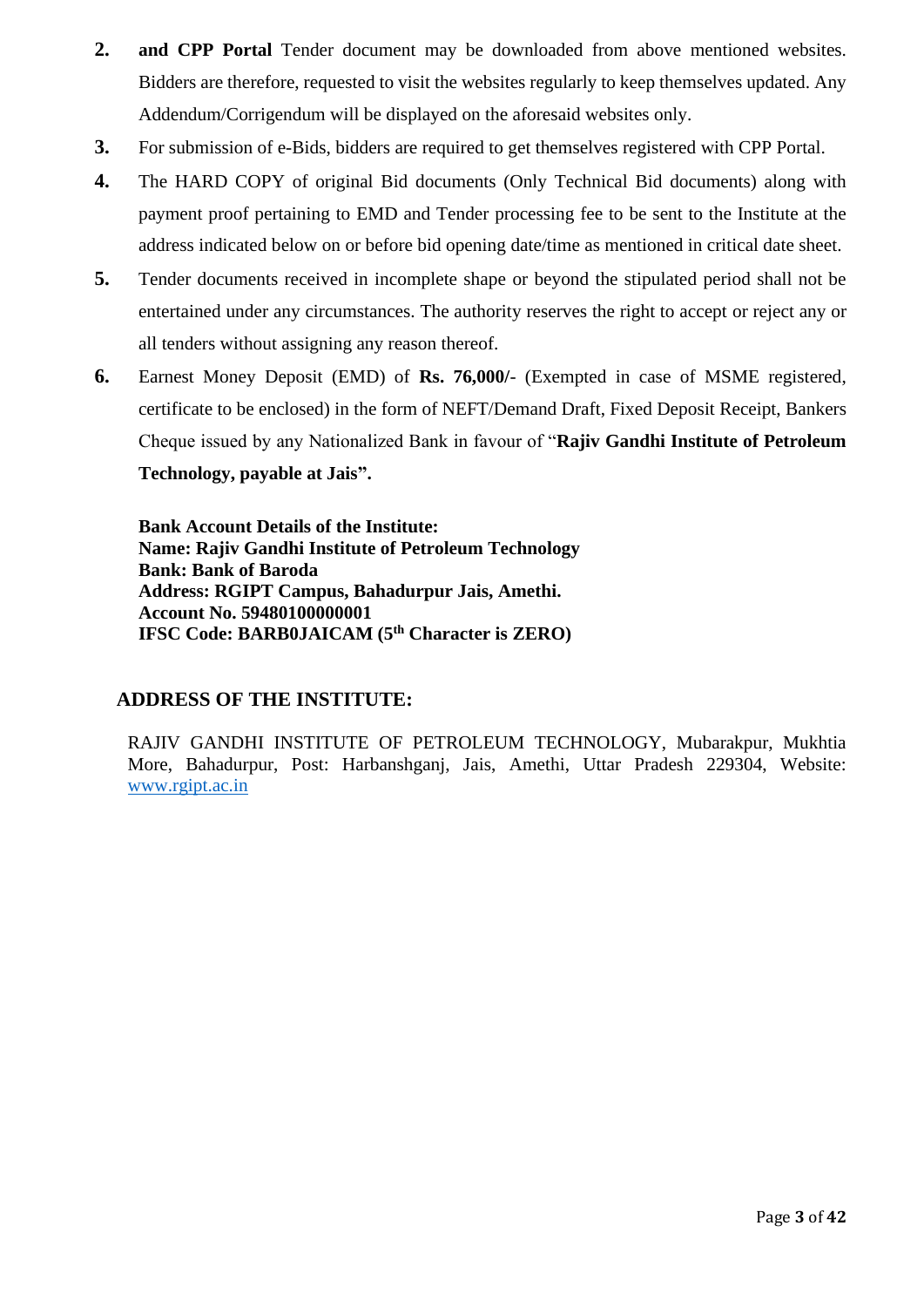- **2. and CPP Portal** Tender document may be downloaded from above mentioned websites. Bidders are therefore, requested to visit the websites regularly to keep themselves updated. Any Addendum/Corrigendum will be displayed on the aforesaid websites only.
- **3.** For submission of e-Bids, bidders are required to get themselves registered with CPP Portal.
- **4.** The HARD COPY of original Bid documents (Only Technical Bid documents) along with payment proof pertaining to EMD and Tender processing fee to be sent to the Institute at the address indicated below on or before bid opening date/time as mentioned in critical date sheet.
- **5.** Tender documents received in incomplete shape or beyond the stipulated period shall not be entertained under any circumstances. The authority reserves the right to accept or reject any or all tenders without assigning any reason thereof.
- **6.** Earnest Money Deposit (EMD) of **Rs. 76,000/** (Exempted in case of MSME registered, certificate to be enclosed) in the form of NEFT/Demand Draft, Fixed Deposit Receipt, Bankers Cheque issued by any Nationalized Bank in favour of "**Rajiv Gandhi Institute of Petroleum Technology, payable at Jais".**

**Bank Account Details of the Institute: Name: Rajiv Gandhi Institute of Petroleum Technology Bank: Bank of Baroda Address: RGIPT Campus, Bahadurpur Jais, Amethi. Account No. 59480100000001 IFSC Code: BARB0JAICAM (5th Character is ZERO)**

#### **ADDRESS OF THE INSTITUTE:**

RAJIV GANDHI INSTITUTE OF PETROLEUM TECHNOLOGY, Mubarakpur, Mukhtia More, Bahadurpur, Post: Harbanshganj, Jais, Amethi, Uttar Pradesh 229304, Website: [www.rgipt.ac.in](http://www.rgipt.ac.in/)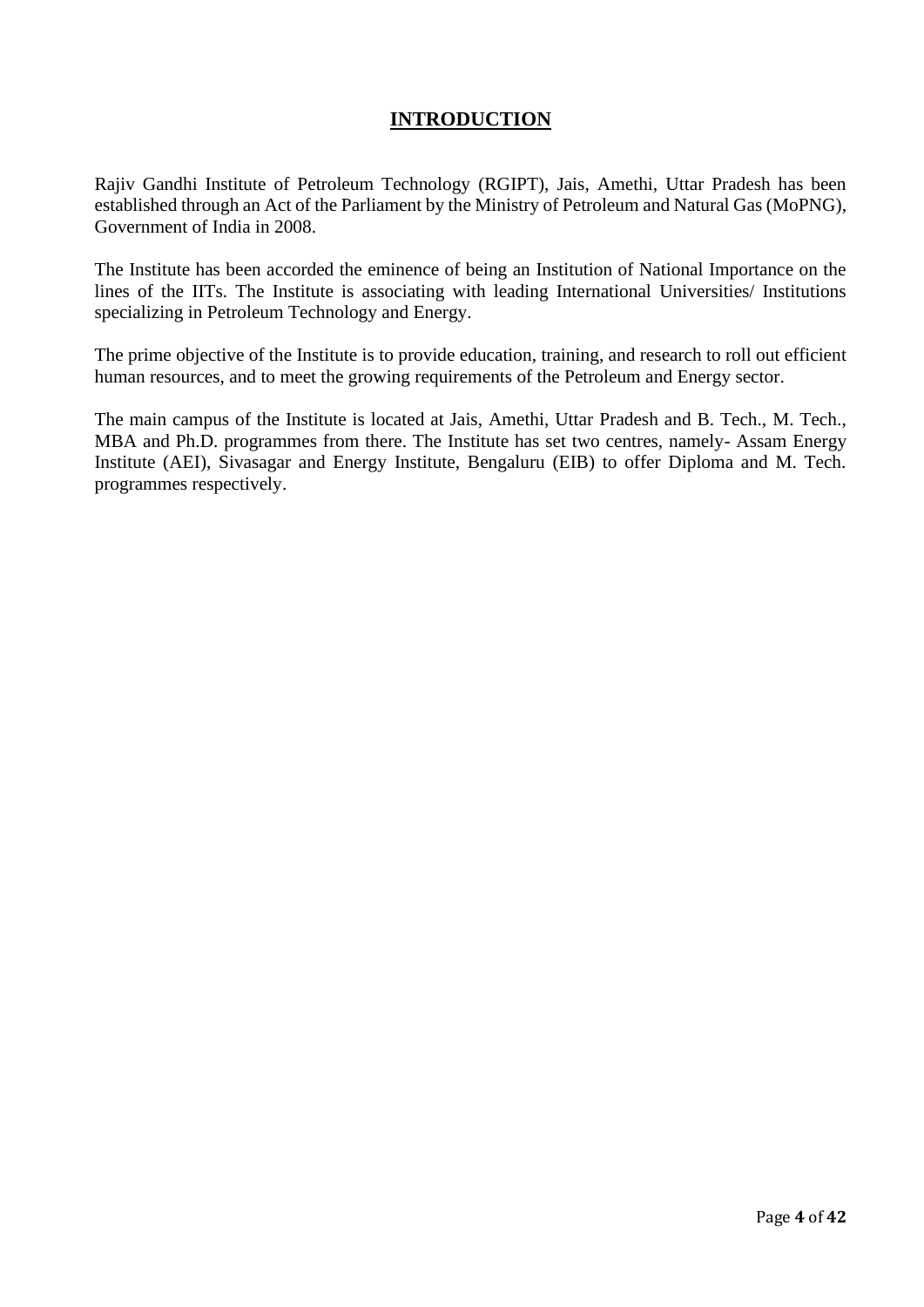# **INTRODUCTION**

Rajiv Gandhi Institute of Petroleum Technology (RGIPT), Jais, Amethi, Uttar Pradesh has been established through an Act of the Parliament by the Ministry of Petroleum and Natural Gas (MoPNG), Government of India in 2008.

The Institute has been accorded the eminence of being an Institution of National Importance on the lines of the IITs. The Institute is associating with leading International Universities/ Institutions specializing in Petroleum Technology and Energy.

The prime objective of the Institute is to provide education, training, and research to roll out efficient human resources, and to meet the growing requirements of the Petroleum and Energy sector.

The main campus of the Institute is located at Jais, Amethi, Uttar Pradesh and B. Tech., M. Tech., MBA and Ph.D. programmes from there. The Institute has set two centres, namely- Assam Energy Institute (AEI), Sivasagar and Energy Institute, Bengaluru (EIB) to offer Diploma and M. Tech. programmes respectively.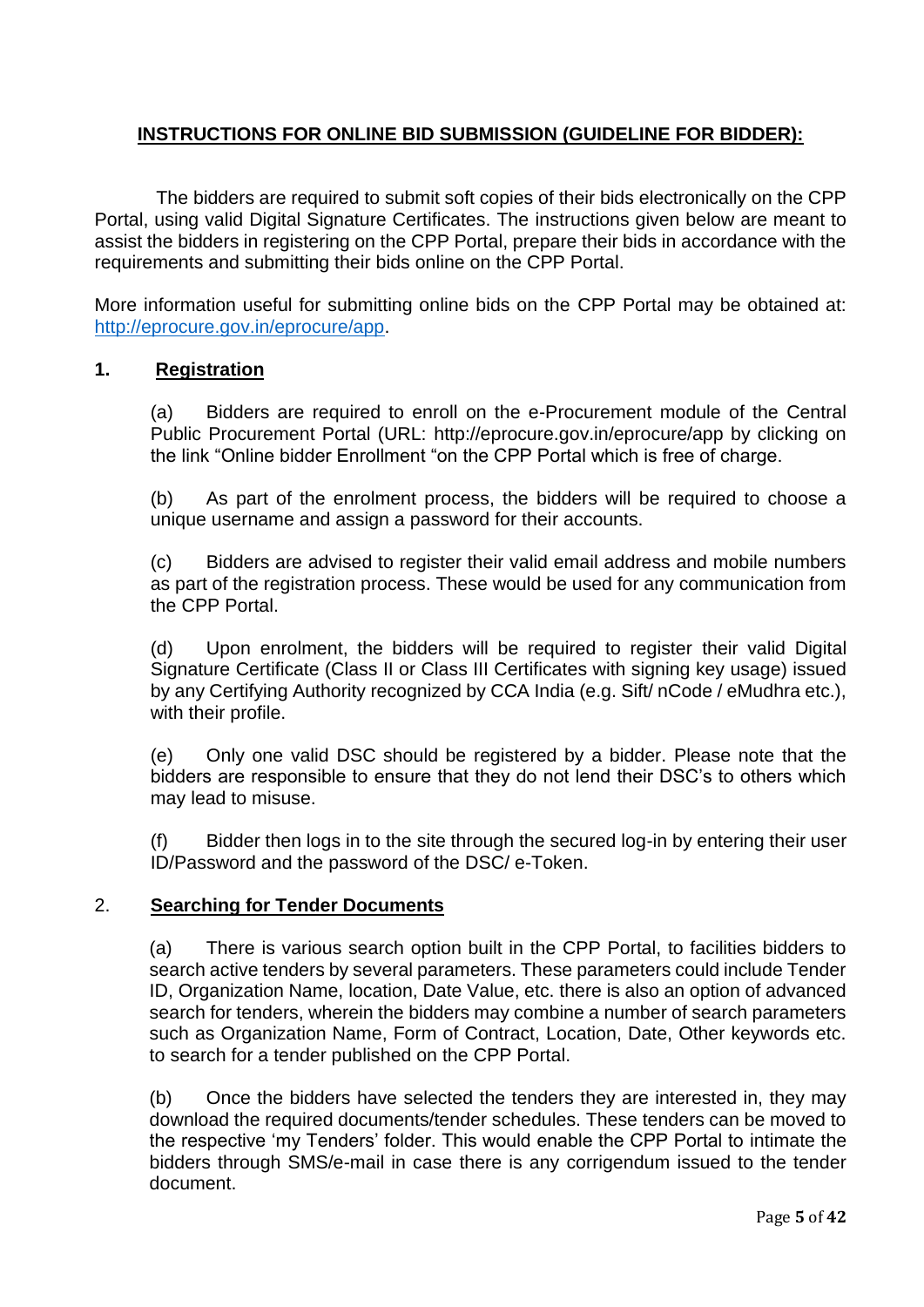# **INSTRUCTIONS FOR ONLINE BID SUBMISSION (GUIDELINE FOR BIDDER):**

The bidders are required to submit soft copies of their bids electronically on the CPP Portal, using valid Digital Signature Certificates. The instructions given below are meant to assist the bidders in registering on the CPP Portal, prepare their bids in accordance with the requirements and submitting their bids online on the CPP Portal.

More information useful for submitting online bids on the CPP Portal may be obtained at: [http://eprocure.gov.in/eprocure/app.](http://eprocure.gov.in/eprocure/app)

#### **1. Registration**

(a) Bidders are required to enroll on the e-Procurement module of the Central Public Procurement Portal (URL: http://eprocure.gov.in/eprocure/app by clicking on the link "Online bidder Enrollment "on the CPP Portal which is free of charge.

(b) As part of the enrolment process, the bidders will be required to choose a unique username and assign a password for their accounts.

(c) Bidders are advised to register their valid email address and mobile numbers as part of the registration process. These would be used for any communication from the CPP Portal.

(d) Upon enrolment, the bidders will be required to register their valid Digital Signature Certificate (Class II or Class III Certificates with signing key usage) issued by any Certifying Authority recognized by CCA India (e.g. Sift/ nCode / eMudhra etc.), with their profile.

(e) Only one valid DSC should be registered by a bidder. Please note that the bidders are responsible to ensure that they do not lend their DSC's to others which may lead to misuse.

(f) Bidder then logs in to the site through the secured log-in by entering their user ID/Password and the password of the DSC/ e-Token.

#### 2. **Searching for Tender Documents**

(a) There is various search option built in the CPP Portal, to facilities bidders to search active tenders by several parameters. These parameters could include Tender ID, Organization Name, location, Date Value, etc. there is also an option of advanced search for tenders, wherein the bidders may combine a number of search parameters such as Organization Name, Form of Contract, Location, Date, Other keywords etc. to search for a tender published on the CPP Portal.

(b) Once the bidders have selected the tenders they are interested in, they may download the required documents/tender schedules. These tenders can be moved to the respective 'my Tenders' folder. This would enable the CPP Portal to intimate the bidders through SMS/e-mail in case there is any corrigendum issued to the tender document.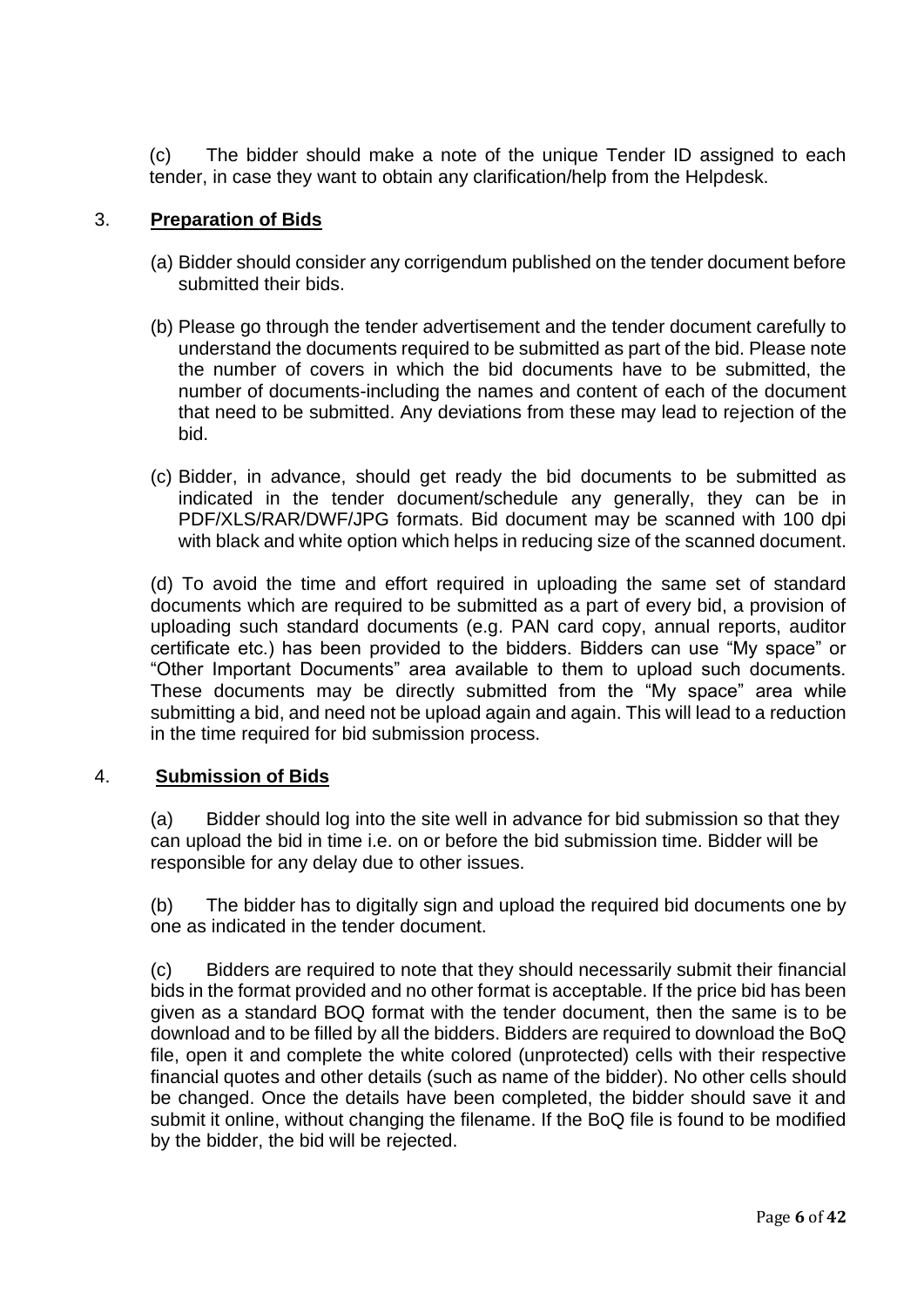(c) The bidder should make a note of the unique Tender ID assigned to each tender, in case they want to obtain any clarification/help from the Helpdesk.

### 3. **Preparation of Bids**

- (a) Bidder should consider any corrigendum published on the tender document before submitted their bids.
- (b) Please go through the tender advertisement and the tender document carefully to understand the documents required to be submitted as part of the bid. Please note the number of covers in which the bid documents have to be submitted, the number of documents-including the names and content of each of the document that need to be submitted. Any deviations from these may lead to rejection of the bid.
- (c) Bidder, in advance, should get ready the bid documents to be submitted as indicated in the tender document/schedule any generally, they can be in PDF/XLS/RAR/DWF/JPG formats. Bid document may be scanned with 100 dpi with black and white option which helps in reducing size of the scanned document.

(d) To avoid the time and effort required in uploading the same set of standard documents which are required to be submitted as a part of every bid, a provision of uploading such standard documents (e.g. PAN card copy, annual reports, auditor certificate etc.) has been provided to the bidders. Bidders can use "My space" or "Other Important Documents" area available to them to upload such documents. These documents may be directly submitted from the "My space" area while submitting a bid, and need not be upload again and again. This will lead to a reduction in the time required for bid submission process.

#### 4. **Submission of Bids**

(a) Bidder should log into the site well in advance for bid submission so that they can upload the bid in time i.e. on or before the bid submission time. Bidder will be responsible for any delay due to other issues.

(b) The bidder has to digitally sign and upload the required bid documents one by one as indicated in the tender document.

(c) Bidders are required to note that they should necessarily submit their financial bids in the format provided and no other format is acceptable. If the price bid has been given as a standard BOQ format with the tender document, then the same is to be download and to be filled by all the bidders. Bidders are required to download the BoQ file, open it and complete the white colored (unprotected) cells with their respective financial quotes and other details (such as name of the bidder). No other cells should be changed. Once the details have been completed, the bidder should save it and submit it online, without changing the filename. If the BoQ file is found to be modified by the bidder, the bid will be rejected.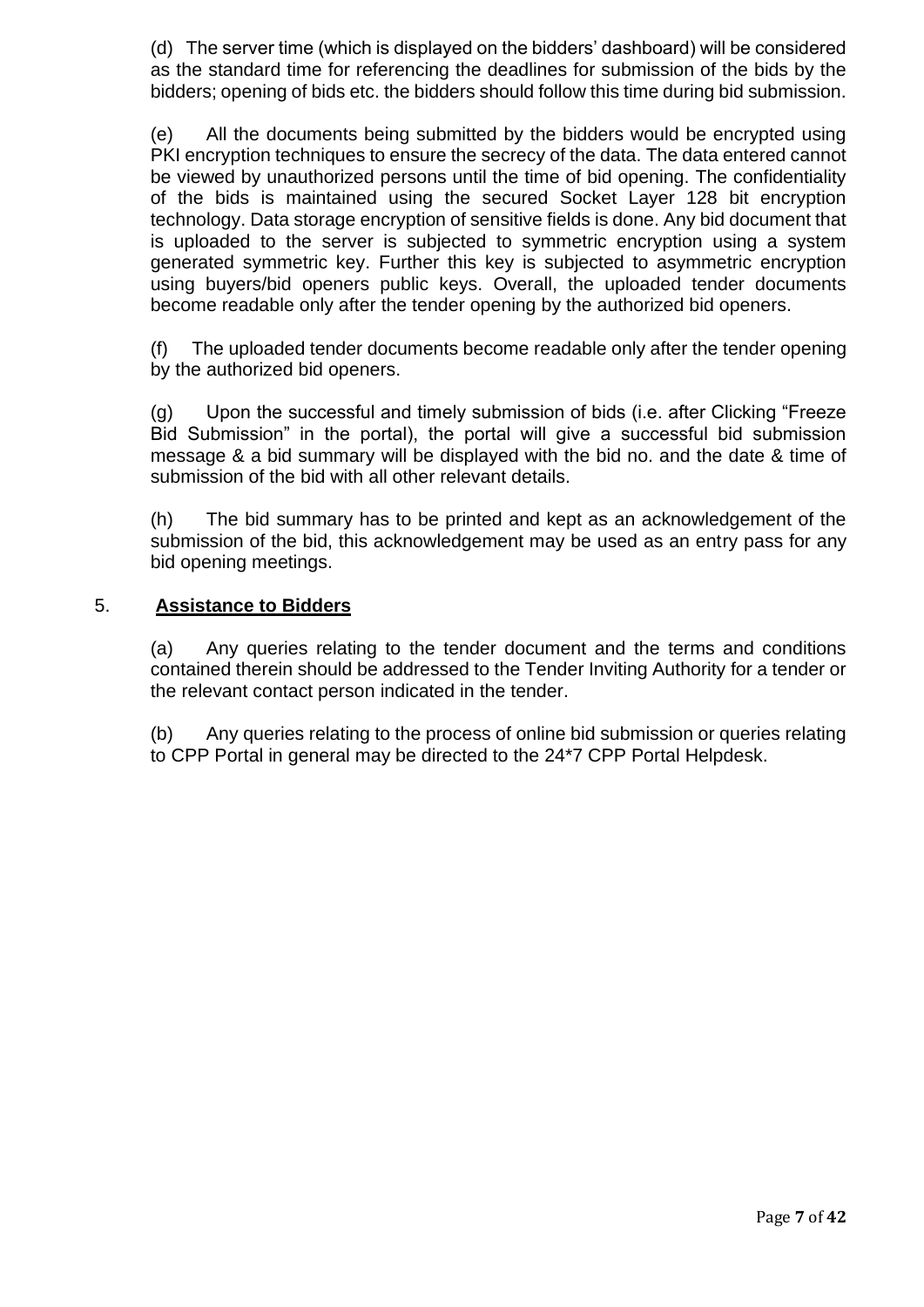(d) The server time (which is displayed on the bidders' dashboard) will be considered as the standard time for referencing the deadlines for submission of the bids by the bidders; opening of bids etc. the bidders should follow this time during bid submission.

(e) All the documents being submitted by the bidders would be encrypted using PKI encryption techniques to ensure the secrecy of the data. The data entered cannot be viewed by unauthorized persons until the time of bid opening. The confidentiality of the bids is maintained using the secured Socket Layer 128 bit encryption technology. Data storage encryption of sensitive fields is done. Any bid document that is uploaded to the server is subjected to symmetric encryption using a system generated symmetric key. Further this key is subjected to asymmetric encryption using buyers/bid openers public keys. Overall, the uploaded tender documents become readable only after the tender opening by the authorized bid openers.

(f) The uploaded tender documents become readable only after the tender opening by the authorized bid openers.

(g) Upon the successful and timely submission of bids (i.e. after Clicking "Freeze Bid Submission" in the portal), the portal will give a successful bid submission message & a bid summary will be displayed with the bid no. and the date & time of submission of the bid with all other relevant details.

(h) The bid summary has to be printed and kept as an acknowledgement of the submission of the bid, this acknowledgement may be used as an entry pass for any bid opening meetings.

#### 5. **Assistance to Bidders**

(a) Any queries relating to the tender document and the terms and conditions contained therein should be addressed to the Tender Inviting Authority for a tender or the relevant contact person indicated in the tender.

(b) Any queries relating to the process of online bid submission or queries relating to CPP Portal in general may be directed to the 24\*7 CPP Portal Helpdesk.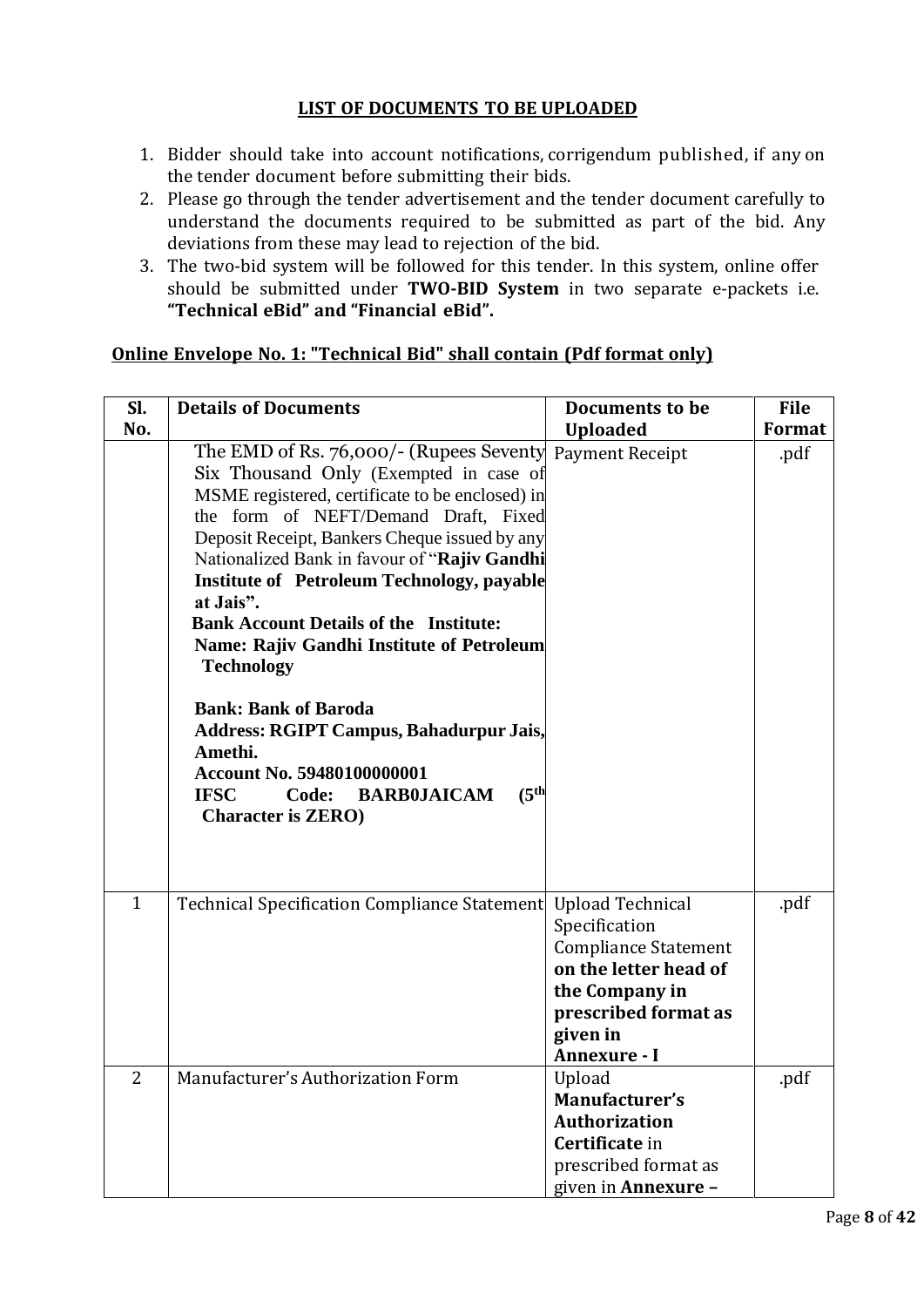# **LIST OF DOCUMENTS TO BE UPLOADED**

- 1. Bidder should take into account notifications, corrigendum published, if any on the tender document before submitting their bids.
- 2. Please go through the tender advertisement and the tender document carefully to understand the documents required to be submitted as part of the bid. Any deviations from these may lead to rejection of the bid.
- 3. The two-bid system will be followed for this tender. In this system, online offer should be submitted under **TWO‐BID System** in two separate e‐packets i.e. **"Technical eBid" and "Financial eBid".**

# **Online Envelope No. 1: "Technical Bid" shall contain (Pdf format only)**

| SI.<br>No.     | <b>Details of Documents</b>                                                                                                                                                                                                                                                                                                                                                                                                                                                                                                                                                                                                                                                                                          | <b>Documents to be</b><br><b>Uploaded</b>                                                                                                                              | <b>File</b><br>Format |
|----------------|----------------------------------------------------------------------------------------------------------------------------------------------------------------------------------------------------------------------------------------------------------------------------------------------------------------------------------------------------------------------------------------------------------------------------------------------------------------------------------------------------------------------------------------------------------------------------------------------------------------------------------------------------------------------------------------------------------------------|------------------------------------------------------------------------------------------------------------------------------------------------------------------------|-----------------------|
|                | The EMD of Rs. 76,000/- (Rupees Seventy Payment Receipt<br>Six Thousand Only (Exempted in case of<br>MSME registered, certificate to be enclosed) in<br>the form of NEFT/Demand Draft, Fixed<br>Deposit Receipt, Bankers Cheque issued by any<br>Nationalized Bank in favour of "Rajiv Gandhi<br><b>Institute of Petroleum Technology, payable</b><br>at Jais".<br><b>Bank Account Details of the Institute:</b><br><b>Name: Rajiv Gandhi Institute of Petroleum</b><br><b>Technology</b><br><b>Bank: Bank of Baroda</b><br><b>Address: RGIPT Campus, Bahadurpur Jais,</b><br>Amethi.<br>Account No. 59480100000001<br>(5 <sup>th</sup> )<br><b>IFSC</b><br><b>BARB0JAICAM</b><br>Code:<br><b>Character is ZERO)</b> |                                                                                                                                                                        | .pdf                  |
| $\mathbf{1}$   | Technical Specification Compliance Statement                                                                                                                                                                                                                                                                                                                                                                                                                                                                                                                                                                                                                                                                         | <b>Upload Technical</b><br>Specification<br><b>Compliance Statement</b><br>on the letter head of<br>the Company in<br>prescribed format as<br>given in<br>Annexure - I | .pdf                  |
| $\overline{2}$ | Manufacturer's Authorization Form                                                                                                                                                                                                                                                                                                                                                                                                                                                                                                                                                                                                                                                                                    | Upload<br>Manufacturer's<br><b>Authorization</b><br>Certificate in<br>prescribed format as<br>given in <b>Annexure</b> -                                               | .pdf                  |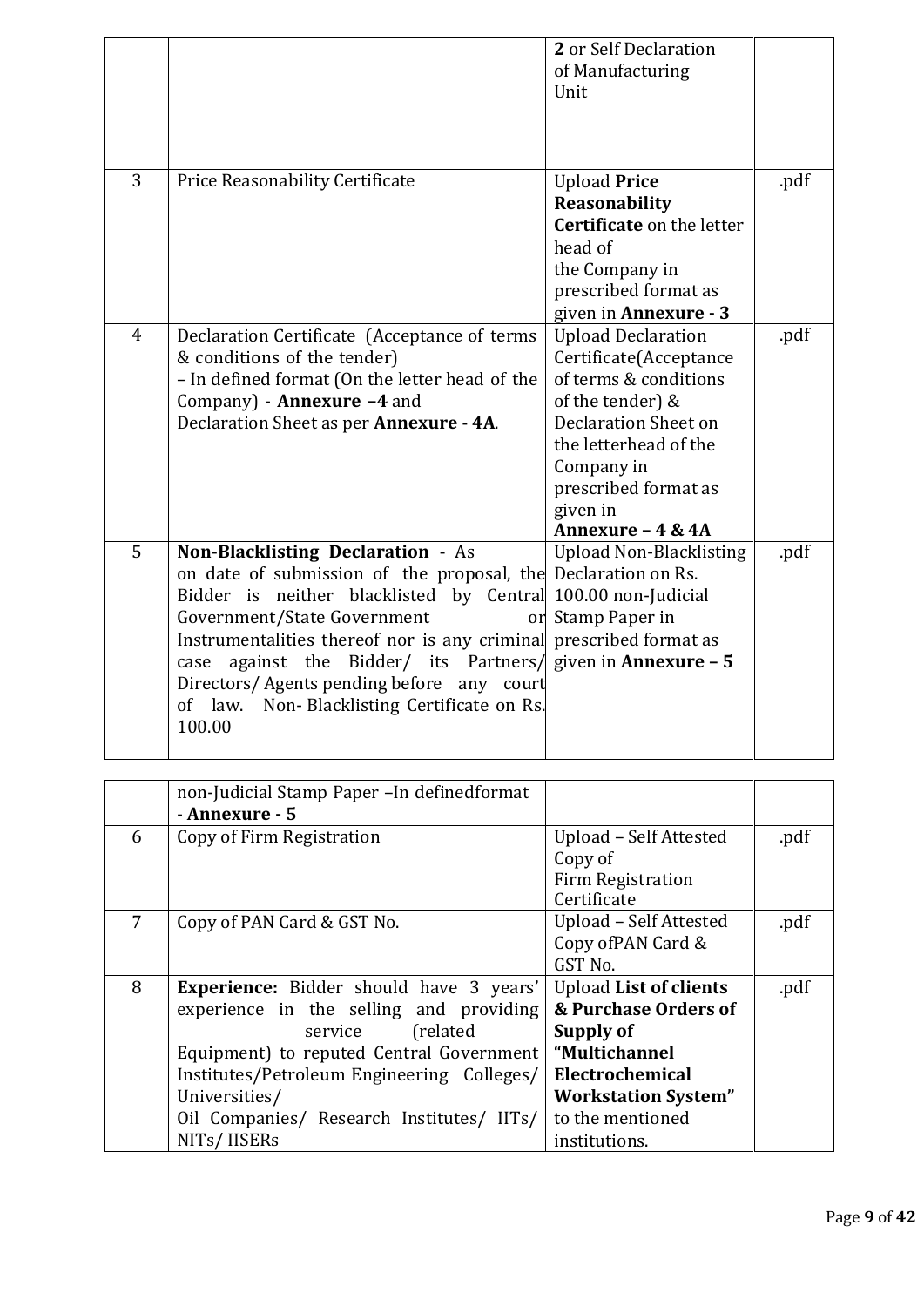|                |                                                                                                                                                                                                                                                                                                                                                                                                                                                               | 2 or Self Declaration<br>of Manufacturing<br>Unit                                                                                                                                                                        |      |
|----------------|---------------------------------------------------------------------------------------------------------------------------------------------------------------------------------------------------------------------------------------------------------------------------------------------------------------------------------------------------------------------------------------------------------------------------------------------------------------|--------------------------------------------------------------------------------------------------------------------------------------------------------------------------------------------------------------------------|------|
| 3              | Price Reasonability Certificate                                                                                                                                                                                                                                                                                                                                                                                                                               | <b>Upload Price</b><br>Reasonability<br><b>Certificate on the letter</b><br>head of<br>the Company in<br>prescribed format as<br>given in Annexure - 3                                                                   | .pdf |
| $\overline{4}$ | Declaration Certificate (Acceptance of terms<br>& conditions of the tender)<br>- In defined format (On the letter head of the<br>Company) - Annexure -4 and<br>Declaration Sheet as per Annexure - 4A.                                                                                                                                                                                                                                                        | <b>Upload Declaration</b><br>Certificate(Acceptance<br>of terms & conditions<br>of the tender) &<br>Declaration Sheet on<br>the letterhead of the<br>Company in<br>prescribed format as<br>given in<br>Annexure - 4 & 4A | .pdf |
| 5              | Non-Blacklisting Declaration - As<br>on date of submission of the proposal, the Declaration on Rs.<br>Bidder is neither blacklisted by Central 100.00 non-Judicial<br>Government/State Government<br>or<br>Instrumentalities thereof nor is any criminal prescribed format as<br>against the Bidder/ its Partners/ given in <b>Annexure - 5</b><br>case<br>Directors/Agents pending before any court<br>of law. Non-Blacklisting Certificate on Rs.<br>100.00 | <b>Upload Non-Blacklisting</b><br>Stamp Paper in                                                                                                                                                                         | .pdf |

|   | non-Judicial Stamp Paper - In definedformat    |                               |      |
|---|------------------------------------------------|-------------------------------|------|
|   | - Annexure - 5                                 |                               |      |
| 6 | Copy of Firm Registration                      | Upload - Self Attested        | .pdf |
|   |                                                | Copy of                       |      |
|   |                                                | <b>Firm Registration</b>      |      |
|   |                                                | Certificate                   |      |
| 7 | Copy of PAN Card & GST No.                     | Upload - Self Attested        | .pdf |
|   |                                                | Copy of PAN Card &            |      |
|   |                                                | GST No.                       |      |
| 8 | <b>Experience:</b> Bidder should have 3 years' | <b>Upload List of clients</b> | .pdf |
|   | experience in the selling and providing        | & Purchase Orders of          |      |
|   | (related)<br>service                           | Supply of                     |      |
|   | Equipment) to reputed Central Government       | "Multichannel                 |      |
|   | Institutes/Petroleum Engineering Colleges/     | Electrochemical               |      |
|   | Universities/                                  | <b>Workstation System"</b>    |      |
|   | Oil Companies/ Research Institutes/ IITs/      | to the mentioned              |      |
|   | NITs/IISERs                                    | institutions.                 |      |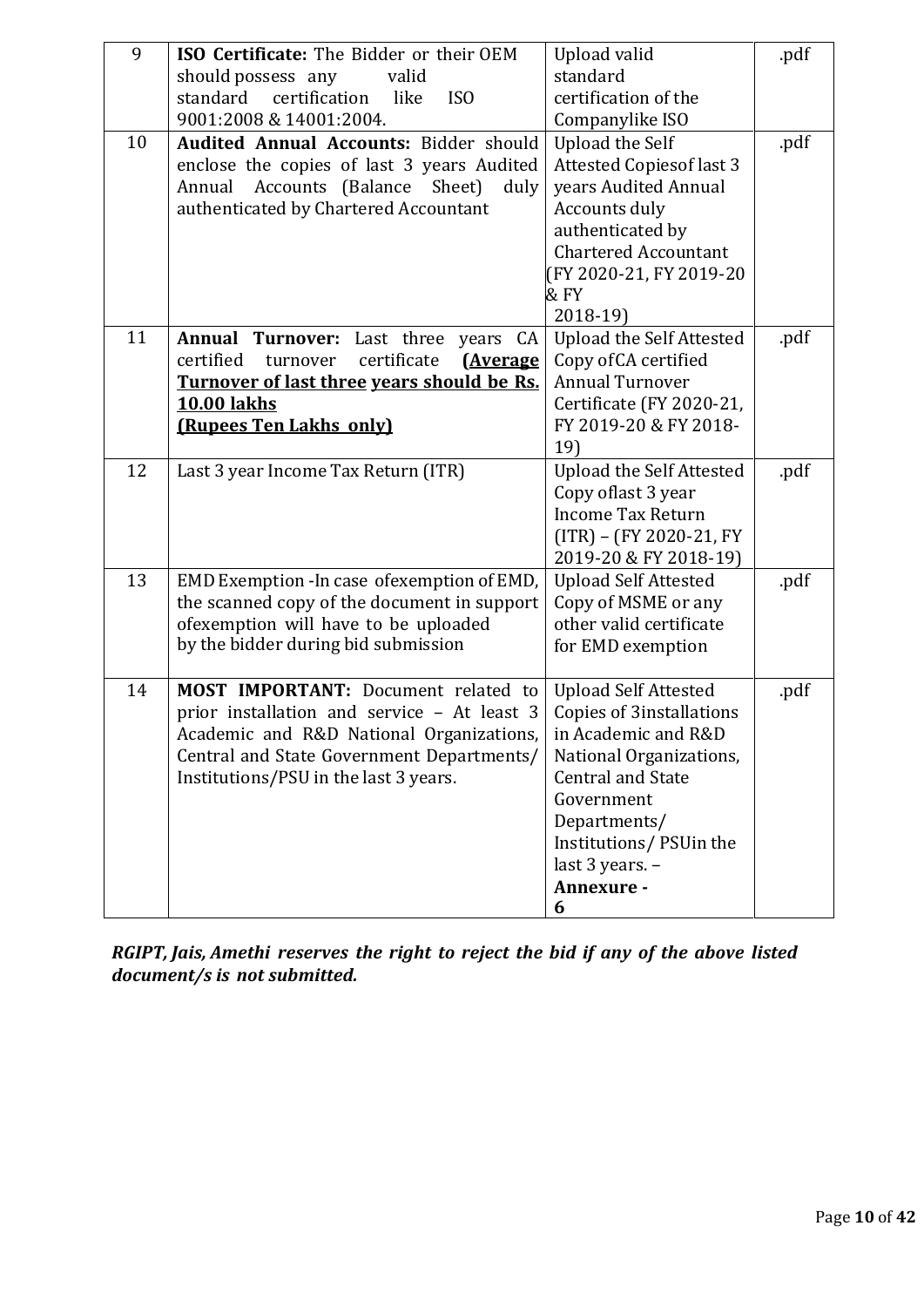| 9  | ISO Certificate: The Bidder or their OEM<br>should possess any<br>valid<br>certification<br>standard<br>like<br>IS <sub>0</sub><br>9001:2008 & 14001:2004.                                                                  | Upload valid<br>standard<br>certification of the<br>Companylike ISO                                                                                                                                                                        | .pdf |
|----|-----------------------------------------------------------------------------------------------------------------------------------------------------------------------------------------------------------------------------|--------------------------------------------------------------------------------------------------------------------------------------------------------------------------------------------------------------------------------------------|------|
| 10 | <b>Audited Annual Accounts: Bidder should</b><br>enclose the copies of last 3 years Audited<br>Accounts (Balance<br>Sheet)<br>Annual<br>duly<br>authenticated by Chartered Accountant                                       | <b>Upload the Self</b><br><b>Attested Copiesof last 3</b><br>years Audited Annual<br>Accounts duly<br>authenticated by<br><b>Chartered Accountant</b><br>(FY 2020-21, FY 2019-20<br>&FY<br>$2018-19$                                       | .pdf |
| 11 | <b>Annual Turnover:</b><br>Last three<br>years<br>CA<br>certified<br>certificate<br><u>(Average</u><br>turnover<br>Turnover of last three years should be Rs.<br><b>10.00 lakhs</b><br>(Rupees Ten Lakhs only)              | <b>Upload the Self Attested</b><br>Copy of CA certified<br><b>Annual Turnover</b><br>Certificate (FY 2020-21,<br>FY 2019-20 & FY 2018-<br>19)                                                                                              | .pdf |
| 12 | Last 3 year Income Tax Return (ITR)                                                                                                                                                                                         | <b>Upload the Self Attested</b><br>Copy oflast 3 year<br><b>Income Tax Return</b><br>(ITR) – (FY 2020-21, FY<br>2019-20 & FY 2018-19)                                                                                                      | .pdf |
| 13 | EMD Exemption - In case of exemption of EMD,<br>the scanned copy of the document in support<br>ofexemption will have to be uploaded<br>by the bidder during bid submission                                                  | <b>Upload Self Attested</b><br>Copy of MSME or any<br>other valid certificate<br>for EMD exemption                                                                                                                                         | .pdf |
| 14 | <b>MOST IMPORTANT:</b> Document related to<br>prior installation and service - At least 3<br>Academic and R&D National Organizations,<br>Central and State Government Departments/<br>Institutions/PSU in the last 3 years. | <b>Upload Self Attested</b><br><b>Copies of 3installations</b><br>in Academic and R&D<br>National Organizations,<br><b>Central and State</b><br>Government<br>Departments/<br>Institutions/PSUin the<br>last 3 years. -<br>Annexure -<br>6 | .pdf |

*RGIPT, Jais, Amethi reserves the right to reject the bid if any of the above listed document/s is not submitted.*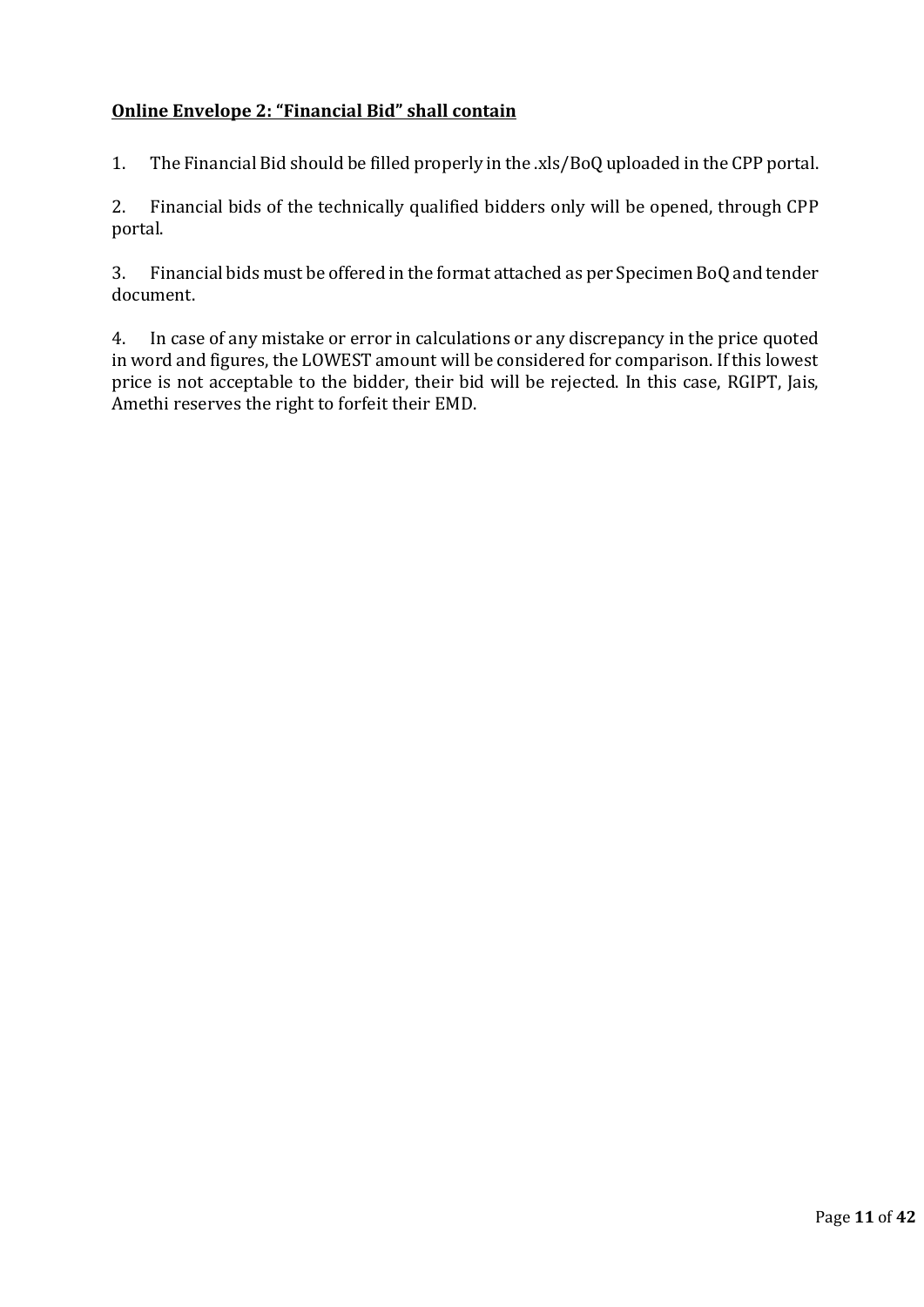# **Online Envelope 2: "Financial Bid" shall contain**

1. The Financial Bid should be filled properly in the .xls/BoQ uploaded in the CPP portal.

2. Financial bids of the technically qualified bidders only will be opened, through CPP portal.

3. Financial bids must be offered in the format attached as per Specimen BoQ and tender document.

4. In case of any mistake or error in calculations or any discrepancy in the price quoted in word and figures, the LOWEST amount will be considered for comparison. If this lowest price is not acceptable to the bidder, their bid will be rejected. In this case, RGIPT, Jais, Amethi reserves the right to forfeit their EMD.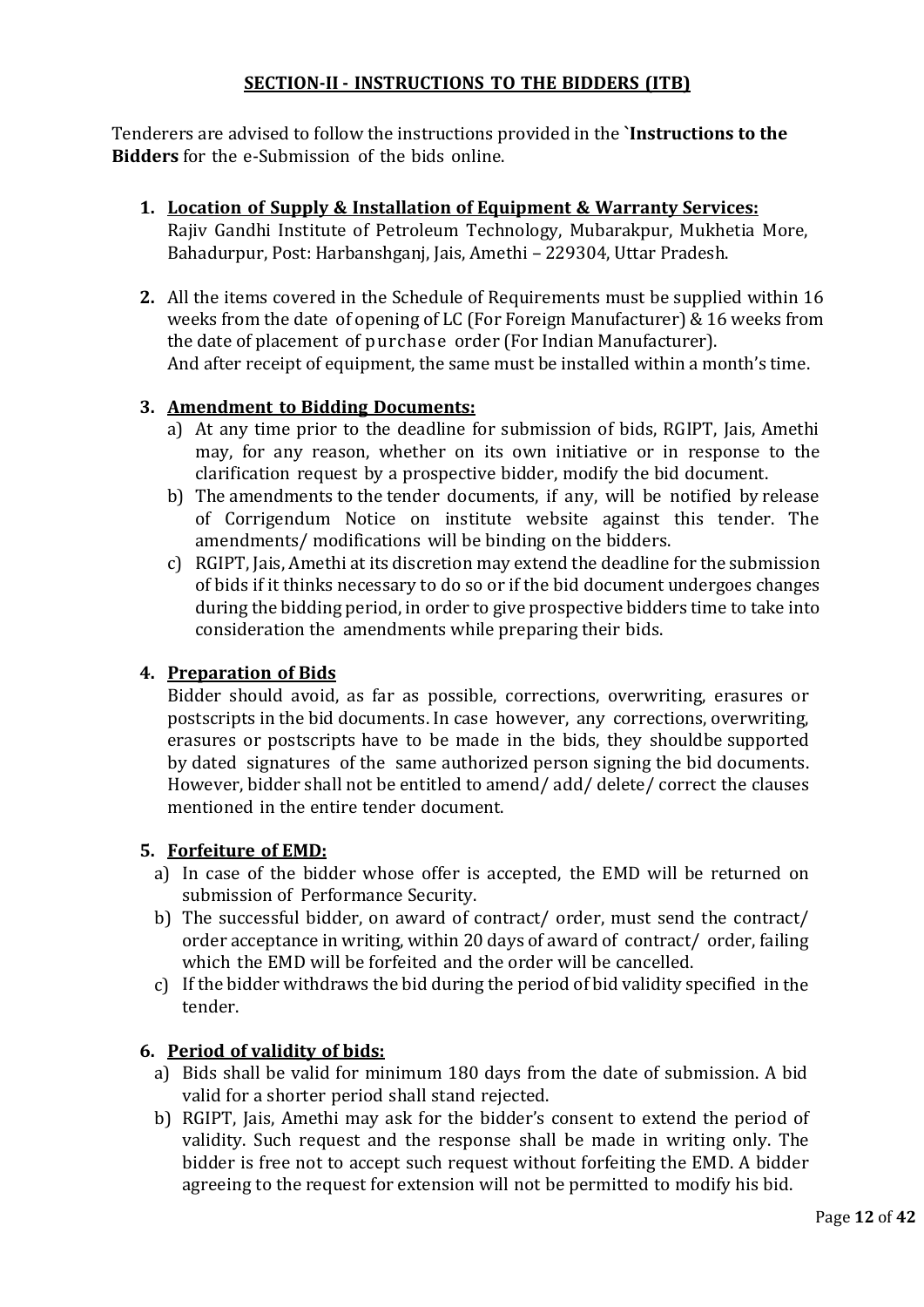# **SECTION‐II - INSTRUCTIONS TO THE BIDDERS (ITB)**

Tenderers are advised to follow the instructions provided in the **`Instructions to the Bidders** for the e‐Submission of the bids online.

- **1. Location of Supply & Installation of Equipment & Warranty Services:** Rajiv Gandhi Institute of Petroleum Technology, Mubarakpur, Mukhetia More, Bahadurpur, Post: Harbanshganj, Jais, Amethi – 229304, Uttar Pradesh.
- **2.** All the items covered in the Schedule of Requirements must be supplied within 16 weeks from the date of opening of LC (For Foreign Manufacturer) & 16 weeks from the date of placement of purchase order (For Indian Manufacturer). And after receipt of equipment, the same must be installed within a month's time.

# **3. Amendment to Bidding Documents:**

- a) At any time prior to the deadline for submission of bids, RGIPT, Jais, Amethi may, for any reason, whether on its own initiative or in response to the clarification request by a prospective bidder, modify the bid document.
- b) The amendments to the tender documents, if any, will be notified by release of Corrigendum Notice on institute website against this tender. The amendments/ modifications will be binding on the bidders.
- c) RGIPT, Jais, Amethi at its discretion may extend the deadline for the submission of bids if it thinks necessary to do so or if the bid document undergoes changes during the bidding period, in order to give prospective bidders time to take into consideration the amendments while preparing their bids.

#### **4. Preparation of Bids**

Bidder should avoid, as far as possible, corrections, overwriting, erasures or postscripts in the bid documents. In case however, any corrections, overwriting, erasures or postscripts have to be made in the bids, they shouldbe supported by dated signatures of the same authorized person signing the bid documents. However, bidder shall not be entitled to amend/ add/ delete/ correct the clauses mentioned in the entire tender document.

#### **5. Forfeiture of EMD:**

- a) In case of the bidder whose offer is accepted, the EMD will be returned on submission of Performance Security.
- b) The successful bidder, on award of contract/ order, must send the contract/ order acceptance in writing, within 20 days of award of contract/ order, failing which the EMD will be forfeited and the order will be cancelled.
- c) If the bidder withdraws the bid during the period of bid validity specified in the tender.

#### **6. Period of validity of bids:**

- a) Bids shall be valid for minimum 180 days from the date of submission. A bid valid for a shorter period shall stand rejected.
- b) RGIPT, Jais, Amethi may ask for the bidder's consent to extend the period of validity. Such request and the response shall be made in writing only. The bidder is free not to accept such request without forfeiting the EMD. A bidder agreeing to the request for extension will not be permitted to modify his bid.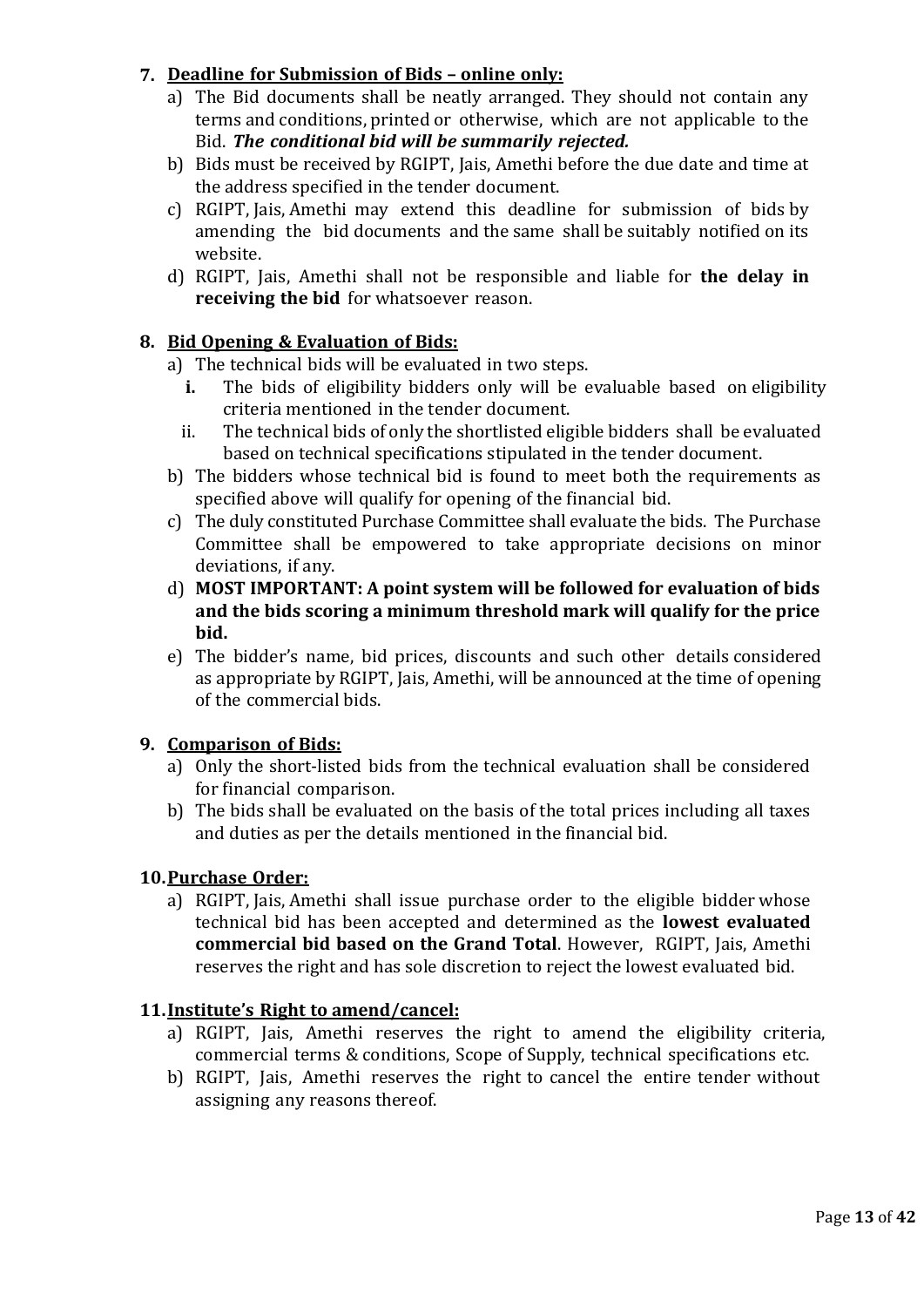# **7. Deadline for Submission of Bids – online only:**

- a) The Bid documents shall be neatly arranged. They should not contain any terms and conditions, printed or otherwise, which are not applicable to the Bid. *The conditional bid will be summarily rejected.*
- b) Bids must be received by RGIPT, Jais, Amethi before the due date and time at the address specified in the tender document.
- c) RGIPT, Jais, Amethi may extend this deadline for submission of bids by amending the bid documents and the same shall be suitably notified on its website.
- d) RGIPT, Jais, Amethi shall not be responsible and liable for **the delay in receiving the bid** for whatsoever reason.

# **8. Bid Opening & Evaluation of Bids:**

- a) The technical bids will be evaluated in two steps.
	- **i.** The bids of eligibility bidders only will be evaluable based on eligibility criteria mentioned in the tender document.
	- ii. The technical bids of only the shortlisted eligible bidders shall be evaluated based on technical specifications stipulated in the tender document.
- b) The bidders whose technical bid is found to meet both the requirements as specified above will qualify for opening of the financial bid.
- c) The duly constituted Purchase Committee shall evaluate the bids. The Purchase Committee shall be empowered to take appropriate decisions on minor deviations, if any.
- d) **MOST IMPORTANT: A point system will be followed for evaluation of bids and the bids scoring a minimum threshold mark will qualify for the price bid.**
- e) The bidder's name, bid prices, discounts and such other details considered as appropriate by RGIPT, Jais, Amethi, will be announced at the time of opening of the commercial bids.

# **9. Comparison of Bids:**

- a) Only the short‐listed bids from the technical evaluation shall be considered for financial comparison.
- b) The bids shall be evaluated on the basis of the total prices including all taxes and duties as per the details mentioned in the financial bid.

# **10.Purchase Order:**

a) RGIPT, Jais, Amethi shall issue purchase order to the eligible bidder whose technical bid has been accepted and determined as the **lowest evaluated commercial bid based on the Grand Total**. However, RGIPT, Jais, Amethi reserves the right and has sole discretion to reject the lowest evaluated bid.

# **11.Institute's Right to amend/cancel:**

- a) RGIPT, Jais, Amethi reserves the right to amend the eligibility criteria, commercial terms & conditions, Scope of Supply, technical specifications etc.
- b) RGIPT, Jais, Amethi reserves the right to cancel the entire tender without assigning any reasons thereof.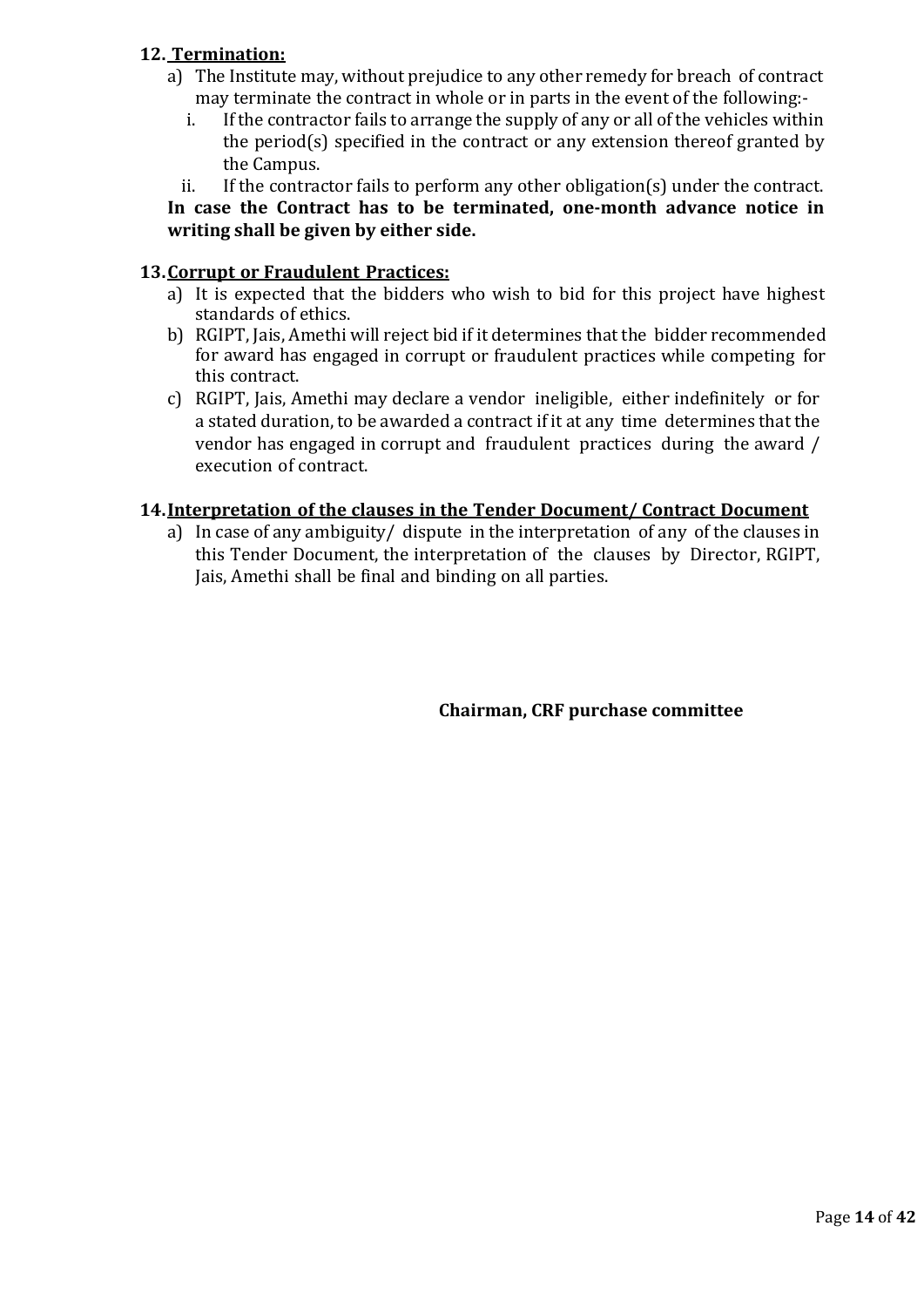# **12. Termination:**

- a) The Institute may, without prejudice to any other remedy for breach of contract may terminate the contract in whole or in parts in the event of the following:
	- i. If the contractor fails to arrange the supply of any or all of the vehicles within the period(s) specified in the contract or any extension thereof granted by the Campus.
	- ii. If the contractor fails to perform any other obligation(s) under the contract.

# **In case the Contract has to be terminated, one-month advance notice in writing shall be given by either side.**

### **13.Corrupt or Fraudulent Practices:**

- a) It is expected that the bidders who wish to bid for this project have highest standards of ethics.
- b) RGIPT, Jais, Amethi will reject bid if it determines that the bidder recommended for award has engaged in corrupt or fraudulent practices while competing for this contract.
- c) RGIPT, Jais, Amethi may declare a vendor ineligible, either indefinitely or for a stated duration, to be awarded a contract if it at any time determines that the vendor has engaged in corrupt and fraudulent practices during the award / execution of contract.

# **14.Interpretation of the clauses in the Tender Document/ Contract Document**

a) In case of any ambiguity/ dispute in the interpretation of any of the clauses in this Tender Document, the interpretation of the clauses by Director, RGIPT, Jais, Amethi shall be final and binding on all parties.

# **Chairman, CRF purchase committee**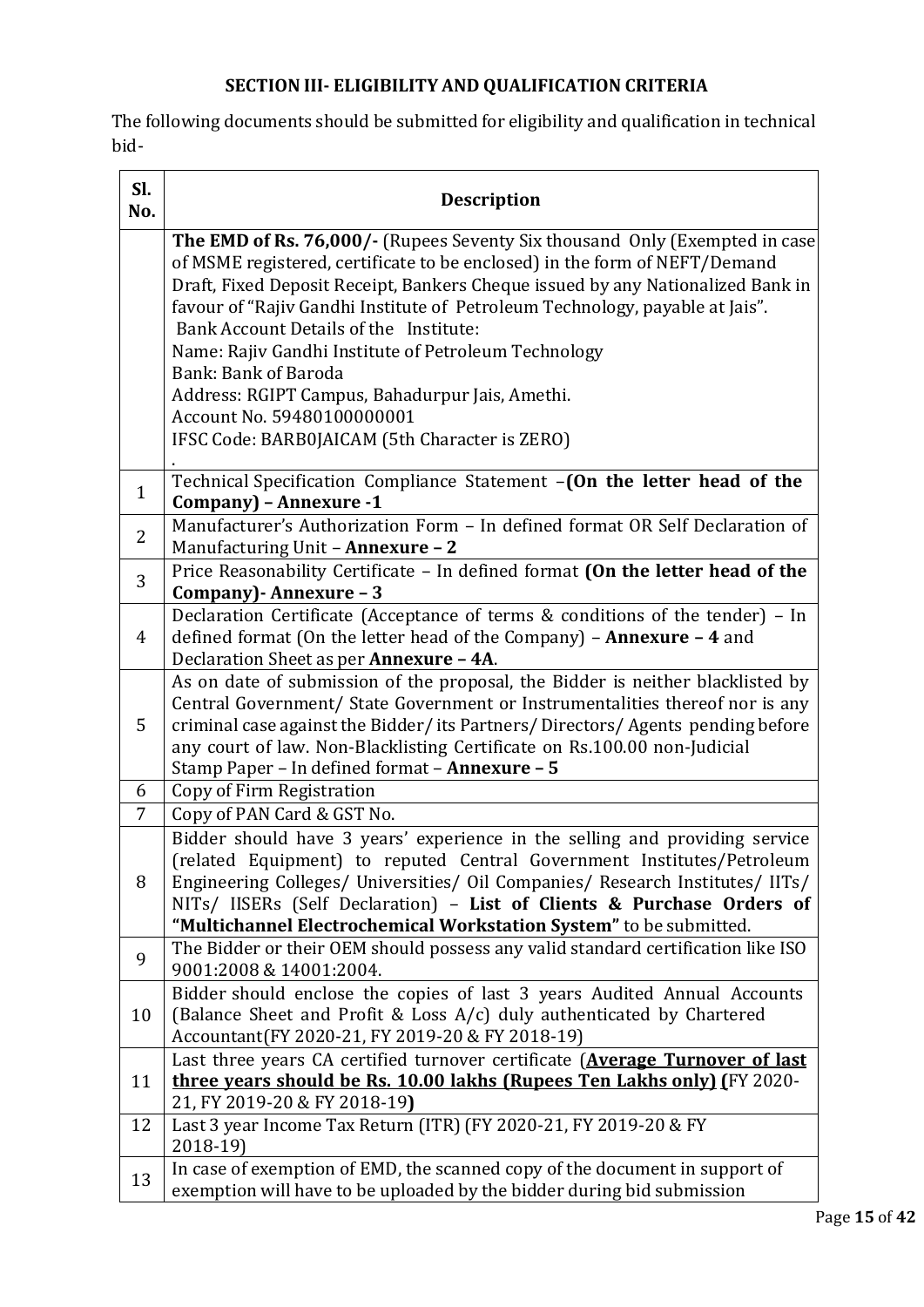# **SECTION III- ELIGIBILITY AND QUALIFICATION CRITERIA**

The following documents should be submitted for eligibility and qualification in technical bid-

| Sl.<br>No.     | <b>Description</b>                                                                                                                                                                                                                                                                                                                                                                                                                                                                                                                                                                               |
|----------------|--------------------------------------------------------------------------------------------------------------------------------------------------------------------------------------------------------------------------------------------------------------------------------------------------------------------------------------------------------------------------------------------------------------------------------------------------------------------------------------------------------------------------------------------------------------------------------------------------|
|                | <b>The EMD of Rs. 76,000/-</b> (Rupees Seventy Six thousand Only (Exempted in case<br>of MSME registered, certificate to be enclosed) in the form of NEFT/Demand<br>Draft, Fixed Deposit Receipt, Bankers Cheque issued by any Nationalized Bank in<br>favour of "Rajiv Gandhi Institute of Petroleum Technology, payable at Jais".<br>Bank Account Details of the Institute:<br>Name: Rajiv Gandhi Institute of Petroleum Technology<br>Bank: Bank of Baroda<br>Address: RGIPT Campus, Bahadurpur Jais, Amethi.<br>Account No. 59480100000001<br>IFSC Code: BARB0JAICAM (5th Character is ZERO) |
| $\mathbf{1}$   | Technical Specification Compliance Statement -(On the letter head of the<br>Company) - Annexure -1                                                                                                                                                                                                                                                                                                                                                                                                                                                                                               |
| $\overline{2}$ | Manufacturer's Authorization Form - In defined format OR Self Declaration of<br>Manufacturing Unit - Annexure - 2                                                                                                                                                                                                                                                                                                                                                                                                                                                                                |
| 3              | Price Reasonability Certificate - In defined format (On the letter head of the<br>Company) - Annexure - 3                                                                                                                                                                                                                                                                                                                                                                                                                                                                                        |
| 4              | Declaration Certificate (Acceptance of terms & conditions of the tender) - In<br>defined format (On the letter head of the Company) $-$ Annexure $-$ 4 and<br>Declaration Sheet as per Annexure - 4A.                                                                                                                                                                                                                                                                                                                                                                                            |
| 5              | As on date of submission of the proposal, the Bidder is neither blacklisted by<br>Central Government/ State Government or Instrumentalities thereof nor is any<br>criminal case against the Bidder/its Partners/Directors/Agents pending before<br>any court of law. Non-Blacklisting Certificate on Rs.100.00 non-Judicial<br>Stamp Paper - In defined format - Annexure - 5                                                                                                                                                                                                                    |
| 6              | Copy of Firm Registration                                                                                                                                                                                                                                                                                                                                                                                                                                                                                                                                                                        |
| 7              | Copy of PAN Card & GST No.                                                                                                                                                                                                                                                                                                                                                                                                                                                                                                                                                                       |
| 8              | Bidder should have 3 years' experience in the selling and providing service<br>(related Equipment) to reputed Central Government Institutes/Petroleum<br>Engineering Colleges/ Universities/ Oil Companies/ Research Institutes/ IITs/<br>NITs/ IISERs (Self Declaration) - List of Clients & Purchase Orders of<br>"Multichannel Electrochemical Workstation System" to be submitted.                                                                                                                                                                                                           |
| 9              | The Bidder or their OEM should possess any valid standard certification like ISO<br>9001:2008 & 14001:2004.                                                                                                                                                                                                                                                                                                                                                                                                                                                                                      |
| 10             | Bidder should enclose the copies of last 3 years Audited Annual Accounts<br>(Balance Sheet and Profit & Loss A/c) duly authenticated by Chartered<br>Accountant(FY 2020-21, FY 2019-20 & FY 2018-19)                                                                                                                                                                                                                                                                                                                                                                                             |
| 11             | Last three years CA certified turnover certificate ( <b>Average Turnover of last</b><br>three years should be Rs. 10.00 lakhs (Rupees Ten Lakhs only) (FY 2020-<br>21, FY 2019-20 & FY 2018-19)                                                                                                                                                                                                                                                                                                                                                                                                  |
| 12             | Last 3 year Income Tax Return (ITR) (FY 2020-21, FY 2019-20 & FY<br>2018-19)                                                                                                                                                                                                                                                                                                                                                                                                                                                                                                                     |
| 13             | In case of exemption of EMD, the scanned copy of the document in support of<br>exemption will have to be uploaded by the bidder during bid submission                                                                                                                                                                                                                                                                                                                                                                                                                                            |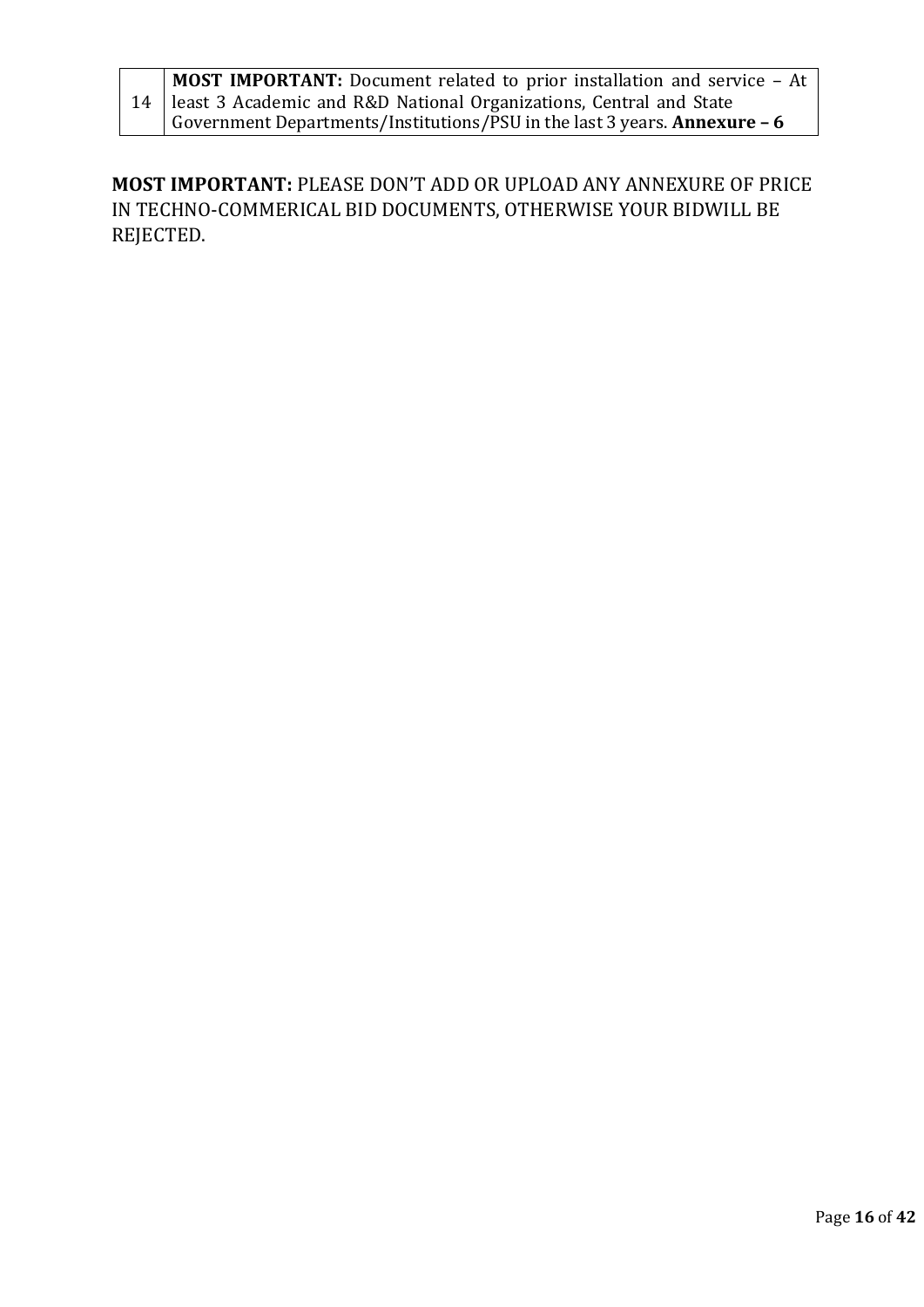| MOST IMPORTANT: Document related to prior installation and service - At    |
|----------------------------------------------------------------------------|
| 14   least 3 Academic and R&D National Organizations, Central and State    |
| Government Departments/Institutions/PSU in the last 3 years. Annexure $-6$ |

**MOST IMPORTANT:** PLEASE DON'T ADD OR UPLOAD ANY ANNEXURE OF PRICE IN TECHNO-COMMERICAL BID DOCUMENTS, OTHERWISE YOUR BIDWILL BE REJECTED.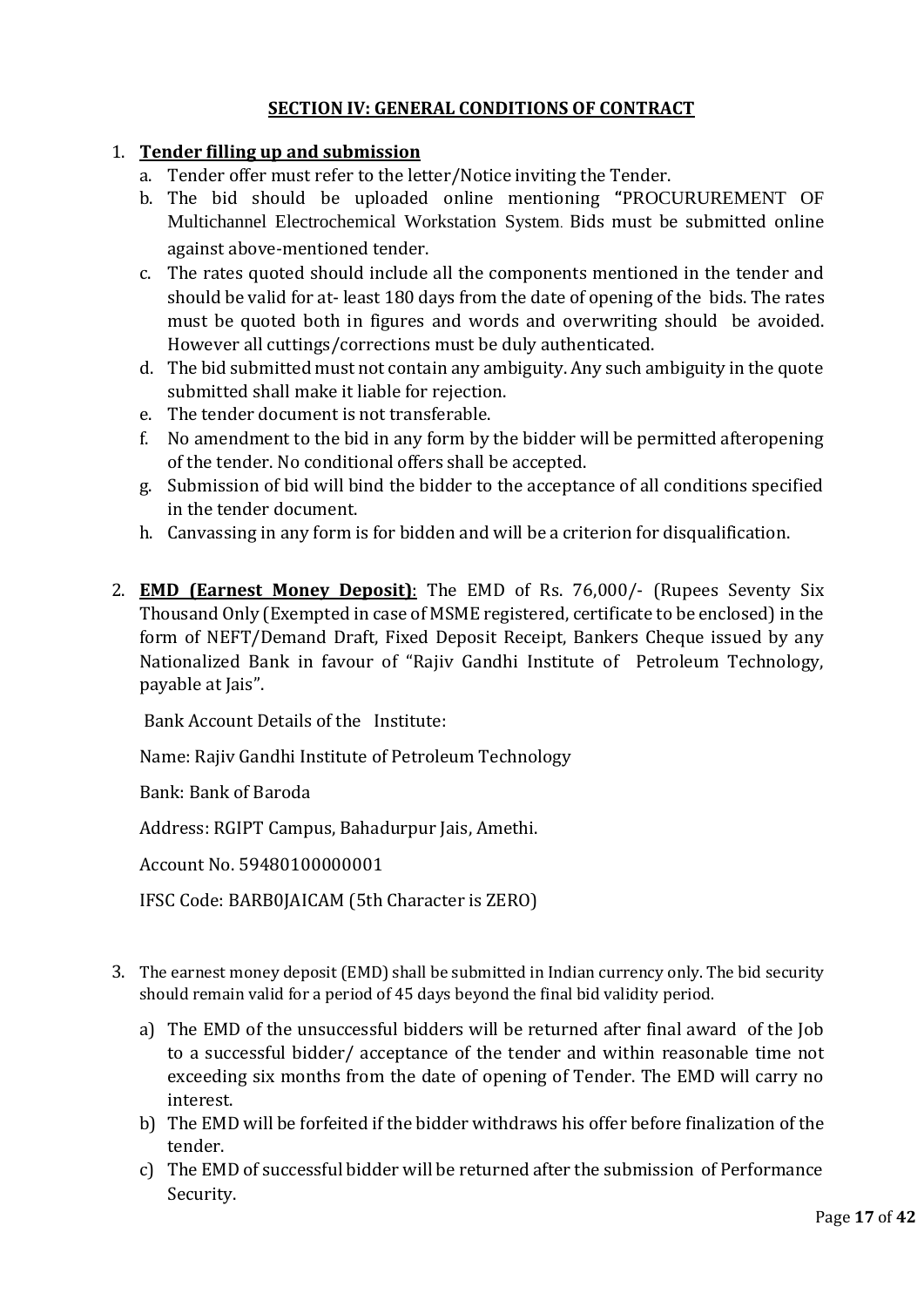# **SECTION IV: GENERAL CONDITIONS OF CONTRACT**

#### 1. **Tender filling up and submission**

- a. Tender offer must refer to the letter/Notice inviting the Tender.
- b. The bid should be uploaded online mentioning **"**PROCURUREMENT OF Multichannel Electrochemical Workstation System. Bids must be submitted online against above-mentioned tender.
- c. The rates quoted should include all the components mentioned in the tender and should be valid for at- least 180 days from the date of opening of the bids. The rates must be quoted both in figures and words and overwriting should be avoided. However all cuttings/corrections must be duly authenticated.
- d. The bid submitted must not contain any ambiguity. Any such ambiguity in the quote submitted shall make it liable for rejection.
- e. The tender document is not transferable.
- f. No amendment to the bid in any form by the bidder will be permitted afteropening of the tender. No conditional offers shall be accepted.
- g. Submission of bid will bind the bidder to the acceptance of all conditions specified in the tender document.
- h. Canvassing in any form is for bidden and will be a criterion for disqualification.
- 2. **EMD (Earnest Money Deposit)**: The EMD of Rs. 76,000/- (Rupees Seventy Six Thousand Only (Exempted in case of MSME registered, certificate to be enclosed) in the form of NEFT/Demand Draft, Fixed Deposit Receipt, Bankers Cheque issued by any Nationalized Bank in favour of "Rajiv Gandhi Institute of Petroleum Technology, payable at Jais".

Bank Account Details of the Institute:

Name: Rajiv Gandhi Institute of Petroleum Technology

Bank: Bank of Baroda

Address: RGIPT Campus, Bahadurpur Jais, Amethi.

Account No. 59480100000001

IFSC Code: BARB0JAICAM (5th Character is ZERO)

- 3. The earnest money deposit (EMD) shall be submitted in Indian currency only. The bid security should remain valid for a period of 45 days beyond the final bid validity period.
	- a) The EMD of the unsuccessful bidders will be returned after final award of the Job to a successful bidder/ acceptance of the tender and within reasonable time not exceeding six months from the date of opening of Tender. The EMD will carry no interest.
	- b) The EMD will be forfeited if the bidder withdraws his offer before finalization of the tender.
	- c) The EMD of successful bidder will be returned after the submission of Performance Security.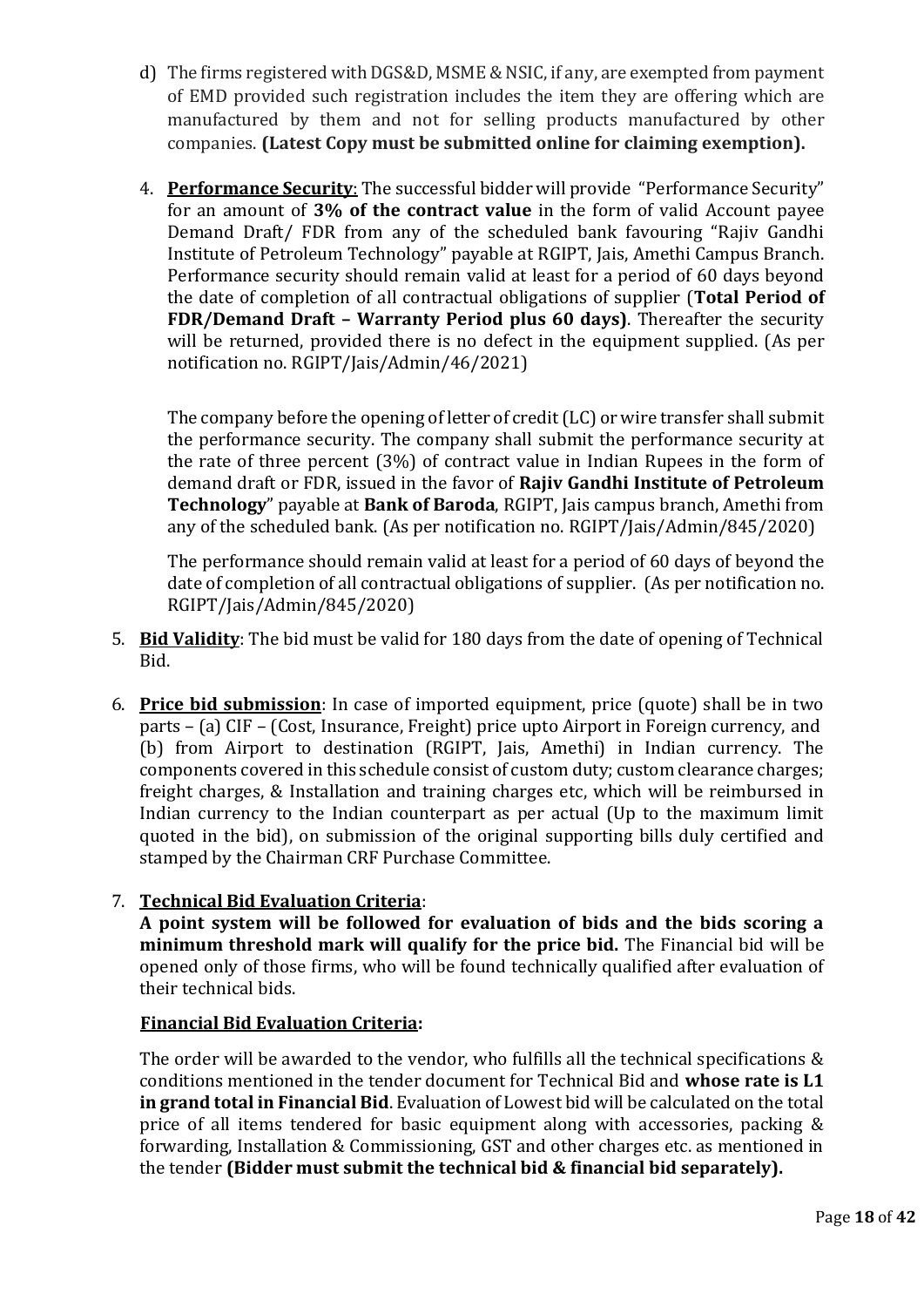- d) The firms registered with DGS&D, MSME & NSIC, if any, are exempted from payment of EMD provided such registration includes the item they are offering which are manufactured by them and not for selling products manufactured by other companies. **(Latest Copy must be submitted online for claiming exemption).**
- 4. **Performance Security**: The successful bidder will provide "Performance Security" for an amount of **3% of the contract value** in the form of valid Account payee Demand Draft/ FDR from any of the scheduled bank favouring "Rajiv Gandhi Institute of Petroleum Technology" payable at RGIPT, Jais, Amethi Campus Branch. Performance security should remain valid at least for a period of 60 days beyond the date of completion of all contractual obligations of supplier (**Total Period of FDR/Demand Draft – Warranty Period plus 60 days)**. Thereafter the security will be returned, provided there is no defect in the equipment supplied. (As per notification no. RGIPT/Jais/Admin/46/2021)

The company before the opening of letter of credit (LC) or wire transfer shall submit the performance security. The company shall submit the performance security at the rate of three percent (3%) of contract value in Indian Rupees in the form of demand draft or FDR, issued in the favor of **Rajiv Gandhi Institute of Petroleum Technology**" payable at **Bank of Baroda**, RGIPT, Jais campus branch, Amethi from any of the scheduled bank. (As per notification no. RGIPT/Jais/Admin/845/2020)

The performance should remain valid at least for a period of 60 days of beyond the date of completion of all contractual obligations of supplier. (As per notification no. RGIPT/Jais/Admin/845/2020)

- 5. **Bid Validity**: The bid must be valid for 180 days from the date of opening of Technical Bid.
- 6. **Price bid submission**: In case of imported equipment, price (quote) shall be in two parts – (a) CIF – (Cost, Insurance, Freight) price upto Airport in Foreign currency, and (b) from Airport to destination (RGIPT, Jais, Amethi) in Indian currency. The components covered in this schedule consist of custom duty; custom clearance charges; freight charges, & Installation and training charges etc, which will be reimbursed in Indian currency to the Indian counterpart as per actual (Up to the maximum limit quoted in the bid), on submission of the original supporting bills duly certified and stamped by the Chairman CRF Purchase Committee.

# 7. **Technical Bid Evaluation Criteria**:

**A point system will be followed for evaluation of bids and the bids scoring a minimum threshold mark will qualify for the price bid.** The Financial bid will be opened only of those firms, who will be found technically qualified after evaluation of their technical bids.

# **Financial Bid Evaluation Criteria:**

The order will be awarded to the vendor, who fulfills all the technical specifications & conditions mentioned in the tender document for Technical Bid and **whose rate is L1 in grand total in Financial Bid**. Evaluation of Lowest bid will be calculated on the total price of all items tendered for basic equipment along with accessories, packing & forwarding, Installation & Commissioning, GST and other charges etc. as mentioned in the tender **(Bidder must submit the technical bid & financial bid separately).**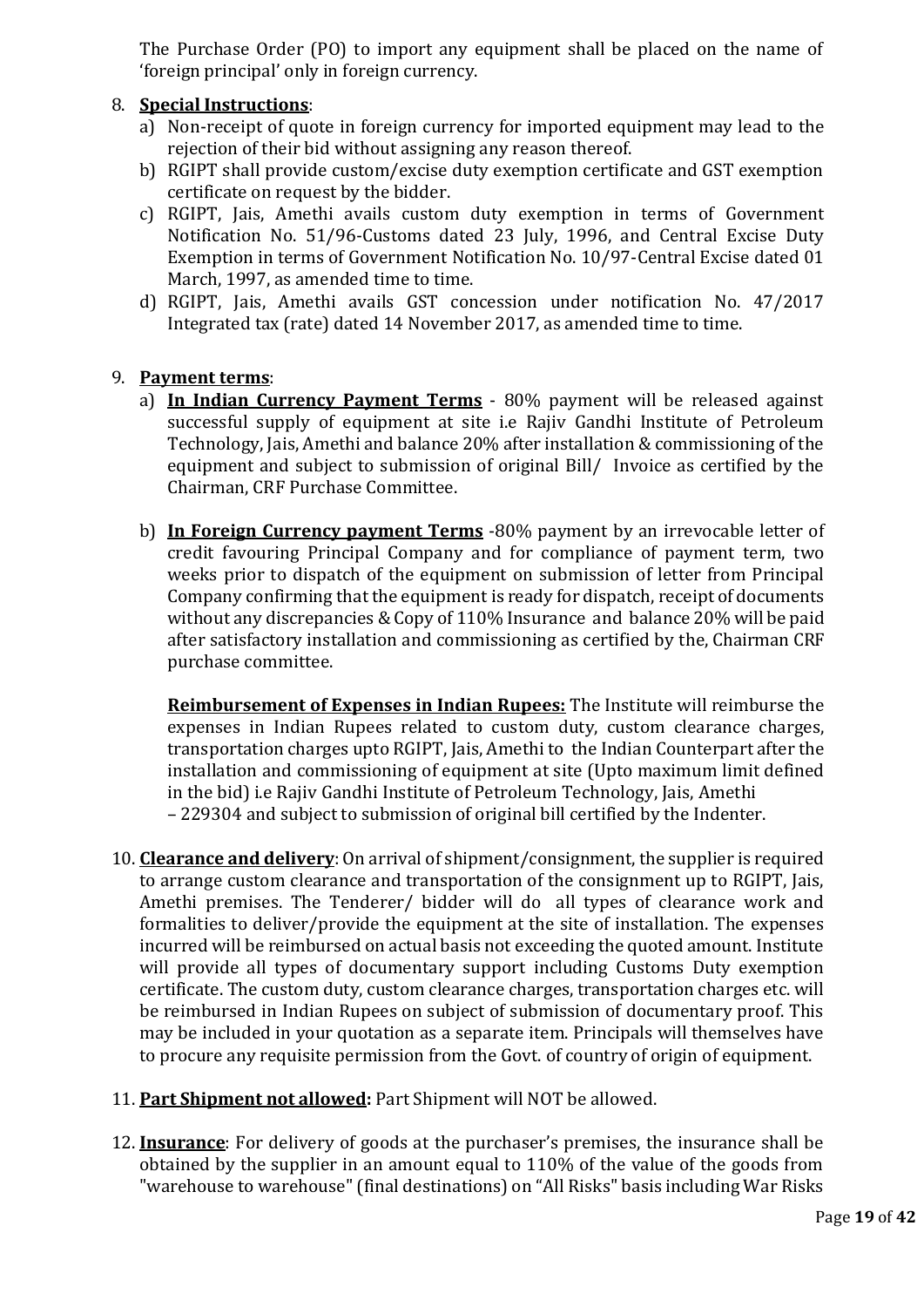The Purchase Order (PO) to import any equipment shall be placed on the name of 'foreign principal' only in foreign currency.

#### 8. **Special Instructions**:

- a) Non-receipt of quote in foreign currency for imported equipment may lead to the rejection of their bid without assigning any reason thereof.
- b) RGIPT shall provide custom/excise duty exemption certificate and GST exemption certificate on request by the bidder.
- c) RGIPT, Jais, Amethi avails custom duty exemption in terms of Government Notification No. 51/96-Customs dated 23 July, 1996, and Central Excise Duty Exemption in terms of Government Notification No. 10/97-Central Excise dated 01 March, 1997, as amended time to time.
- d) RGIPT, Jais, Amethi avails GST concession under notification No. 47/2017 Integrated tax (rate) dated 14 November 2017, as amended time to time.

#### 9. **Payment terms**:

- a) **In Indian Currency Payment Terms** 80% payment will be released against successful supply of equipment at site i.e Rajiv Gandhi Institute of Petroleum Technology, Jais, Amethi and balance 20% after installation & commissioning of the equipment and subject to submission of original Bill/ Invoice as certified by the Chairman, CRF Purchase Committee.
- b) **In Foreign Currency payment Terms** -80% payment by an irrevocable letter of credit favouring Principal Company and for compliance of payment term, two weeks prior to dispatch of the equipment on submission of letter from Principal Company confirming that the equipment is ready for dispatch, receipt of documents without any discrepancies & Copy of 110% Insurance and balance 20% will be paid after satisfactory installation and commissioning as certified by the, Chairman CRF purchase committee.

**Reimbursement of Expenses in Indian Rupees:** The Institute will reimburse the expenses in Indian Rupees related to custom duty, custom clearance charges, transportation charges upto RGIPT, Jais, Amethi to the Indian Counterpart after the installation and commissioning of equipment at site (Upto maximum limit defined in the bid) i.e Rajiv Gandhi Institute of Petroleum Technology, Jais, Amethi – 229304 and subject to submission of original bill certified by the Indenter.

- 10. **Clearance and delivery**: On arrival of shipment/consignment, the supplier is required to arrange custom clearance and transportation of the consignment up to RGIPT, Jais, Amethi premises. The Tenderer/ bidder will do all types of clearance work and formalities to deliver/provide the equipment at the site of installation. The expenses incurred will be reimbursed on actual basis not exceeding the quoted amount. Institute will provide all types of documentary support including Customs Duty exemption certificate. The custom duty, custom clearance charges, transportation charges etc. will be reimbursed in Indian Rupees on subject of submission of documentary proof. This may be included in your quotation as a separate item. Principals will themselves have to procure any requisite permission from the Govt. of country of origin of equipment.
- 11. **Part Shipment not allowed:** Part Shipment will NOT be allowed.
- 12. **Insurance**: For delivery of goods at the purchaser's premises, the insurance shall be obtained by the supplier in an amount equal to 110% of the value of the goods from "warehouse to warehouse"(final destinations) on "All Risks" basis including War Risks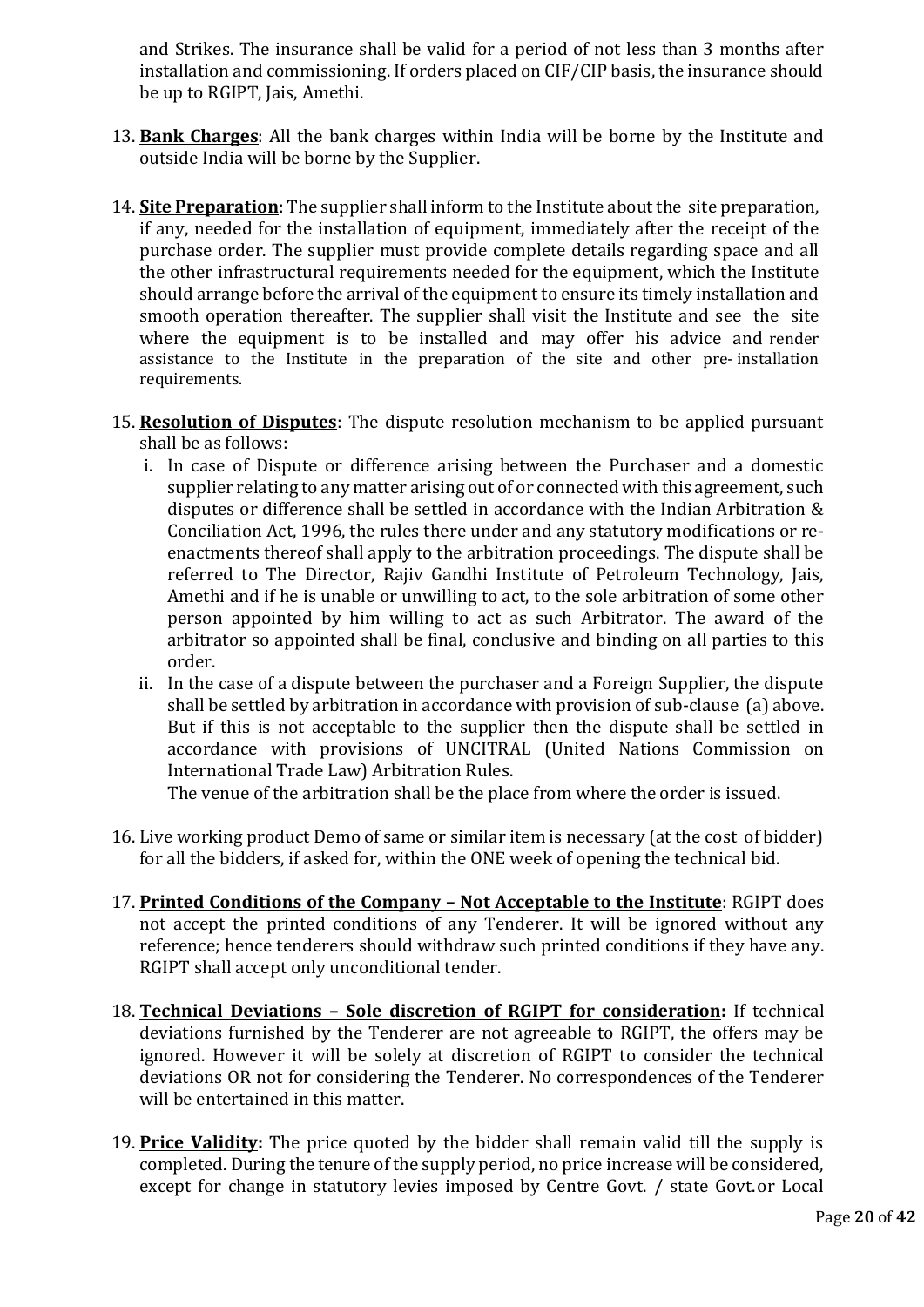and Strikes. The insurance shall be valid for a period of not less than 3 months after installation and commissioning. If orders placed on CIF/CIP basis, the insurance should be up to RGIPT, Jais, Amethi.

- 13. **Bank Charges**: All the bank charges within India will be borne by the Institute and outside India will be borne by the Supplier.
- 14. **Site Preparation**: The supplier shall inform to the Institute about the site preparation, if any, needed for the installation of equipment, immediately after the receipt of the purchase order. The supplier must provide complete details regarding space and all the other infrastructural requirements needed for the equipment, which the Institute should arrange before the arrival of the equipment to ensure its timely installation and smooth operation thereafter. The supplier shall visit the Institute and see the site where the equipment is to be installed and may offer his advice and render assistance to the Institute in the preparation of the site and other pre- installation requirements.
- 15. **Resolution of Disputes**: The dispute resolution mechanism to be applied pursuant shall be as follows:
	- i. In case of Dispute or difference arising between the Purchaser and a domestic supplier relating to any matter arising out of or connected with this agreement, such disputes or difference shall be settled in accordance with the Indian Arbitration & Conciliation Act, 1996, the rules there under and any statutory modifications or reenactments thereof shall apply to the arbitration proceedings. The dispute shall be referred to The Director, Rajiv Gandhi Institute of Petroleum Technology, Jais, Amethi and if he is unable or unwilling to act, to the sole arbitration of some other person appointed by him willing to act as such Arbitrator. The award of the arbitrator so appointed shall be final, conclusive and binding on all parties to this order.
	- ii. In the case of a dispute between the purchaser and a Foreign Supplier, the dispute shall be settled by arbitration in accordance with provision of sub-clause (a) above. But if this is not acceptable to the supplier then the dispute shall be settled in accordance with provisions of UNCITRAL (United Nations Commission on International Trade Law) Arbitration Rules.

The venue of the arbitration shall be the place from where the order is issued.

- 16. Live working product Demo of same or similar item is necessary (at the cost of bidder) for all the bidders, if asked for, within the ONE week of opening the technical bid.
- 17. **Printed Conditions of the Company – Not Acceptable to the Institute**: RGIPT does not accept the printed conditions of any Tenderer. It will be ignored without any reference; hence tenderers should withdraw such printed conditions if they have any. RGIPT shall accept only unconditional tender.
- 18. **Technical Deviations – Sole discretion of RGIPT for consideration:** If technical deviations furnished by the Tenderer are not agreeable to RGIPT, the offers may be ignored. However it will be solely at discretion of RGIPT to consider the technical deviations OR not for considering the Tenderer. No correspondences of the Tenderer will be entertained in this matter.
- 19. **Price Validity:** The price quoted by the bidder shall remain valid till the supply is completed. During the tenure of the supply period, no price increase will be considered, except for change in statutory levies imposed by Centre Govt. / state Govt.or Local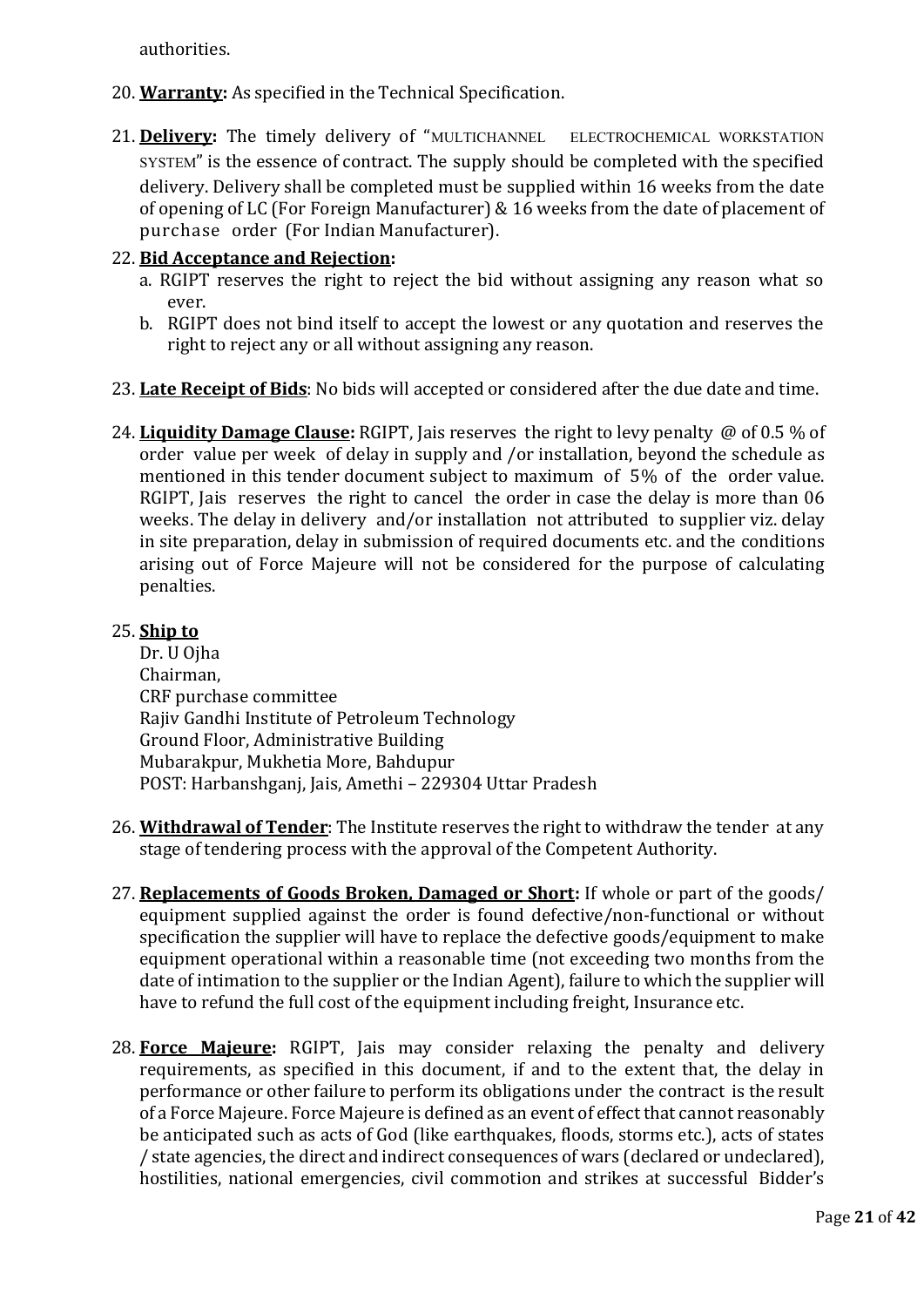authorities.

- 20. **Warranty:** As specified in the Technical Specification.
- 21. Delivery: The timely delivery of "MULTICHANNEL ELECTROCHEMICAL WORKSTATION SYSTEM" is the essence of contract. The supply should be completed with the specified delivery. Delivery shall be completed must be supplied within 16 weeks from the date of opening of LC (For Foreign Manufacturer) & 16 weeks from the date of placement of purchase order (For Indian Manufacturer).

### 22. **Bid Acceptance and Rejection:**

- a. RGIPT reserves the right to reject the bid without assigning any reason what so ever.
- b. RGIPT does not bind itself to accept the lowest or any quotation and reserves the right to reject any or all without assigning any reason.
- 23. **Late Receipt of Bids**: No bids will accepted or considered after the due date and time.
- 24. **Liquidity Damage Clause:** RGIPT, Jais reserves the right to levy penalty @ of 0.5 % of order value per week of delay in supply and /or installation, beyond the schedule as mentioned in this tender document subject to maximum of 5% of the order value. RGIPT, Jais reserves the right to cancel the order in case the delay is more than 06 weeks. The delay in delivery and/or installation not attributed to supplier viz. delay in site preparation, delay in submission of required documents etc. and the conditions arising out of Force Majeure will not be considered for the purpose of calculating penalties.

#### 25. **Ship to**

Dr. U Ojha Chairman, CRF purchase committee Rajiv Gandhi Institute of Petroleum Technology Ground Floor, Administrative Building Mubarakpur, Mukhetia More, Bahdupur POST: Harbanshganj, Jais, Amethi – 229304 Uttar Pradesh

- 26. **Withdrawal of Tender**: The Institute reserves the right to withdraw the tender at any stage of tendering process with the approval of the Competent Authority.
- 27. **Replacements of Goods Broken, Damaged or Short:** If whole or part of the goods/ equipment supplied against the order is found defective/non-functional or without specification the supplier will have to replace the defective goods/equipment to make equipment operational within a reasonable time (not exceeding two months from the date of intimation to the supplier or the Indian Agent), failure to which the supplier will have to refund the full cost of the equipment including freight, Insurance etc.
- 28. **Force Majeure:** RGIPT, Jais may consider relaxing the penalty and delivery requirements, as specified in this document, if and to the extent that, the delay in performance or other failure to perform its obligations under the contract is the result of a Force Majeure. Force Majeure is defined as an event of effect that cannot reasonably be anticipated such as acts of God (like earthquakes, floods, storms etc.), acts of states / state agencies, the direct and indirect consequences of wars (declared or undeclared), hostilities, national emergencies, civil commotion and strikes at successful Bidder's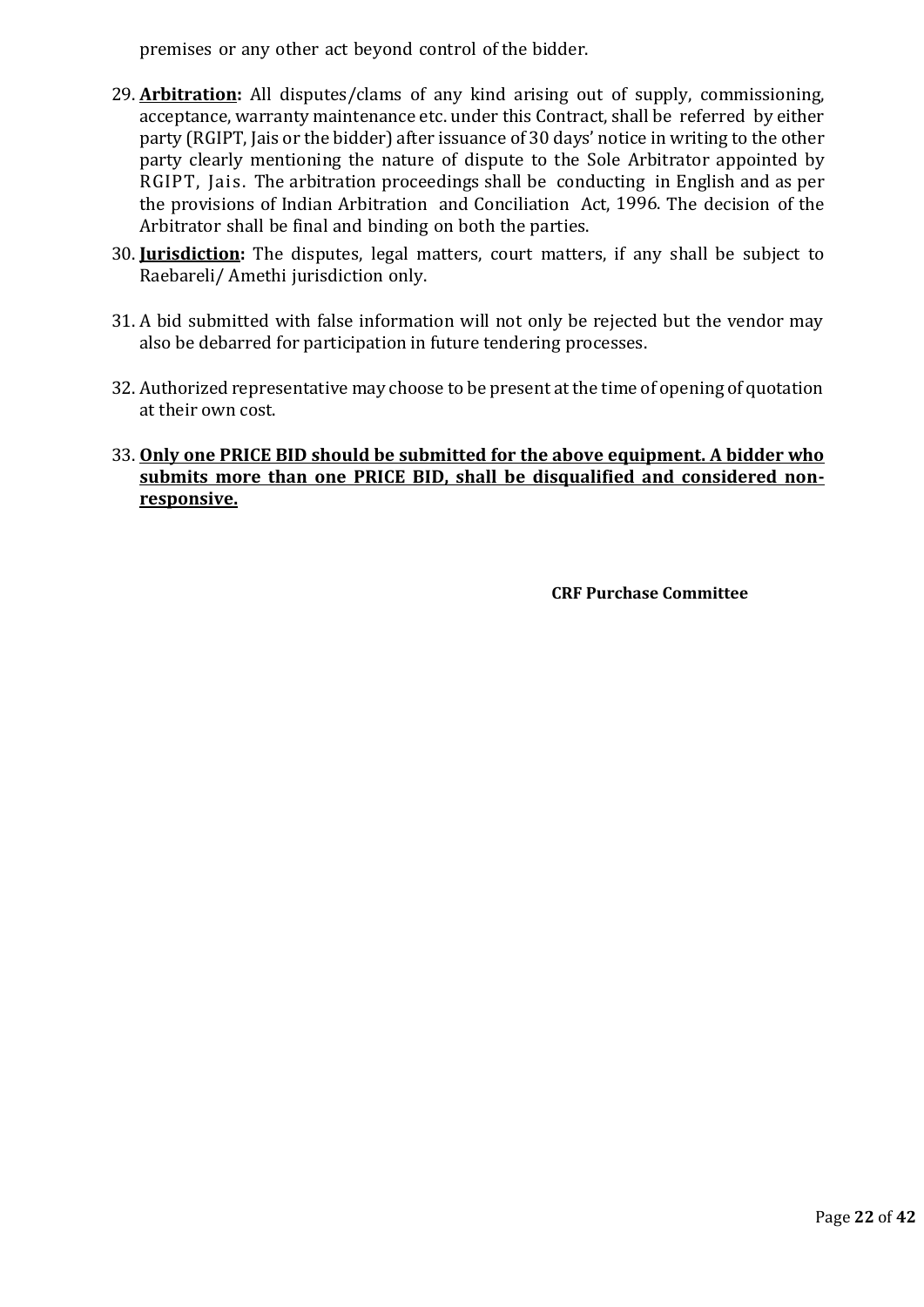premises or any other act beyond control of the bidder.

- 29. **Arbitration:** All disputes/clams of any kind arising out of supply, commissioning, acceptance, warranty maintenance etc. under this Contract, shall be referred by either party (RGIPT, Jais or the bidder) after issuance of 30 days' notice in writing to the other party clearly mentioning the nature of dispute to the Sole Arbitrator appointed by RGIPT, Jais. The arbitration proceedings shall be conducting in English and as per the provisions of Indian Arbitration and Conciliation Act, 1996. The decision of the Arbitrator shall be final and binding on both the parties.
- 30. **Jurisdiction:** The disputes, legal matters, court matters, if any shall be subject to Raebareli/ Amethi jurisdiction only.
- 31. A bid submitted with false information will not only be rejected but the vendor may also be debarred for participation in future tendering processes.
- 32. Authorized representative may choose to be present at the time of opening of quotation at their own cost.
- 33. **Only one PRICE BID should be submitted for the above equipment. A bidder who submits more than one PRICE BID, shall be disqualified and considered nonresponsive.**

 **CRF Purchase Committee**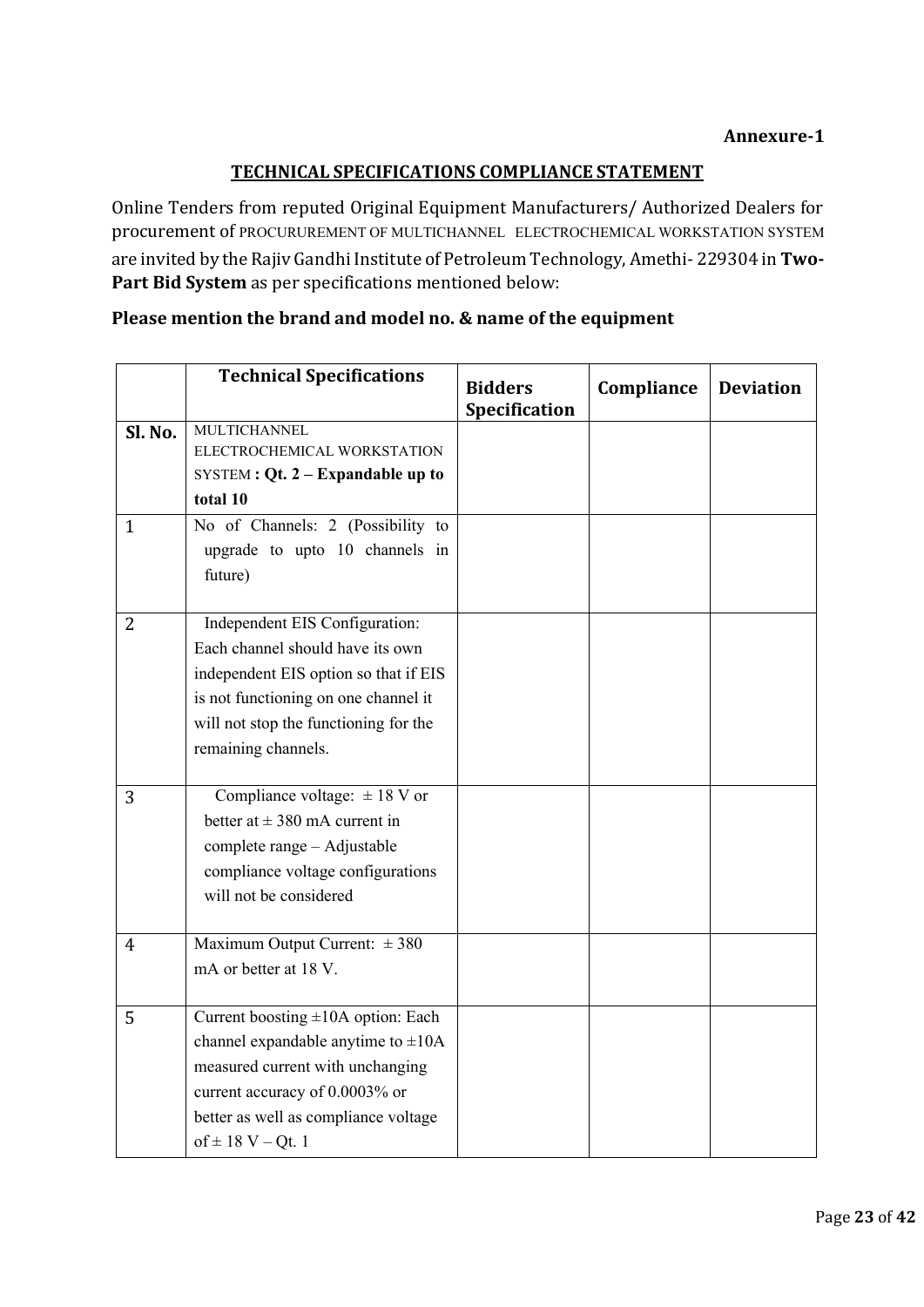# **TECHNICAL SPECIFICATIONS COMPLIANCE STATEMENT**

Online Tenders from reputed Original Equipment Manufacturers/ Authorized Dealers for procurement of PROCURUREMENT OF MULTICHANNEL ELECTROCHEMICAL WORKSTATION SYSTEM are invited by the Rajiv Gandhi Institute of Petroleum Technology, Amethi- 229304 in **Two-Part Bid System** as per specifications mentioned below:

|                | <b>Technical Specifications</b>              | <b>Bidders</b><br>Specification | Compliance | <b>Deviation</b> |
|----------------|----------------------------------------------|---------------------------------|------------|------------------|
| Sl. No.        | <b>MULTICHANNEL</b>                          |                                 |            |                  |
|                | ELECTROCHEMICAL WORKSTATION                  |                                 |            |                  |
|                | SYSTEM : $Qt$ . 2 – Expandable up to         |                                 |            |                  |
|                | total 10                                     |                                 |            |                  |
| $\mathbf{1}$   | No of Channels: 2 (Possibility to            |                                 |            |                  |
|                | upgrade to upto 10 channels in               |                                 |            |                  |
|                | future)                                      |                                 |            |                  |
|                |                                              |                                 |            |                  |
| 2              | Independent EIS Configuration:               |                                 |            |                  |
|                | Each channel should have its own             |                                 |            |                  |
|                | independent EIS option so that if EIS        |                                 |            |                  |
|                | is not functioning on one channel it         |                                 |            |                  |
|                | will not stop the functioning for the        |                                 |            |                  |
|                | remaining channels.                          |                                 |            |                  |
|                |                                              |                                 |            |                  |
| 3              | Compliance voltage: $\pm 18 \overline{V}$ or |                                 |            |                  |
|                | better at $\pm$ 380 mA current in            |                                 |            |                  |
|                | complete range - Adjustable                  |                                 |            |                  |
|                | compliance voltage configurations            |                                 |            |                  |
|                | will not be considered                       |                                 |            |                  |
|                |                                              |                                 |            |                  |
| $\overline{4}$ | Maximum Output Current: $\pm 380$            |                                 |            |                  |
|                | mA or better at 18 V.                        |                                 |            |                  |
|                |                                              |                                 |            |                  |
| 5              | Current boosting ±10A option: Each           |                                 |            |                  |
|                | channel expandable anytime to $\pm 10$ A     |                                 |            |                  |
|                | measured current with unchanging             |                                 |            |                  |
|                | current accuracy of 0.0003% or               |                                 |            |                  |
|                | better as well as compliance voltage         |                                 |            |                  |
|                | of $\pm$ 18 V – Qt. 1                        |                                 |            |                  |

# **Please mention the brand and model no. & name of the equipment**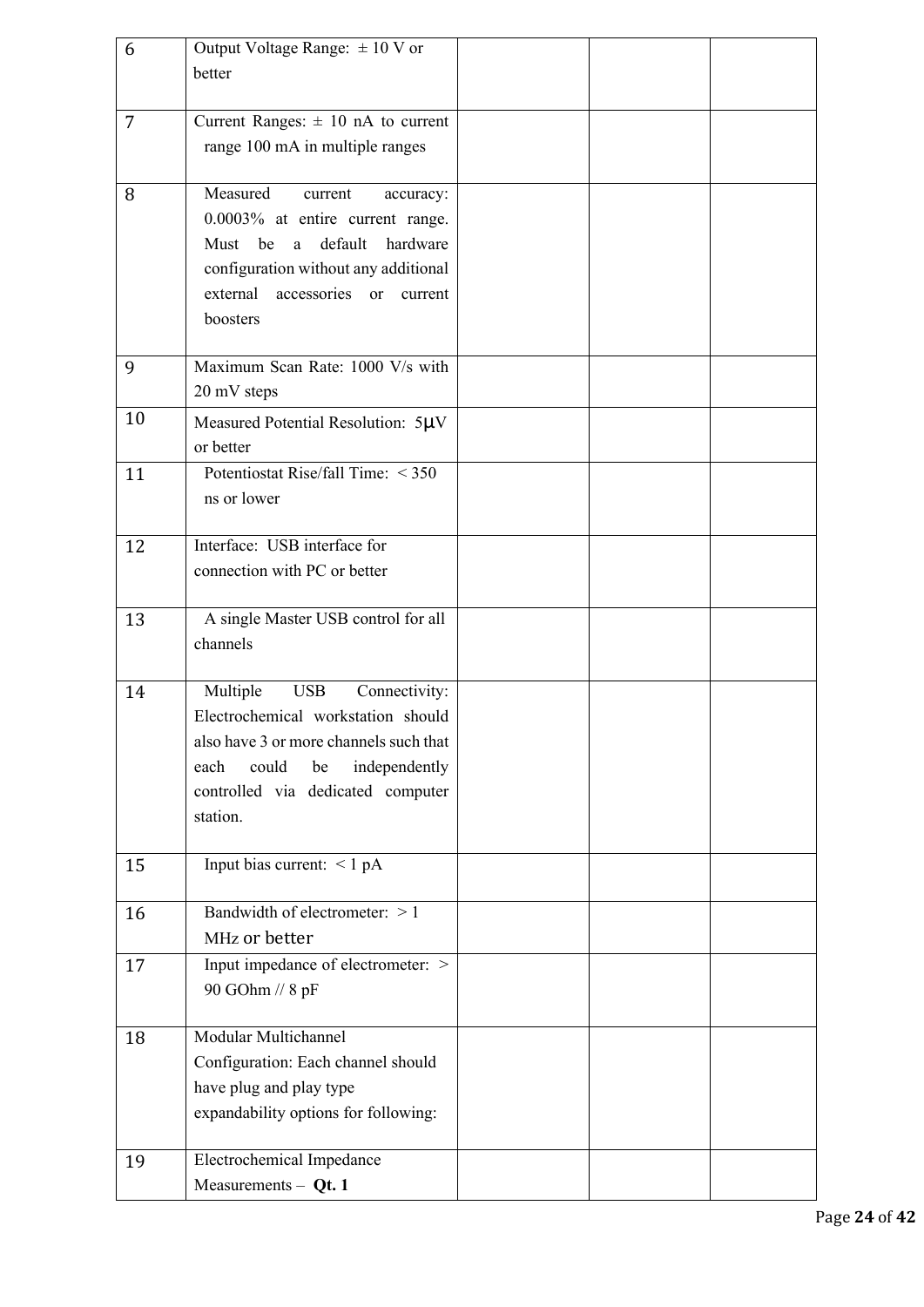| 6              | Output Voltage Range: $\pm 10$ V or     |  |  |
|----------------|-----------------------------------------|--|--|
|                | better                                  |  |  |
|                |                                         |  |  |
| $\overline{7}$ | Current Ranges: $\pm$ 10 nA to current  |  |  |
|                | range 100 mA in multiple ranges         |  |  |
|                |                                         |  |  |
| 8              | Measured<br>current<br>accuracy:        |  |  |
|                | 0.0003% at entire current range.        |  |  |
|                | default<br>hardware<br>Must<br>be<br>a  |  |  |
|                | configuration without any additional    |  |  |
|                | accessories or<br>external<br>current   |  |  |
|                | boosters                                |  |  |
|                |                                         |  |  |
| 9              | Maximum Scan Rate: 1000 V/s with        |  |  |
|                | 20 mV steps                             |  |  |
| 10             | Measured Potential Resolution: 5µV      |  |  |
|                | or better                               |  |  |
| 11             | Potentiostat Rise/fall Time: < 350      |  |  |
|                | ns or lower                             |  |  |
|                |                                         |  |  |
| 12             | Interface: USB interface for            |  |  |
|                | connection with PC or better            |  |  |
|                |                                         |  |  |
| 13             | A single Master USB control for all     |  |  |
|                | channels                                |  |  |
|                |                                         |  |  |
| 14             | Multiple<br><b>USB</b><br>Connectivity: |  |  |
|                | Electrochemical workstation should      |  |  |
|                | also have 3 or more channels such that  |  |  |
|                | independently<br>could<br>be<br>each    |  |  |
|                | controlled via dedicated computer       |  |  |
|                | station.                                |  |  |
|                |                                         |  |  |
| 15             | Input bias current: <1 pA               |  |  |
|                |                                         |  |  |
| 16             | Bandwidth of electrometer: $>1$         |  |  |
|                | MHz or better                           |  |  |
| 17             | Input impedance of electrometer: >      |  |  |
|                | 90 GOhm // 8 pF                         |  |  |
|                |                                         |  |  |
| 18             | Modular Multichannel                    |  |  |
|                | Configuration: Each channel should      |  |  |
|                | have plug and play type                 |  |  |
|                | expandability options for following:    |  |  |
|                | Electrochemical Impedance               |  |  |
| 19             |                                         |  |  |
|                | Measurements $-$ Qt. 1                  |  |  |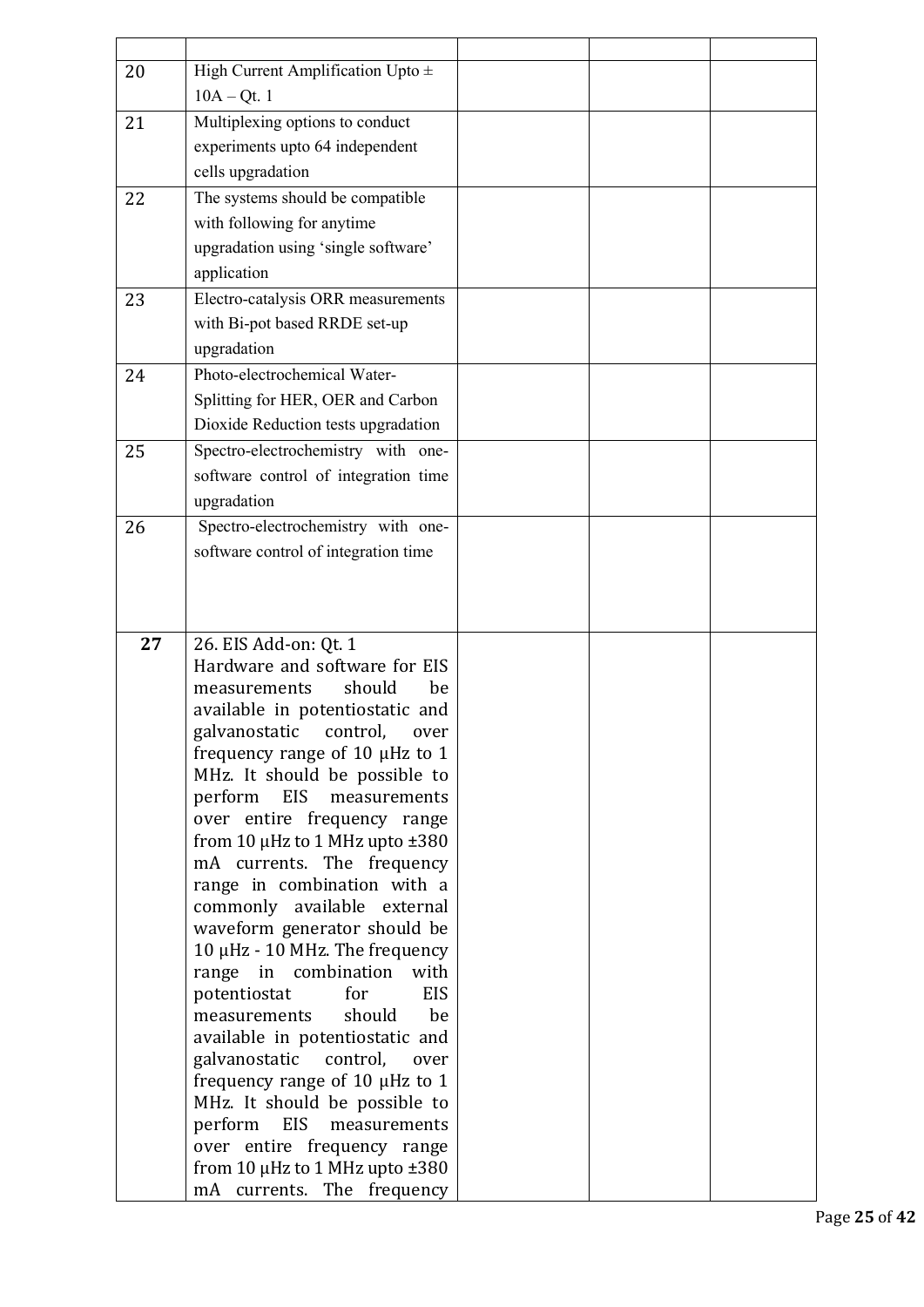| 20 | High Current Amplification Upto $\pm$                                   |  |  |
|----|-------------------------------------------------------------------------|--|--|
|    | $10A - Qt. 1$                                                           |  |  |
| 21 | Multiplexing options to conduct                                         |  |  |
|    | experiments upto 64 independent                                         |  |  |
|    | cells upgradation                                                       |  |  |
| 22 | The systems should be compatible                                        |  |  |
|    | with following for anytime                                              |  |  |
|    | upgradation using 'single software'                                     |  |  |
|    | application                                                             |  |  |
| 23 | Electro-catalysis ORR measurements                                      |  |  |
|    | with Bi-pot based RRDE set-up                                           |  |  |
|    | upgradation                                                             |  |  |
| 24 | Photo-electrochemical Water-                                            |  |  |
|    |                                                                         |  |  |
|    | Splitting for HER, OER and Carbon                                       |  |  |
|    | Dioxide Reduction tests upgradation                                     |  |  |
| 25 | Spectro-electrochemistry with one-                                      |  |  |
|    | software control of integration time                                    |  |  |
|    | upgradation                                                             |  |  |
| 26 | Spectro-electrochemistry with one-                                      |  |  |
|    | software control of integration time                                    |  |  |
|    |                                                                         |  |  |
|    |                                                                         |  |  |
|    |                                                                         |  |  |
|    |                                                                         |  |  |
| 27 | 26. EIS Add-on: Qt. 1                                                   |  |  |
|    | Hardware and software for EIS                                           |  |  |
|    | should<br>be<br>measurements<br>available in potentiostatic and         |  |  |
|    | galvanostatic control, over                                             |  |  |
|    | frequency range of 10 µHz to 1                                          |  |  |
|    | MHz. It should be possible to                                           |  |  |
|    | EIS<br>perform<br>measurements                                          |  |  |
|    | over entire frequency range                                             |  |  |
|    | from 10 $\mu$ Hz to 1 MHz upto $\pm$ 380                                |  |  |
|    | mA currents. The frequency                                              |  |  |
|    | range in combination with a                                             |  |  |
|    | commonly available external                                             |  |  |
|    | waveform generator should be<br>10 μHz - 10 MHz. The frequency          |  |  |
|    | range in combination<br>with                                            |  |  |
|    | potentiostat<br>for<br><b>EIS</b>                                       |  |  |
|    | should<br>be<br>measurements                                            |  |  |
|    | available in potentiostatic and                                         |  |  |
|    | galvanostatic control,<br>over                                          |  |  |
|    | frequency range of 10 µHz to 1                                          |  |  |
|    | MHz. It should be possible to                                           |  |  |
|    | perform EIS<br>measurements                                             |  |  |
|    | over entire frequency range<br>from 10 $\mu$ Hz to 1 MHz upto $\pm$ 380 |  |  |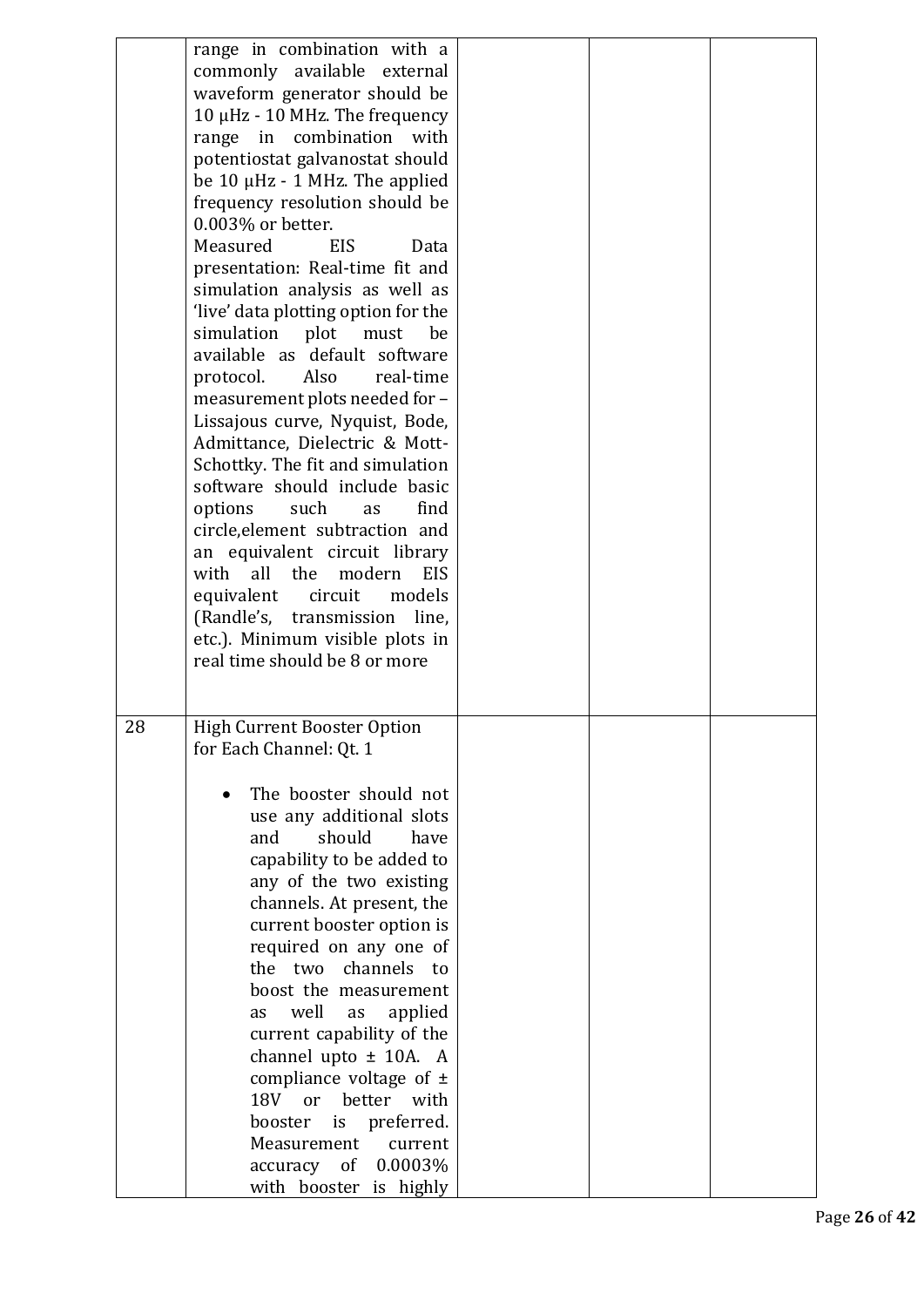|    | range in combination with a<br>commonly available external<br>waveform generator should be<br>10 µHz - 10 MHz. The frequency<br>range in combination with<br>potentiostat galvanostat should<br>be $10 \mu$ Hz - 1 MHz. The applied<br>frequency resolution should be<br>0.003% or better.<br>Measured<br><b>EIS</b><br>Data<br>presentation: Real-time fit and<br>simulation analysis as well as<br>'live' data plotting option for the<br>simulation plot must<br>be<br>available as default software<br>protocol.<br>Also<br>real-time<br>measurement plots needed for -<br>Lissajous curve, Nyquist, Bode,<br>Admittance, Dielectric & Mott-<br>Schottky. The fit and simulation<br>software should include basic<br>such<br>options<br>find<br>as<br>circle, element subtraction and<br>an equivalent circuit library<br>all the<br>modern<br><b>EIS</b><br>with<br>equivalent<br>circuit<br>models<br>(Randle's, transmission<br>line,<br>etc.). Minimum visible plots in<br>real time should be 8 or more |  |  |
|----|------------------------------------------------------------------------------------------------------------------------------------------------------------------------------------------------------------------------------------------------------------------------------------------------------------------------------------------------------------------------------------------------------------------------------------------------------------------------------------------------------------------------------------------------------------------------------------------------------------------------------------------------------------------------------------------------------------------------------------------------------------------------------------------------------------------------------------------------------------------------------------------------------------------------------------------------------------------------------------------------------------------|--|--|
| 28 | <b>High Current Booster Option</b><br>for Each Channel: Qt. 1<br>The booster should not<br>use any additional slots<br>and<br>should<br>have<br>capability to be added to<br>any of the two existing<br>channels. At present, the<br>current booster option is<br>required on any one of<br>channels<br>the two<br>to<br>boost the measurement<br>well<br>applied<br>as<br>as<br>current capability of the<br>channel upto $\pm$ 10A. A<br>compliance voltage of $\pm$<br>18V<br><sub>or</sub><br>better<br>with<br>booster<br>is<br>preferred.<br>Measurement<br>current<br>0.0003%<br>accuracy of<br>with booster is highly                                                                                                                                                                                                                                                                                                                                                                                    |  |  |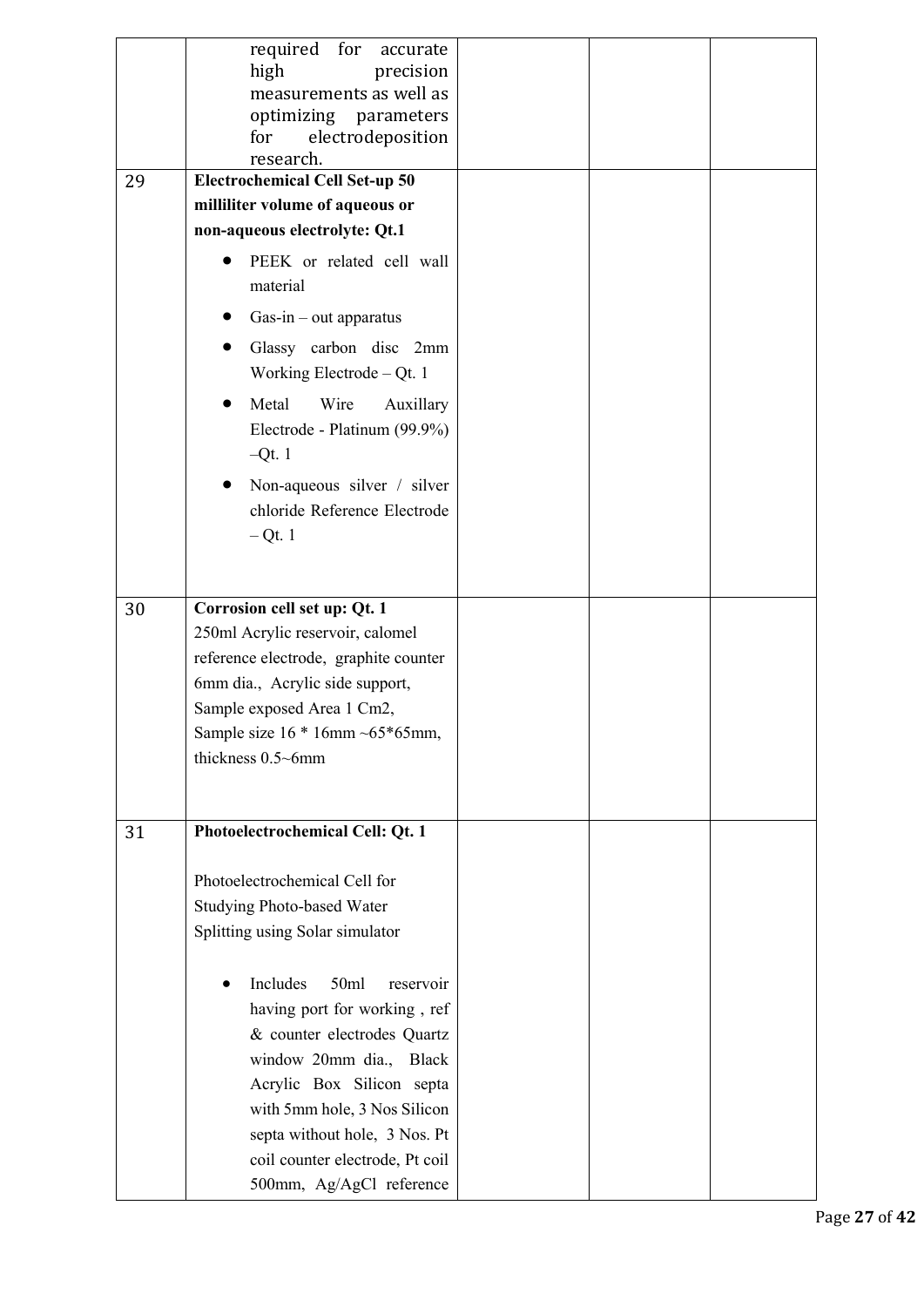| 29 | required<br>for<br>accurate<br>high<br>precision<br>measurements as well as<br>optimizing parameters<br>electrodeposition<br>for<br>research.<br><b>Electrochemical Cell Set-up 50</b> |  |  |
|----|----------------------------------------------------------------------------------------------------------------------------------------------------------------------------------------|--|--|
|    | milliliter volume of aqueous or                                                                                                                                                        |  |  |
|    | non-aqueous electrolyte: Qt.1                                                                                                                                                          |  |  |
|    | PEEK or related cell wall                                                                                                                                                              |  |  |
|    | material                                                                                                                                                                               |  |  |
|    | $Gas-in - out apparatus$                                                                                                                                                               |  |  |
|    | Glassy carbon disc 2mm                                                                                                                                                                 |  |  |
|    | Working Electrode $-$ Qt. 1                                                                                                                                                            |  |  |
|    | Metal<br>Wire<br>Auxillary                                                                                                                                                             |  |  |
|    | Electrode - Platinum (99.9%)                                                                                                                                                           |  |  |
|    | $-Qt.1$                                                                                                                                                                                |  |  |
|    | Non-aqueous silver / silver                                                                                                                                                            |  |  |
|    | chloride Reference Electrode                                                                                                                                                           |  |  |
|    | $-Qt.1$                                                                                                                                                                                |  |  |
|    |                                                                                                                                                                                        |  |  |
|    |                                                                                                                                                                                        |  |  |
| 30 | Corrosion cell set up: Qt. 1<br>250ml Acrylic reservoir, calomel                                                                                                                       |  |  |
|    | reference electrode, graphite counter                                                                                                                                                  |  |  |
|    | 6mm dia., Acrylic side support,                                                                                                                                                        |  |  |
|    | Sample exposed Area 1 Cm2,                                                                                                                                                             |  |  |
|    | Sample size $16 * 16$ mm ~ $65 * 65$ mm,                                                                                                                                               |  |  |
|    | thickness 0.5~6mm                                                                                                                                                                      |  |  |
|    |                                                                                                                                                                                        |  |  |
|    |                                                                                                                                                                                        |  |  |
| 31 | Photoelectrochemical Cell: Qt. 1                                                                                                                                                       |  |  |
|    |                                                                                                                                                                                        |  |  |
|    | Photoelectrochemical Cell for                                                                                                                                                          |  |  |
|    | <b>Studying Photo-based Water</b><br>Splitting using Solar simulator                                                                                                                   |  |  |
|    |                                                                                                                                                                                        |  |  |
|    | Includes<br>50ml<br>reservoir                                                                                                                                                          |  |  |
|    | having port for working, ref                                                                                                                                                           |  |  |
|    | & counter electrodes Quartz                                                                                                                                                            |  |  |
|    | window 20mm dia., Black                                                                                                                                                                |  |  |
|    | Acrylic Box Silicon septa                                                                                                                                                              |  |  |
|    | with 5mm hole, 3 Nos Silicon                                                                                                                                                           |  |  |
|    | septa without hole, 3 Nos. Pt                                                                                                                                                          |  |  |
|    | coil counter electrode, Pt coil                                                                                                                                                        |  |  |
|    | 500mm, Ag/AgCl reference                                                                                                                                                               |  |  |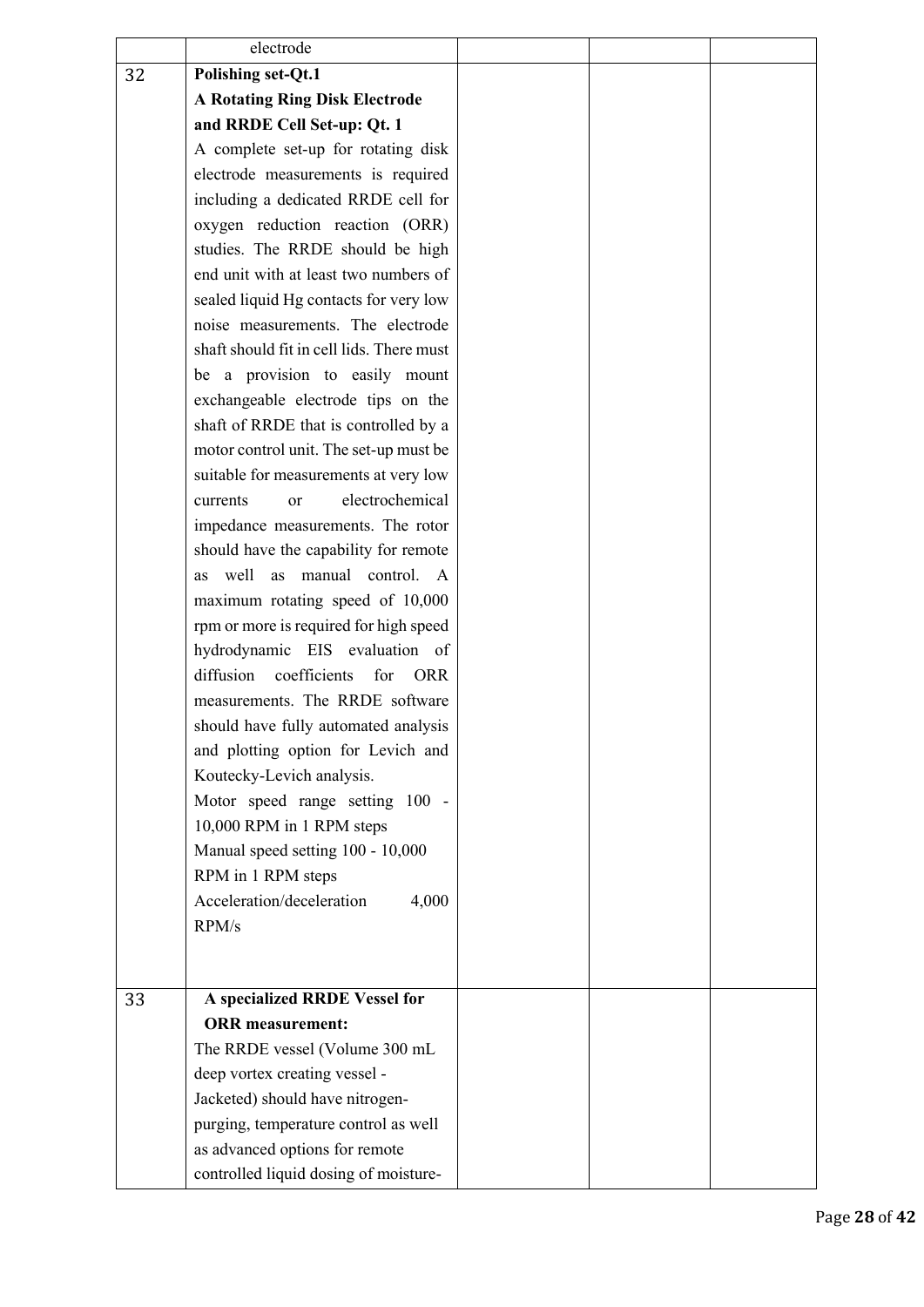|    | electrode                                    |  |  |
|----|----------------------------------------------|--|--|
| 32 | <b>Polishing set-Qt.1</b>                    |  |  |
|    | <b>A Rotating Ring Disk Electrode</b>        |  |  |
|    | and RRDE Cell Set-up: Qt. 1                  |  |  |
|    | A complete set-up for rotating disk          |  |  |
|    | electrode measurements is required           |  |  |
|    | including a dedicated RRDE cell for          |  |  |
|    | oxygen reduction reaction (ORR)              |  |  |
|    | studies. The RRDE should be high             |  |  |
|    | end unit with at least two numbers of        |  |  |
|    | sealed liquid Hg contacts for very low       |  |  |
|    | noise measurements. The electrode            |  |  |
|    | shaft should fit in cell lids. There must    |  |  |
|    | be a provision to easily mount               |  |  |
|    | exchangeable electrode tips on the           |  |  |
|    | shaft of RRDE that is controlled by a        |  |  |
|    | motor control unit. The set-up must be       |  |  |
|    | suitable for measurements at very low        |  |  |
|    | electrochemical<br>currents<br><sub>or</sub> |  |  |
|    | impedance measurements. The rotor            |  |  |
|    | should have the capability for remote        |  |  |
|    | manual control. A<br>well<br>as<br>as        |  |  |
|    | maximum rotating speed of 10,000             |  |  |
|    | rpm or more is required for high speed       |  |  |
|    | hydrodynamic EIS evaluation of               |  |  |
|    | diffusion<br>coefficients<br>for ORR         |  |  |
|    | measurements. The RRDE software              |  |  |
|    | should have fully automated analysis         |  |  |
|    | and plotting option for Levich and           |  |  |
|    | Koutecky-Levich analysis.                    |  |  |
|    | Motor speed range setting 100 -              |  |  |
|    | 10,000 RPM in 1 RPM steps                    |  |  |
|    | Manual speed setting 100 - 10,000            |  |  |
|    | RPM in 1 RPM steps                           |  |  |
|    | Acceleration/deceleration<br>4,000           |  |  |
|    | RPM/s                                        |  |  |
|    |                                              |  |  |
|    |                                              |  |  |
| 33 | A specialized RRDE Vessel for                |  |  |
|    | <b>ORR</b> measurement:                      |  |  |
|    | The RRDE vessel (Volume 300 mL               |  |  |
|    | deep vortex creating vessel -                |  |  |
|    | Jacketed) should have nitrogen-              |  |  |
|    | purging, temperature control as well         |  |  |
|    | as advanced options for remote               |  |  |
|    | controlled liquid dosing of moisture-        |  |  |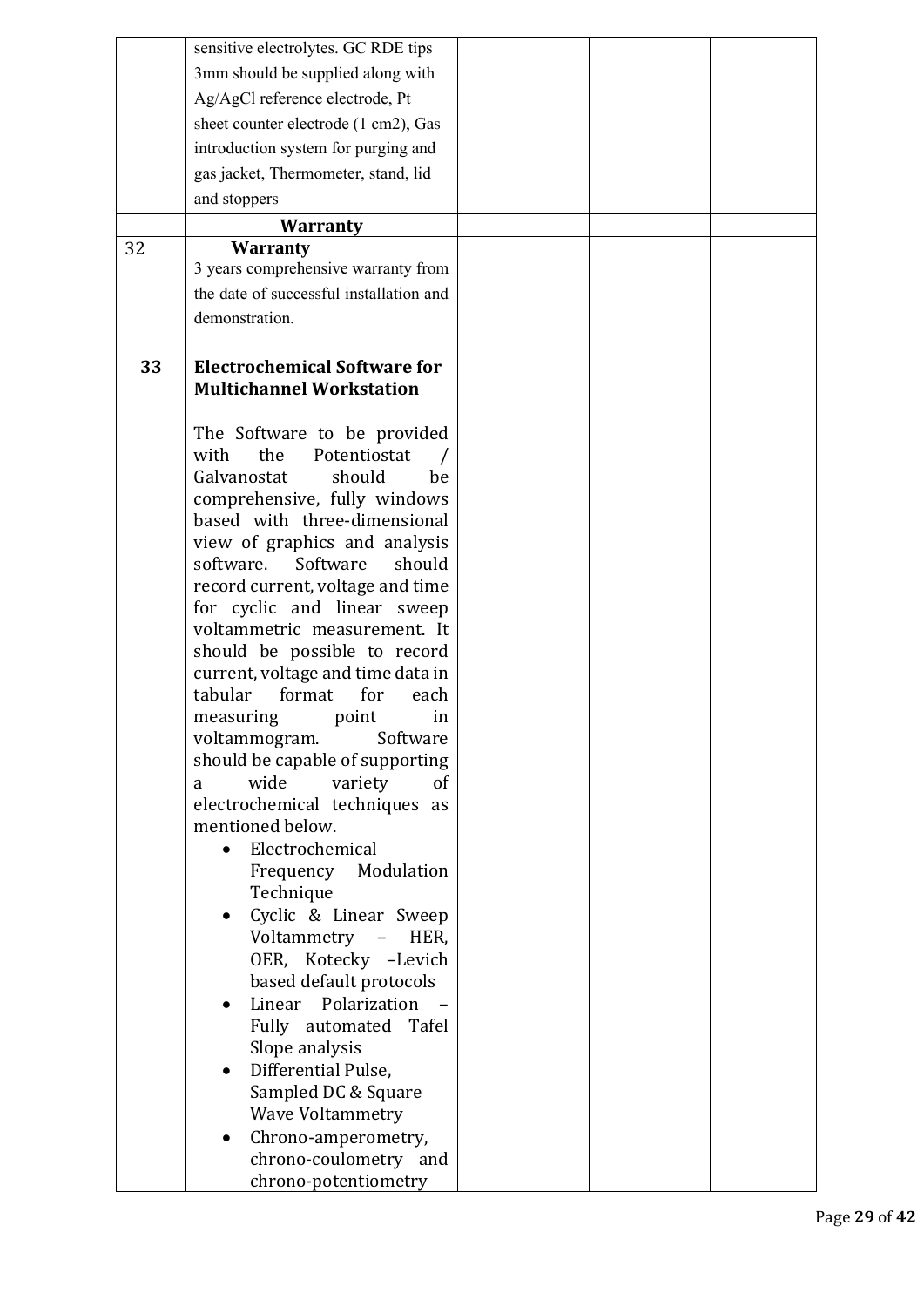|    | sensitive electrolytes. GC RDE tips                          |  |  |
|----|--------------------------------------------------------------|--|--|
|    | 3mm should be supplied along with                            |  |  |
|    | Ag/AgCl reference electrode, Pt                              |  |  |
|    | sheet counter electrode (1 cm2), Gas                         |  |  |
|    | introduction system for purging and                          |  |  |
|    | gas jacket, Thermometer, stand, lid                          |  |  |
|    |                                                              |  |  |
|    | and stoppers                                                 |  |  |
|    | <b>Warranty</b>                                              |  |  |
| 32 | <b>Warranty</b>                                              |  |  |
|    | 3 years comprehensive warranty from                          |  |  |
|    | the date of successful installation and                      |  |  |
|    | demonstration.                                               |  |  |
|    |                                                              |  |  |
| 33 | <b>Electrochemical Software for</b>                          |  |  |
|    | <b>Multichannel Workstation</b>                              |  |  |
|    |                                                              |  |  |
|    | The Software to be provided                                  |  |  |
|    | the<br>with<br>Potentiostat                                  |  |  |
|    | Galvanostat<br>should<br>be                                  |  |  |
|    | comprehensive, fully windows<br>based with three-dimensional |  |  |
|    | view of graphics and analysis                                |  |  |
|    | Software<br>software.<br>should                              |  |  |
|    | record current, voltage and time                             |  |  |
|    | for cyclic and linear sweep                                  |  |  |
|    | voltammetric measurement. It                                 |  |  |
|    | should be possible to record                                 |  |  |
|    | current, voltage and time data in                            |  |  |
|    | tabular<br>format<br>for<br>each                             |  |  |
|    | point<br>in<br>measuring                                     |  |  |
|    | voltammogram.<br>Software                                    |  |  |
|    | should be capable of supporting                              |  |  |
|    | wide<br>variety<br>οf<br>a                                   |  |  |
|    | electrochemical techniques<br>as                             |  |  |
|    | mentioned below.                                             |  |  |
|    | Electrochemical                                              |  |  |
|    | Frequency Modulation<br>Technique                            |  |  |
|    | Cyclic & Linear Sweep                                        |  |  |
|    | Voltammetry<br>$\sim$<br>HER,                                |  |  |
|    | OER, Kotecky -Levich                                         |  |  |
|    | based default protocols                                      |  |  |
|    | Linear Polarization                                          |  |  |
|    | Fully automated Tafel                                        |  |  |
|    | Slope analysis                                               |  |  |
|    | Differential Pulse,                                          |  |  |
|    | Sampled DC & Square                                          |  |  |
|    | <b>Wave Voltammetry</b>                                      |  |  |
|    | Chrono-amperometry,                                          |  |  |
|    | chrono-coulometry and                                        |  |  |
|    | chrono-potentiometry                                         |  |  |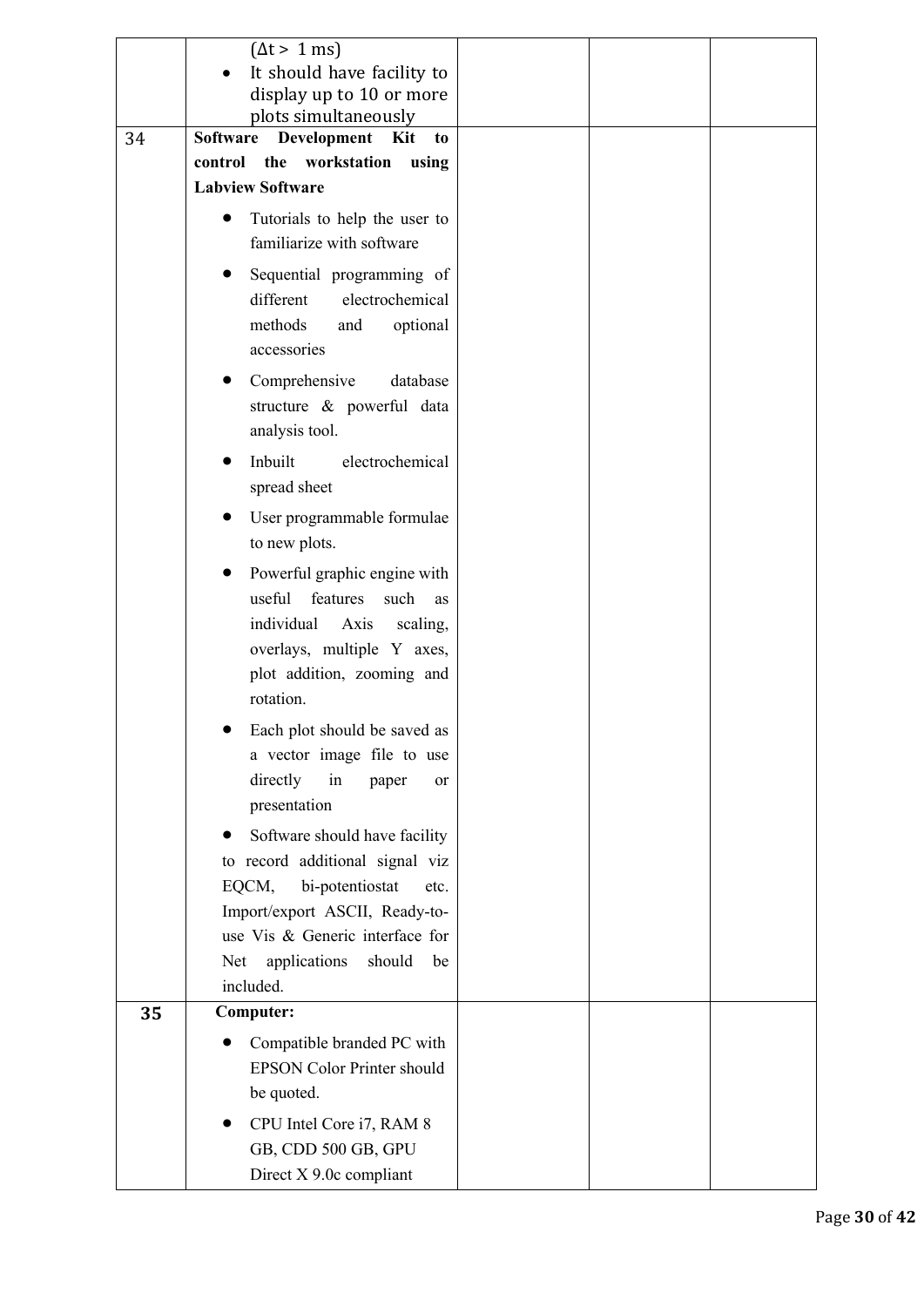|    | $(\Delta t > 1 \text{ ms})$<br>It should have facility to        |  |  |
|----|------------------------------------------------------------------|--|--|
|    | display up to 10 or more<br>plots simultaneously                 |  |  |
| 34 | Software<br>Development<br>Kit<br>to                             |  |  |
|    | the workstation<br>control<br>using                              |  |  |
|    | <b>Labview Software</b>                                          |  |  |
|    | Tutorials to help the user to                                    |  |  |
|    | familiarize with software                                        |  |  |
|    | Sequential programming of                                        |  |  |
|    | electrochemical<br>different                                     |  |  |
|    | methods<br>optional<br>and                                       |  |  |
|    | accessories                                                      |  |  |
|    | Comprehensive<br>database                                        |  |  |
|    | structure & powerful data<br>analysis tool.                      |  |  |
|    | Inbuilt<br>electrochemical                                       |  |  |
|    | spread sheet                                                     |  |  |
|    |                                                                  |  |  |
|    | User programmable formulae<br>to new plots.                      |  |  |
|    |                                                                  |  |  |
|    | Powerful graphic engine with<br>useful<br>features<br>such<br>as |  |  |
|    | individual<br>Axis<br>scaling,                                   |  |  |
|    | overlays, multiple Y axes,                                       |  |  |
|    | plot addition, zooming and                                       |  |  |
|    | rotation.                                                        |  |  |
|    | Each plot should be saved as                                     |  |  |
|    | a vector image file to use                                       |  |  |
|    | directly<br>in<br>paper<br><sub>or</sub>                         |  |  |
|    | presentation                                                     |  |  |
|    | Software should have facility                                    |  |  |
|    | to record additional signal viz                                  |  |  |
|    | EQCM,<br>bi-potentiostat<br>etc.                                 |  |  |
|    | Import/export ASCII, Ready-to-                                   |  |  |
|    | use Vis & Generic interface for                                  |  |  |
|    | applications<br>should<br>Net<br>be<br>included.                 |  |  |
| 35 | <b>Computer:</b>                                                 |  |  |
|    | Compatible branded PC with                                       |  |  |
|    | <b>EPSON Color Printer should</b>                                |  |  |
|    | be quoted.                                                       |  |  |
|    | CPU Intel Core i7, RAM 8                                         |  |  |
|    | GB, CDD 500 GB, GPU                                              |  |  |
|    | Direct X 9.0c compliant                                          |  |  |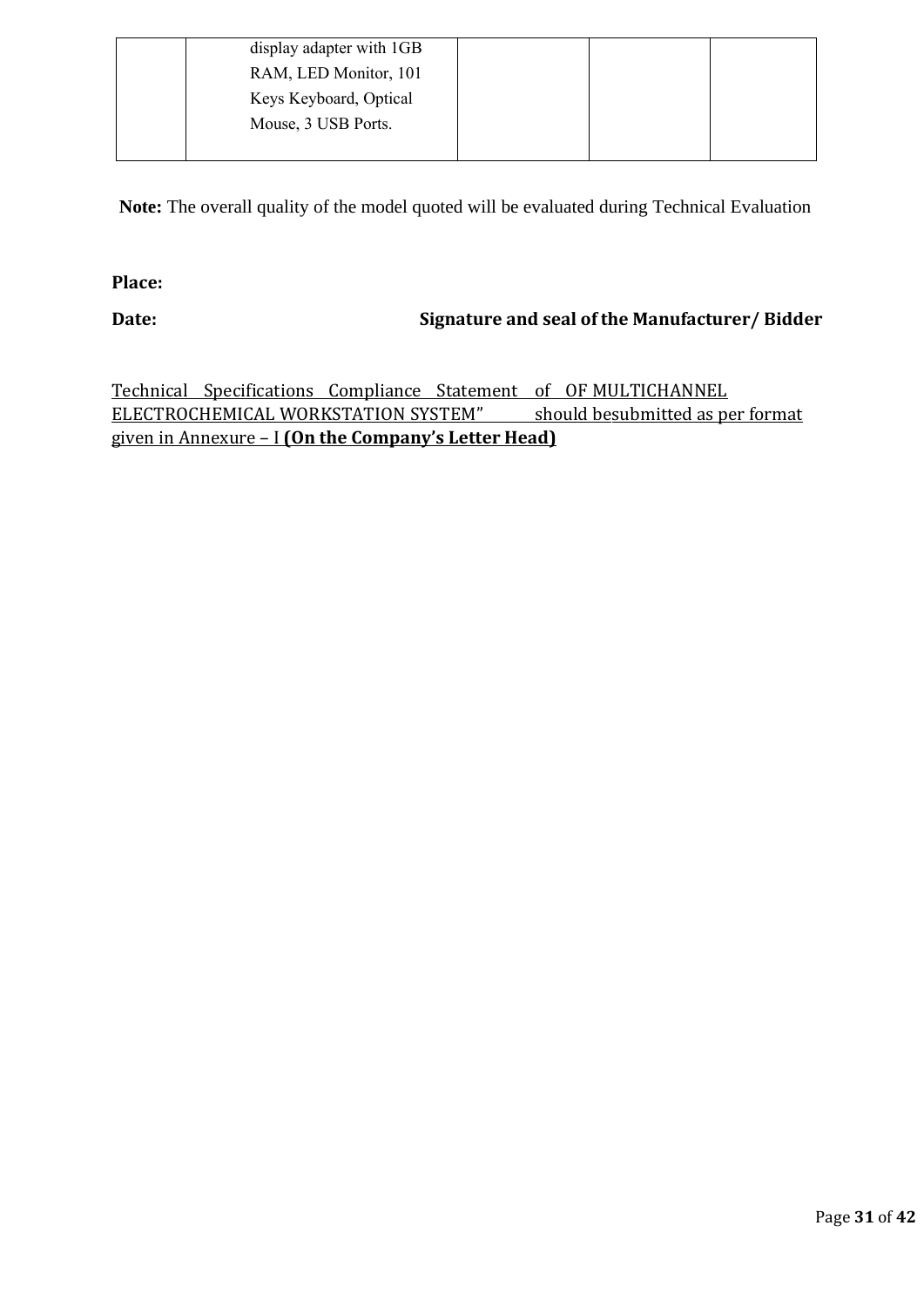| display adapter with 1GB |  |
|--------------------------|--|
| RAM, LED Monitor, 101    |  |
| Keys Keyboard, Optical   |  |
| Mouse, 3 USB Ports.      |  |
|                          |  |

 **Note:** The overall quality of the model quoted will be evaluated during Technical Evaluation

# **Place:**

# **Date: Signature and seal of the Manufacturer/ Bidder**

Technical Specifications Compliance Statement of OF MULTICHANNEL ELECTROCHEMICAL WORKSTATION SYSTEM" should besubmitted as per format given in Annexure – I **(On the Company's Letter Head)**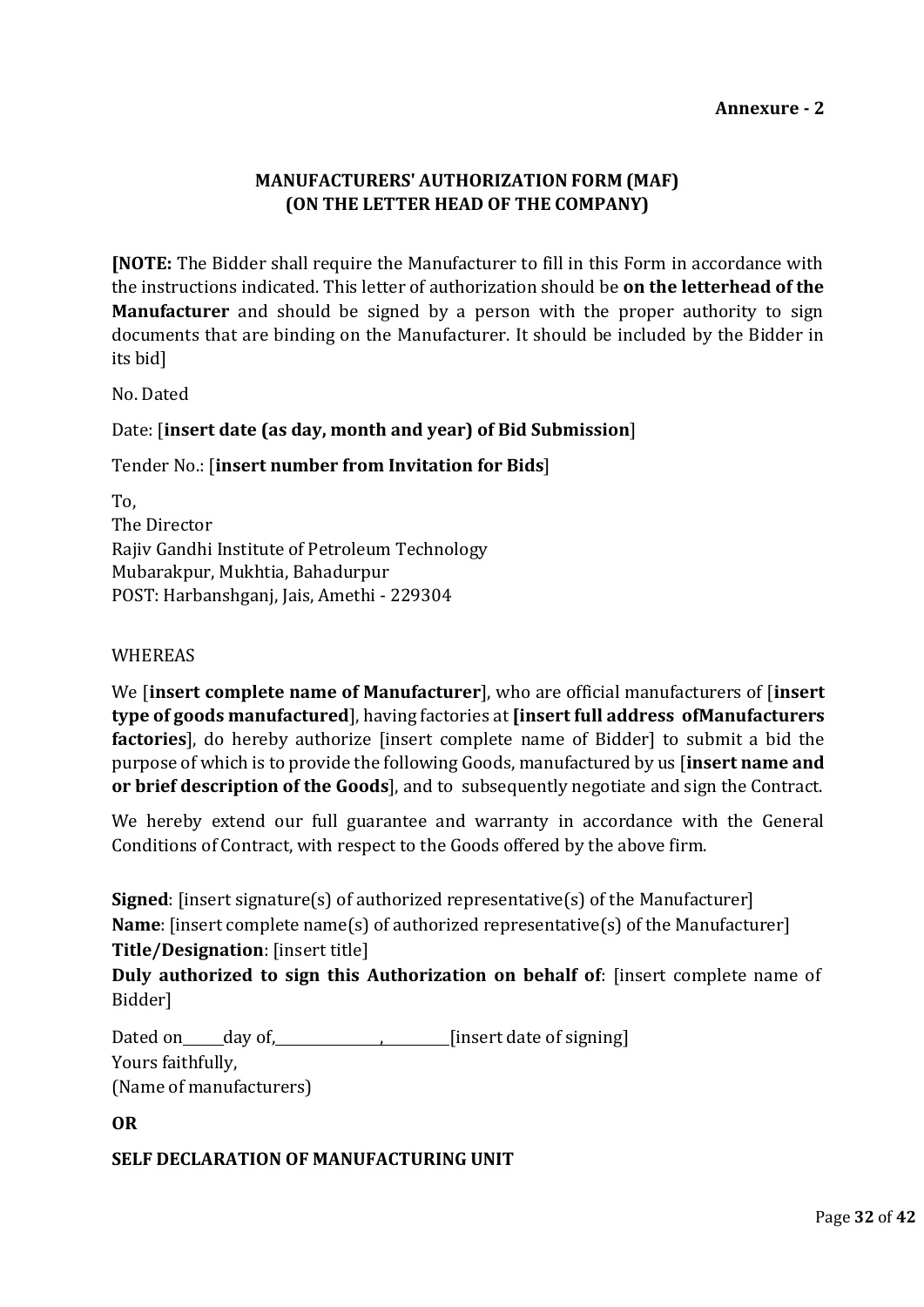# **MANUFACTURERS' AUTHORIZATION FORM (MAF) (ON THE LETTER HEAD OF THE COMPANY)**

**[NOTE:** The Bidder shall require the Manufacturer to fill in this Form in accordance with the instructions indicated. This letter of authorization should be **on the letterhead of the Manufacturer** and should be signed by a person with the proper authority to sign documents that are binding on the Manufacturer. It should be included by the Bidder in its bid]

No. Dated

#### Date: [**insert date (as day, month and year) of Bid Submission**]

#### Tender No.: [**insert number from Invitation for Bids**]

| To,                                            |
|------------------------------------------------|
| The Director                                   |
| Rajiv Gandhi Institute of Petroleum Technology |
| Mubarakpur, Mukhtia, Bahadurpur                |
| POST: Harbanshganj, Jais, Amethi - 229304      |

#### WHEREAS

We [**insert complete name of Manufacturer**], who are official manufacturers of [**insert type of goods manufactured**], having factories at **[insert full address ofManufacturers factories**], do hereby authorize [insert complete name of Bidder] to submit a bid the purpose of which is to provide the following Goods, manufactured by us [**insert name and or brief description of the Goods**], and to subsequently negotiate and sign the Contract.

We hereby extend our full guarantee and warranty in accordance with the General Conditions of Contract, with respect to the Goods offered by the above firm.

**Signed**: [insert signature(s) of authorized representative(s) of the Manufacturer] **Name**: [insert complete name(s) of authorized representative(s) of the Manufacturer] **Title/Designation**: [insert title]

**Duly authorized to sign this Authorization on behalf of**: [insert complete name of Bidder]

Dated on day of, , [insert date of signing] Yours faithfully, (Name of manufacturers)

**OR**

#### **SELF DECLARATION OF MANUFACTURING UNIT**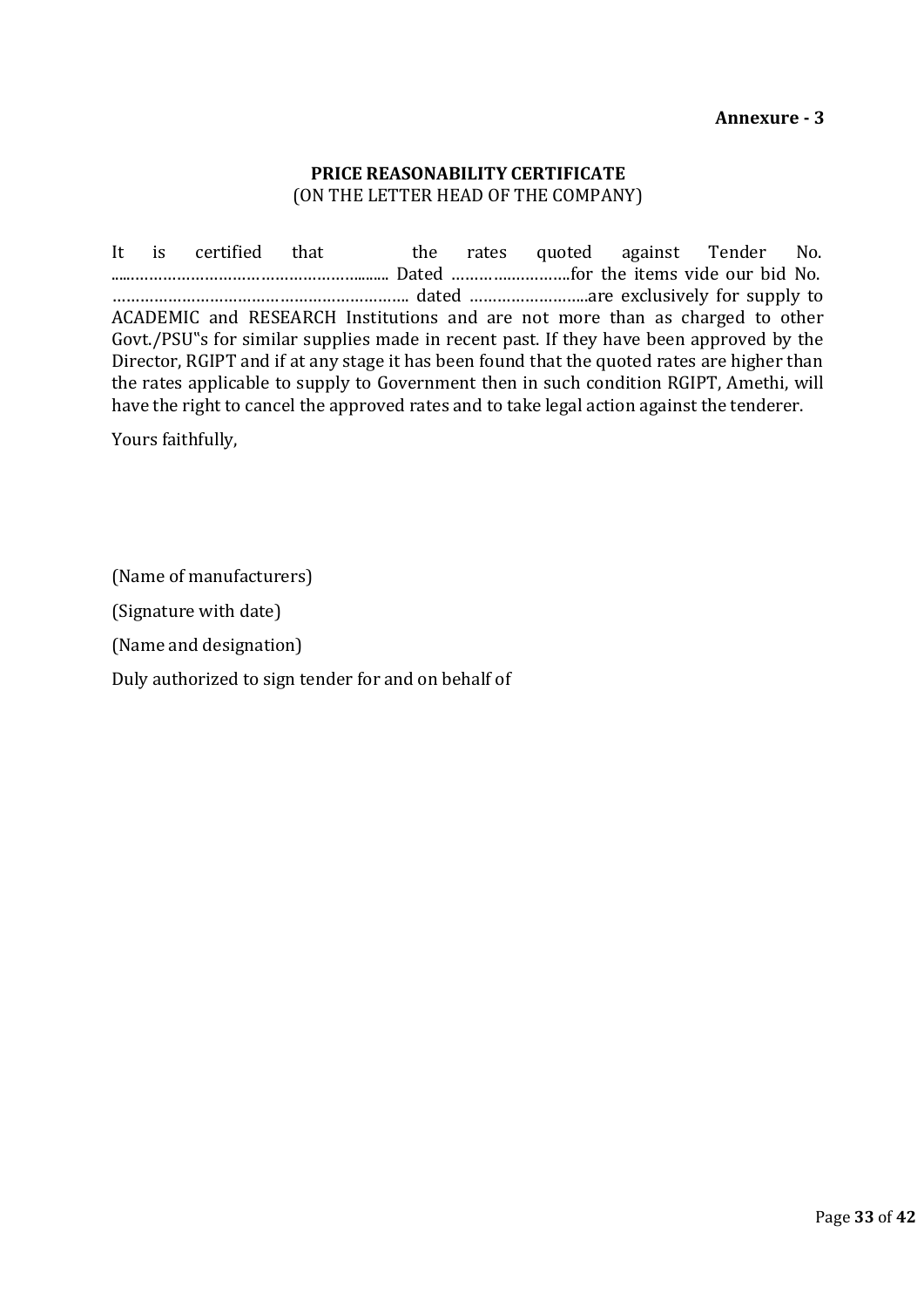#### **PRICE REASONABILITY CERTIFICATE** (ON THE LETTER HEAD OF THE COMPANY)

It is certified that the rates quoted against Tender No. ......…………………………………………........ Dated …………….……….for the items vide our bid No. ………………………………………………………. dated ……………………..are exclusively for supply to ACADEMIC and RESEARCH Institutions and are not more than as charged to other Govt./PSU"s for similar supplies made in recent past. If they have been approved by the Director, RGIPT and if at any stage it has been found that the quoted rates are higher than the rates applicable to supply to Government then in such condition RGIPT, Amethi, will have the right to cancel the approved rates and to take legal action against the tenderer.

Yours faithfully,

(Name of manufacturers)

(Signature with date)

(Name and designation)

Duly authorized to sign tender for and on behalf of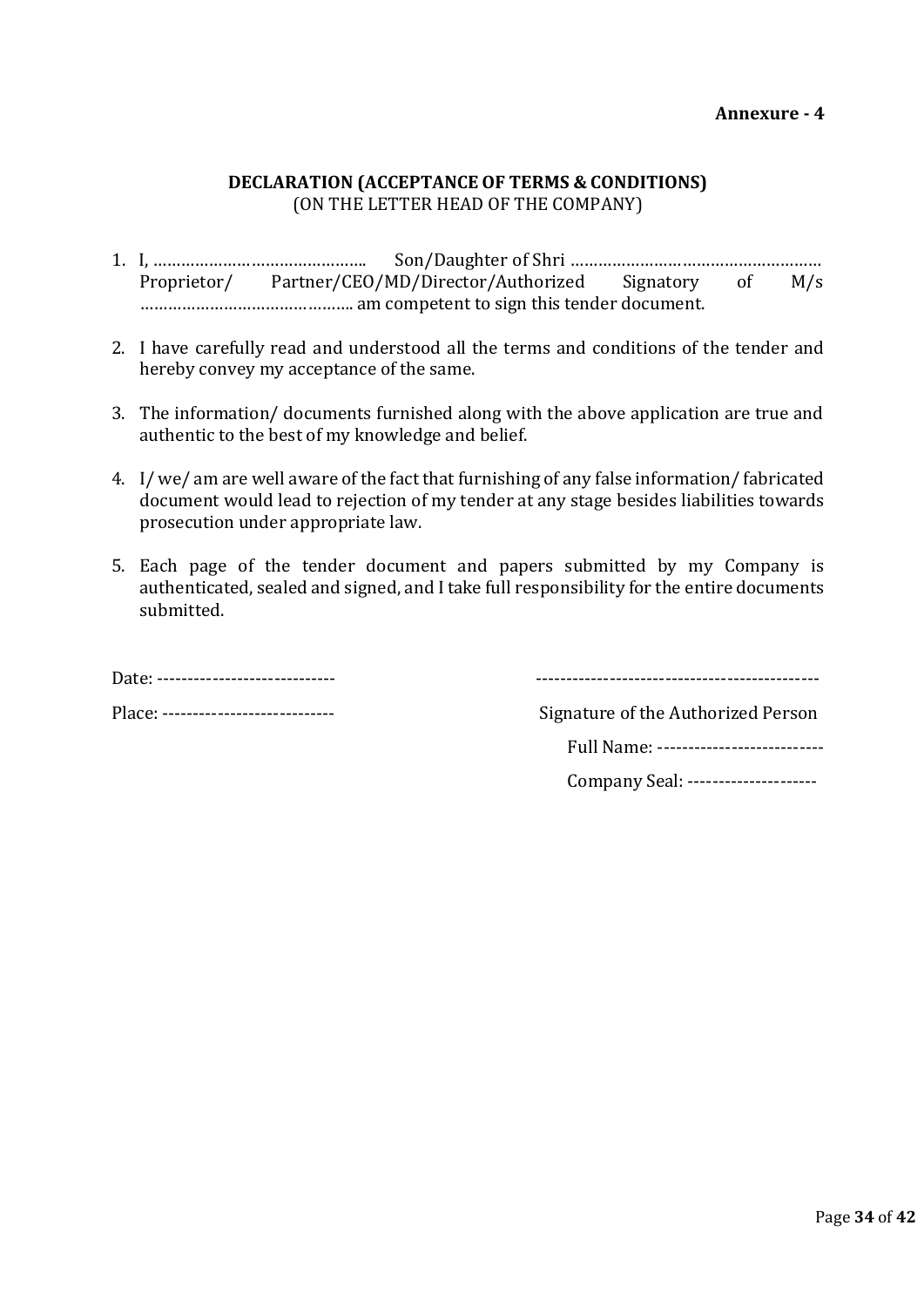# **DECLARATION (ACCEPTANCE OF TERMS & CONDITIONS)** (ON THE LETTER HEAD OF THE COMPANY)

- 1. I, ………………………………………. Son/Daughter of Shri ……………………………………………… Proprietor/ Partner/CEO/MD/Director/Authorized Signatory of M/s ………………………………………. am competent to sign this tender document.
- 2. I have carefully read and understood all the terms and conditions of the tender and hereby convey my acceptance of the same.
- 3. The information/ documents furnished along with the above application are true and authentic to the best of my knowledge and belief.
- 4. I/ we/ am are well aware of the fact that furnishing of any false information/ fabricated document would lead to rejection of my tender at any stage besides liabilities towards prosecution under appropriate law.
- 5. Each page of the tender document and papers submitted by my Company is authenticated, sealed and signed, and I take full responsibility for the entire documents submitted.

Date: ‐‐‐‐‐‐‐‐‐‐‐‐‐‐‐‐‐‐‐‐‐‐‐‐‐‐‐‐‐ ‐‐‐‐‐‐‐‐‐‐‐‐‐‐‐‐‐‐‐‐‐‐‐‐‐‐‐‐‐‐‐‐‐‐‐‐‐‐‐‐‐‐‐‐‐‐

Place: ‐‐‐‐‐‐‐‐‐‐‐‐‐‐‐‐‐‐‐‐‐‐‐‐‐‐‐‐ Signature of the Authorized Person

Full Name: ----------------------------

Company Seal: ----------------------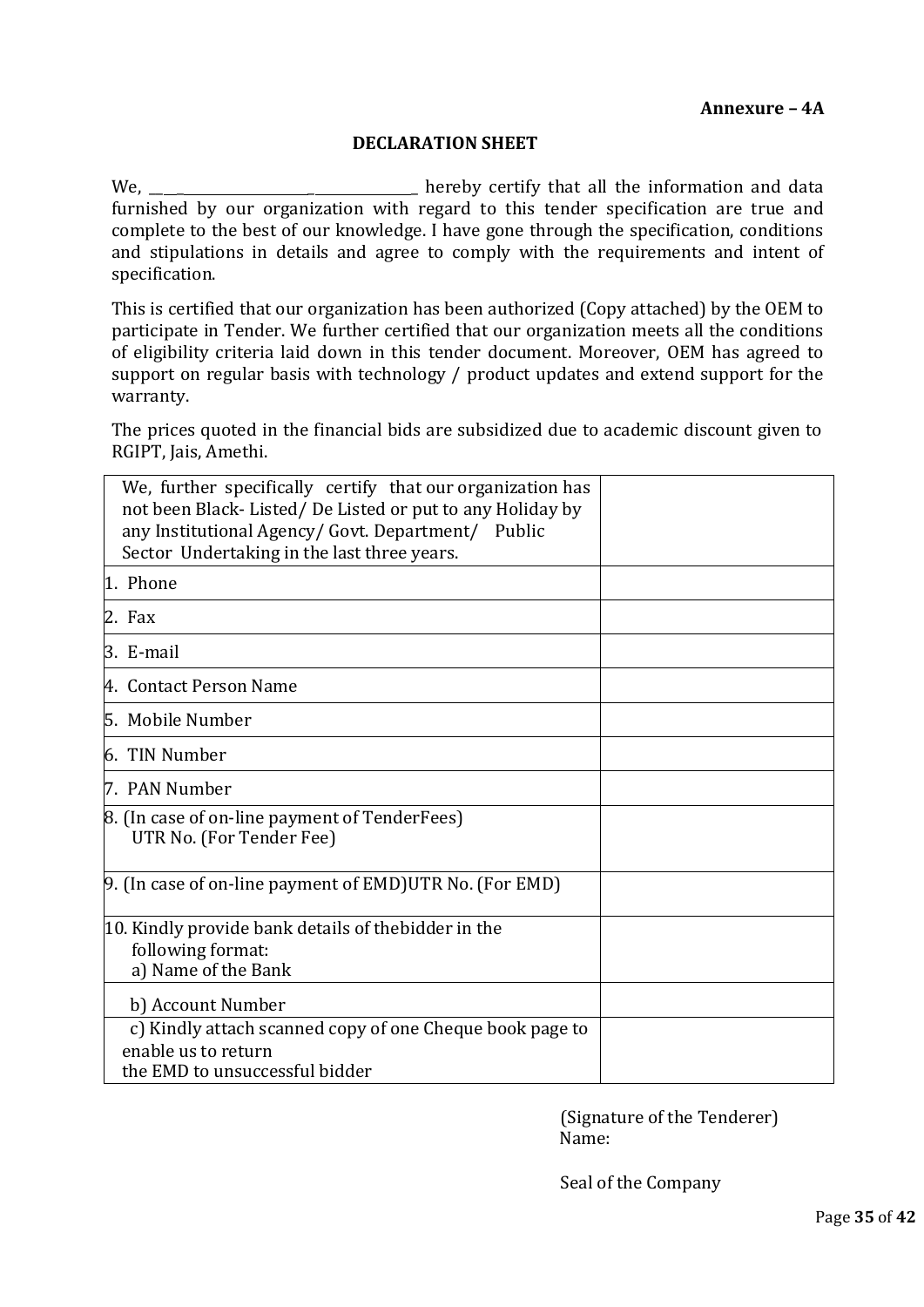#### **DECLARATION SHEET**

We, \_\_ \_ \_ \_ hereby certify that all the information and data furnished by our organization with regard to this tender specification are true and complete to the best of our knowledge. I have gone through the specification, conditions and stipulations in details and agree to comply with the requirements and intent of specification.

This is certified that our organization has been authorized (Copy attached) by the OEM to participate in Tender. We further certified that our organization meets all the conditions of eligibility criteria laid down in this tender document. Moreover, OEM has agreed to support on regular basis with technology / product updates and extend support for the warranty.

The prices quoted in the financial bids are subsidized due to academic discount given to RGIPT, Jais, Amethi.

| We, further specifically certify that our organization has<br>not been Black-Listed/De Listed or put to any Holiday by<br>any Institutional Agency/ Govt. Department/ Public<br>Sector Undertaking in the last three years. |  |
|-----------------------------------------------------------------------------------------------------------------------------------------------------------------------------------------------------------------------------|--|
| 1. Phone                                                                                                                                                                                                                    |  |
| 2. Fax                                                                                                                                                                                                                      |  |
| 3. E-mail                                                                                                                                                                                                                   |  |
| 4. Contact Person Name                                                                                                                                                                                                      |  |
| 5. Mobile Number                                                                                                                                                                                                            |  |
| 6. TIN Number                                                                                                                                                                                                               |  |
| 7. PAN Number                                                                                                                                                                                                               |  |
| 8. (In case of on-line payment of TenderFees)<br>UTR No. (For Tender Fee)                                                                                                                                                   |  |
| 9. (In case of on-line payment of EMD) UTR No. (For EMD)                                                                                                                                                                    |  |
| 10. Kindly provide bank details of thebidder in the<br>following format:<br>a) Name of the Bank                                                                                                                             |  |
| b) Account Number                                                                                                                                                                                                           |  |
| c) Kindly attach scanned copy of one Cheque book page to                                                                                                                                                                    |  |
| enable us to return<br>the EMD to unsuccessful bidder                                                                                                                                                                       |  |

(Signature of the Tenderer) Name:

Seal of the Company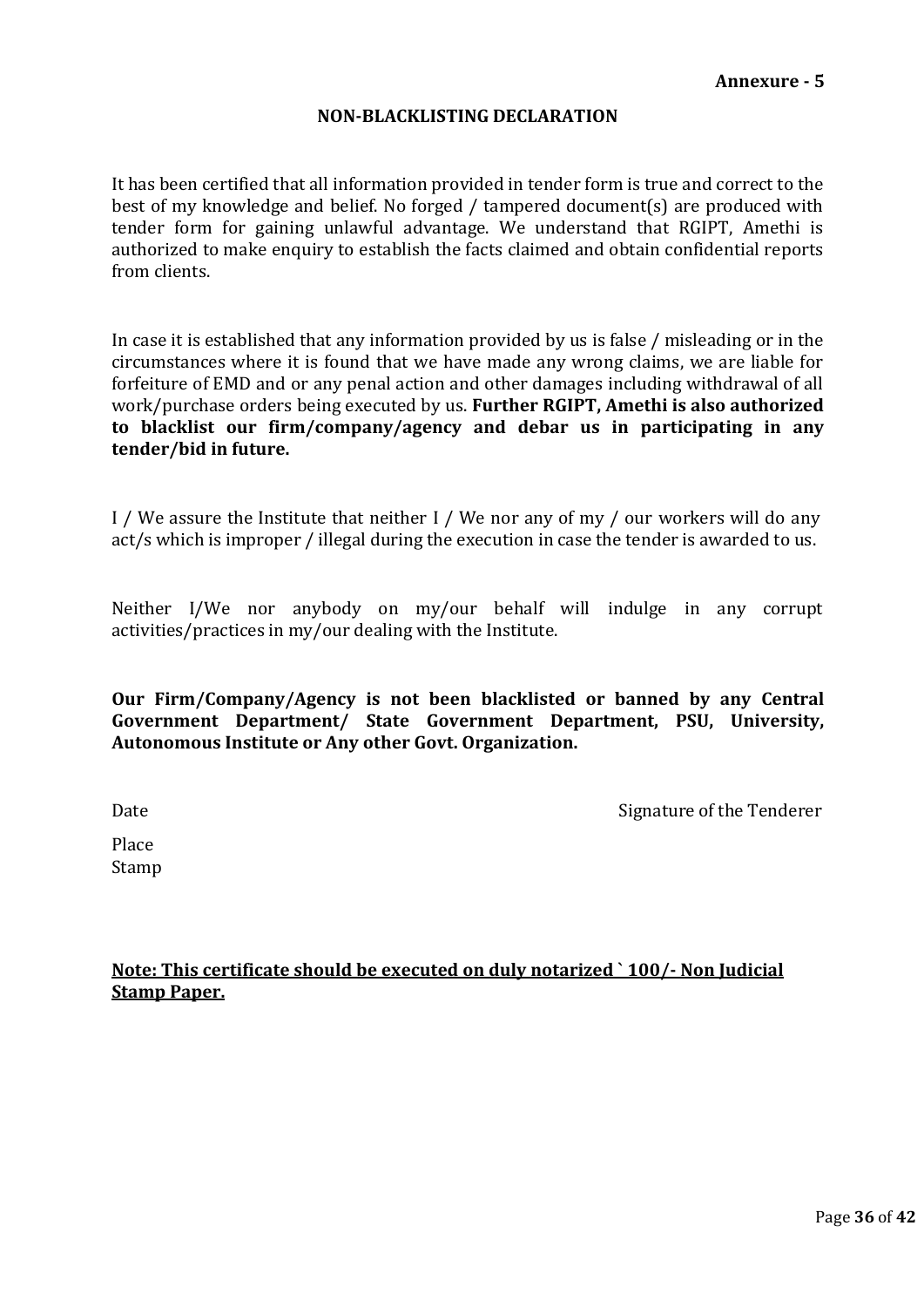#### **NON-BLACKLISTING DECLARATION**

It has been certified that all information provided in tender form is true and correct to the best of my knowledge and belief. No forged / tampered document(s) are produced with tender form for gaining unlawful advantage. We understand that RGIPT, Amethi is authorized to make enquiry to establish the facts claimed and obtain confidential reports from clients.

In case it is established that any information provided by us is false / misleading or in the circumstances where it is found that we have made any wrong claims, we are liable for forfeiture of EMD and or any penal action and other damages including withdrawal of all work/purchase orders being executed by us. **Further RGIPT, Amethi is also authorized to blacklist our firm/company/agency and debar us in participating in any tender/bid in future.**

I / We assure the Institute that neither I / We nor any of my / our workers will do any act/s which is improper / illegal during the execution in case the tender is awarded to us.

Neither I/We nor anybody on my/our behalf will indulge in any corrupt activities/practices in my/our dealing with the Institute.

**Our Firm/Company/Agency is not been blacklisted or banned by any Central Government Department/ State Government Department, PSU, University, Autonomous Institute or Any other Govt. Organization.**

Date **Signature of the Tenderer** Signature of the Tenderer

Place Stamp

**Note: This certificate should be executed on duly notarized ` 100/- Non Judicial Stamp Paper.**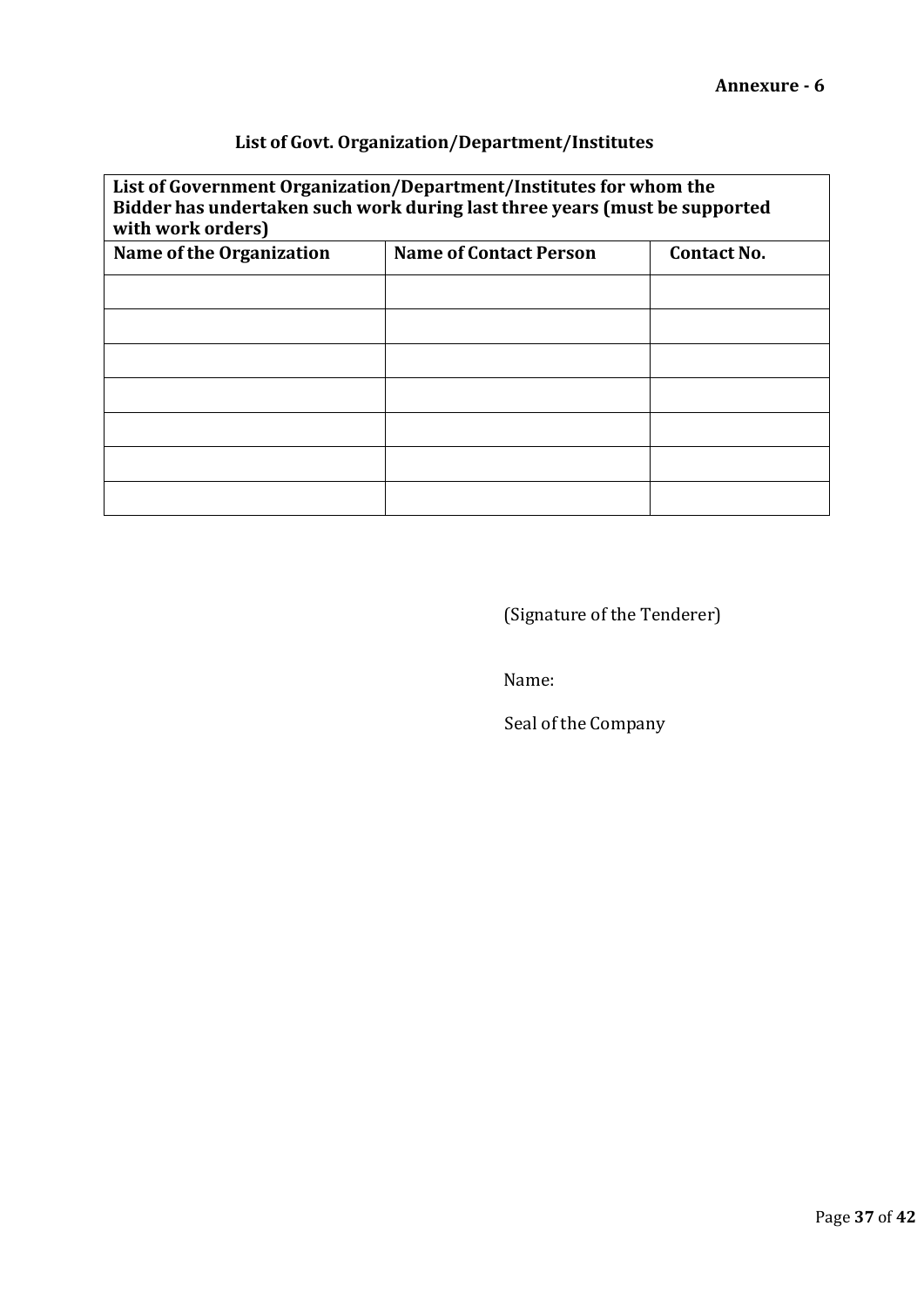# **List of Govt. Organization/Department/Institutes**

# **List of Government Organization/Department/Institutes for whom the Bidder has undertaken such work during last three years (must be supported with work orders)**

| $m$ $m$ $m$ $m$ $m$ $m$         |                               |                    |  |  |
|---------------------------------|-------------------------------|--------------------|--|--|
| <b>Name of the Organization</b> | <b>Name of Contact Person</b> | <b>Contact No.</b> |  |  |
|                                 |                               |                    |  |  |
|                                 |                               |                    |  |  |
|                                 |                               |                    |  |  |
|                                 |                               |                    |  |  |
|                                 |                               |                    |  |  |
|                                 |                               |                    |  |  |
|                                 |                               |                    |  |  |

(Signature of the Tenderer)

Name:

Seal of the Company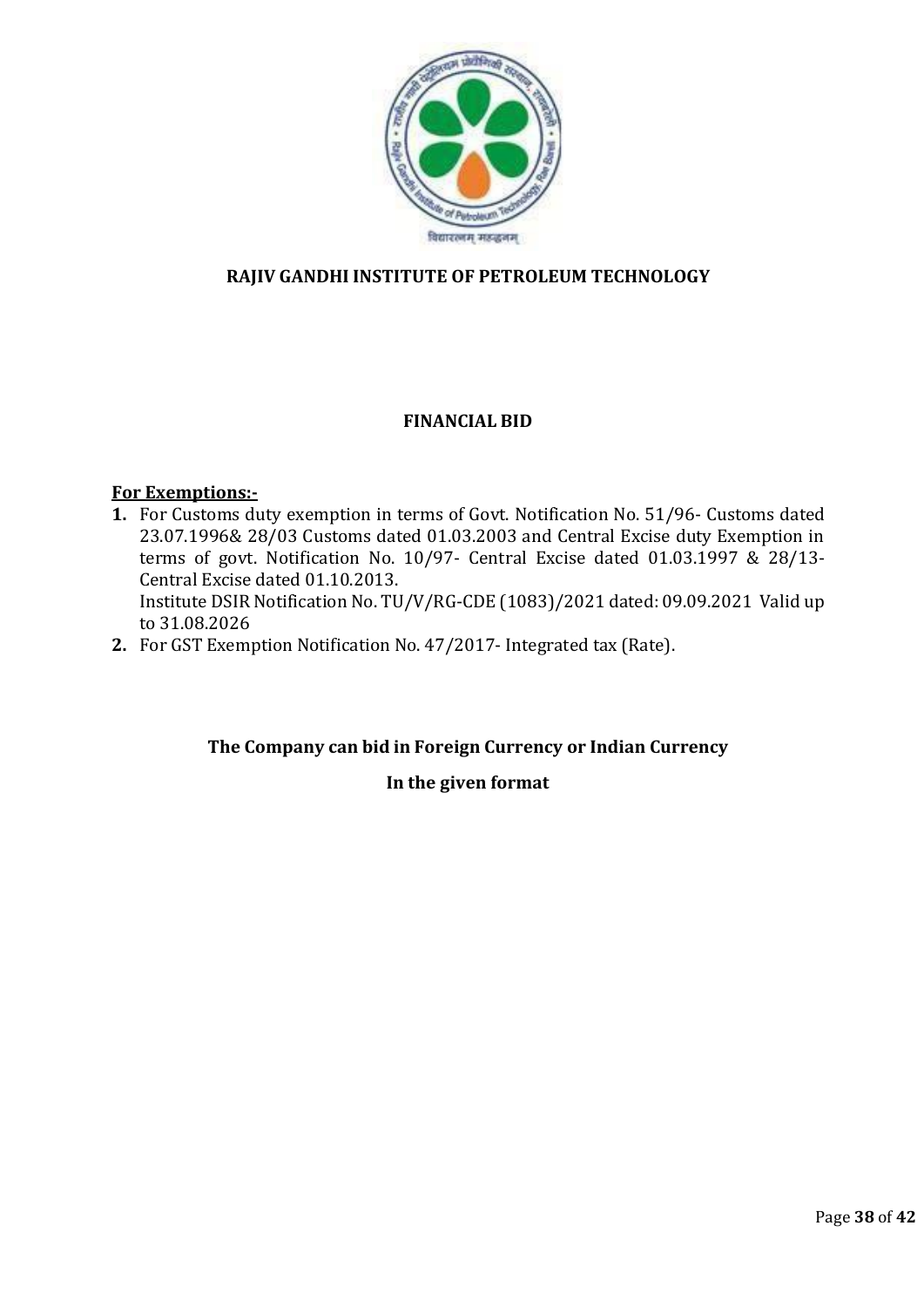

# **RAJIV GANDHI INSTITUTE OF PETROLEUM TECHNOLOGY**

# **FINANCIAL BID**

# **For Exemptions:-**

- **1.** For Customs duty exemption in terms of Govt. Notification No. 51/96- Customs dated 23.07.1996& 28/03 Customs dated 01.03.2003 and Central Excise duty Exemption in terms of govt. Notification No. 10/97- Central Excise dated 01.03.1997  $\&$  28/13-Central Excise dated 01.10.2013. Institute DSIR Notification No. TU/V/RG-CDE (1083)/2021 dated: 09.09.2021 Valid up to 31.08.2026
- **2.** For GST Exemption Notification No. 47/2017- Integrated tax (Rate).

# **The Company can bid in Foreign Currency or Indian Currency**

# **In the given format**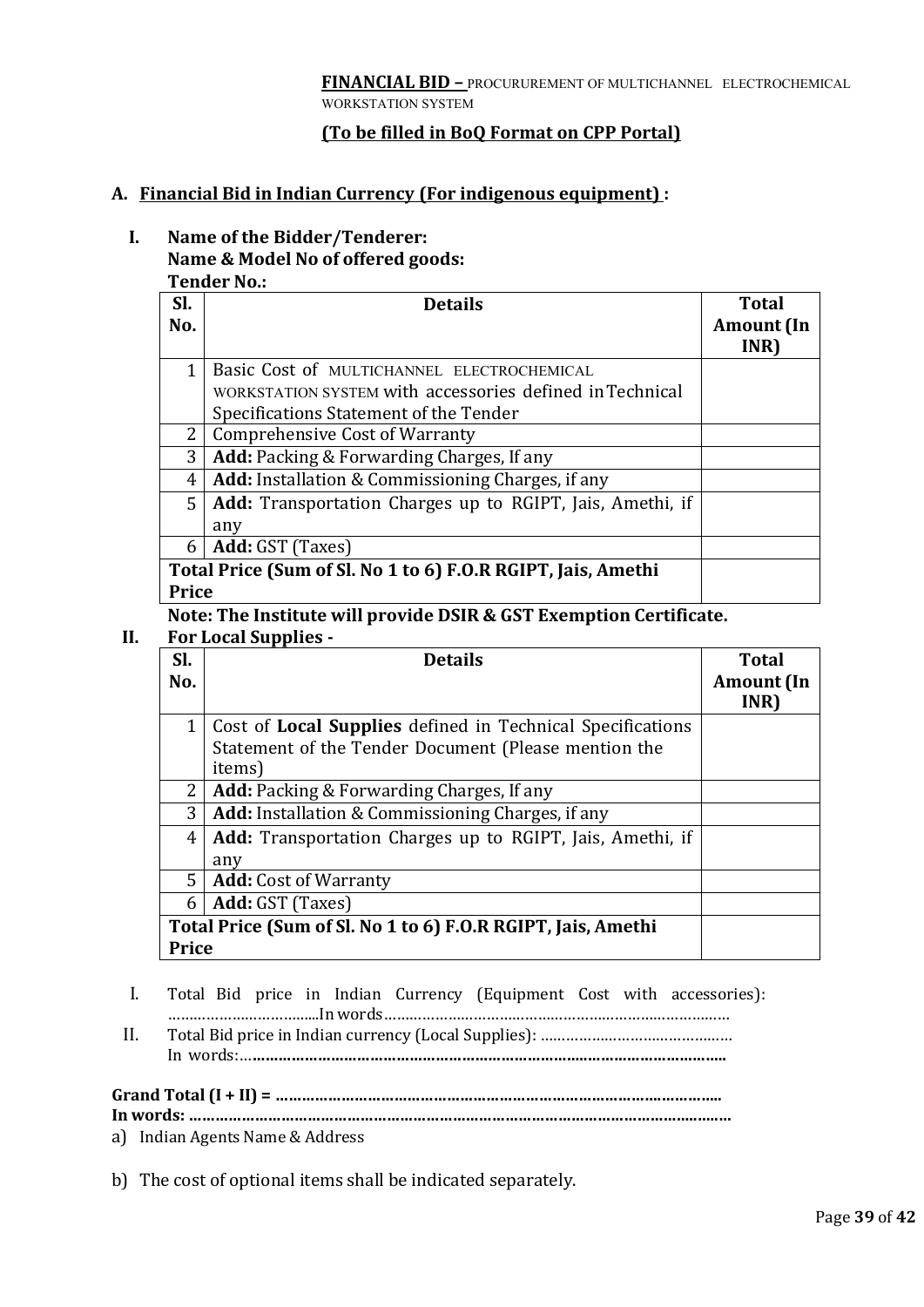#### **(To be filled in BoQ Format on CPP Portal)**

#### **A. Financial Bid in Indian Currency (For indigenous equipment) :**

#### **I. Name of the Bidder/Tenderer: Name & Model No of offered goods: Tender No.:**

| Tengel No                                                    |                                                                  |                   |  |  |
|--------------------------------------------------------------|------------------------------------------------------------------|-------------------|--|--|
| SI.                                                          | <b>Details</b>                                                   | <b>Total</b>      |  |  |
| No.                                                          |                                                                  | <b>Amount</b> (In |  |  |
|                                                              |                                                                  | INR)              |  |  |
| 1                                                            | Basic Cost of MULTICHANNEL ELECTROCHEMICAL                       |                   |  |  |
|                                                              | WORKSTATION SYSTEM with accessories defined in Technical         |                   |  |  |
|                                                              | Specifications Statement of the Tender                           |                   |  |  |
| 2                                                            | <b>Comprehensive Cost of Warranty</b>                            |                   |  |  |
| 3                                                            | <b>Add:</b> Packing & Forwarding Charges, If any                 |                   |  |  |
| 4                                                            | Add: Installation & Commissioning Charges, if any                |                   |  |  |
| 5 <sup>1</sup>                                               | <b>Add:</b> Transportation Charges up to RGIPT, Jais, Amethi, if |                   |  |  |
|                                                              | any                                                              |                   |  |  |
| 6                                                            | Add: GST (Taxes)                                                 |                   |  |  |
| Total Price (Sum of Sl. No 1 to 6) F.O.R RGIPT, Jais, Amethi |                                                                  |                   |  |  |
| Price                                                        |                                                                  |                   |  |  |

#### **Note: The Institute will provide DSIR & GST Exemption Certificate.**

#### **II. For Local Supplies -**

| SI.                                                          | <b>Details</b>                                                    | <b>Total</b>      |
|--------------------------------------------------------------|-------------------------------------------------------------------|-------------------|
| No.                                                          |                                                                   | <b>Amount</b> (In |
|                                                              |                                                                   | INR)              |
|                                                              | Cost of <b>Local Supplies</b> defined in Technical Specifications |                   |
|                                                              | Statement of the Tender Document (Please mention the              |                   |
|                                                              | items)                                                            |                   |
| 2                                                            | <b>Add:</b> Packing & Forwarding Charges, If any                  |                   |
| 3                                                            | <b>Add:</b> Installation & Commissioning Charges, if any          |                   |
| 4                                                            | <b>Add:</b> Transportation Charges up to RGIPT, Jais, Amethi, if  |                   |
|                                                              | any                                                               |                   |
| 5 <sup>1</sup>                                               | <b>Add:</b> Cost of Warranty                                      |                   |
| 6                                                            | Add: GST (Taxes)                                                  |                   |
| Total Price (Sum of Sl. No 1 to 6) F.O.R RGIPT, Jais, Amethi |                                                                   |                   |
| Price                                                        |                                                                   |                   |

- I. Total Bid price in Indian Currency (Equipment Cost with accessories): ……………………………...In words………………………………………………………………………
- II. Total Bid price in Indian currency (Local Supplies): ……………………………………… In words:…**…………………………………………………………………..…………………………..**

#### **Grand Total (I + II) = …………………………………………………………………………….…………..**

**In words: ……………………………………………………………………………………………………..…..…**

a) Indian Agents Name & Address

b) The cost of optional items shall be indicated separately.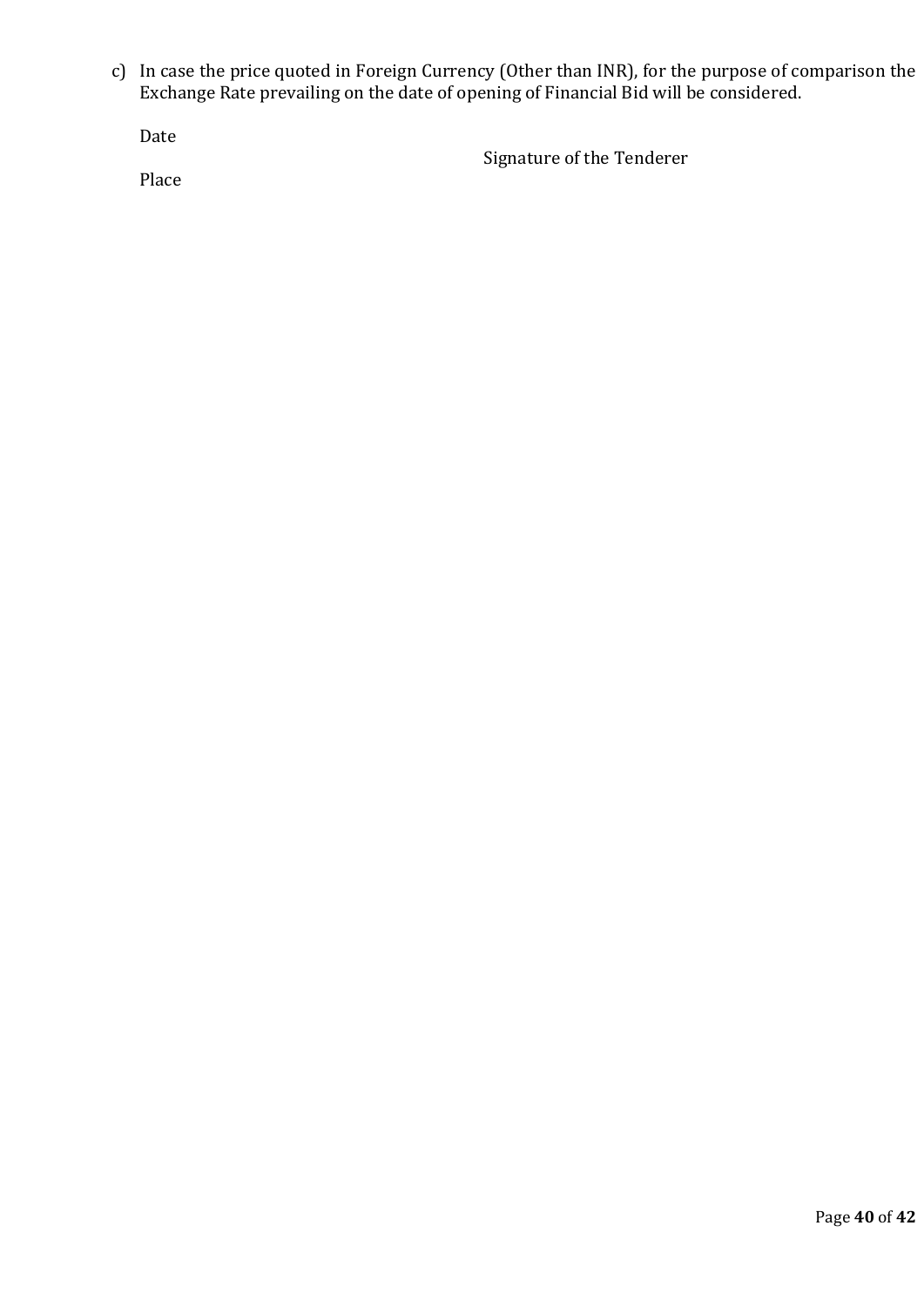c) In case the price quoted in Foreign Currency (Other than INR), for the purpose of comparison the Exchange Rate prevailing on the date of opening of Financial Bid will be considered.

Date

Signature of the Tenderer

Place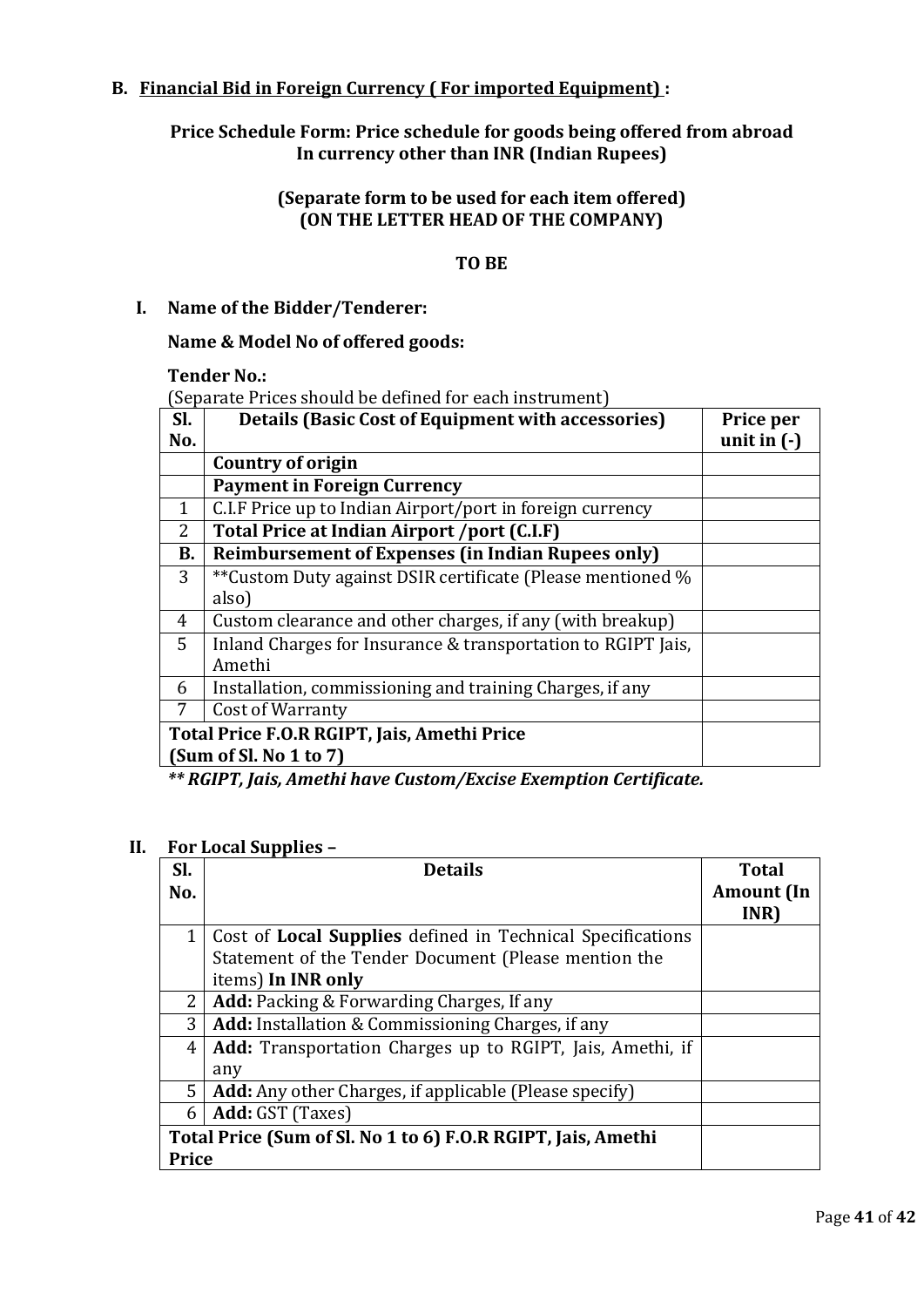# **B. Financial Bid in Foreign Currency ( For imported Equipment) :**

**Price Schedule Form: Price schedule for goods being offered from abroad In currency other than INR (Indian Rupees)**

#### **(Separate form to be used for each item offered) (ON THE LETTER HEAD OF THE COMPANY)**

# **TO BE**

#### **I. Name of the Bidder/Tenderer:**

#### **Name & Model No of offered goods:**

**Tender No.:**

(Separate Prices should be defined for each instrument)

| SI.                                         | <b>Details (Basic Cost of Equipment with accessories)</b>    | Price per     |
|---------------------------------------------|--------------------------------------------------------------|---------------|
| No.                                         |                                                              | unit in $(-)$ |
|                                             | Country of origin                                            |               |
|                                             | <b>Payment in Foreign Currency</b>                           |               |
| $\mathbf{1}$                                | C.I.F Price up to Indian Airport/port in foreign currency    |               |
| 2                                           | Total Price at Indian Airport /port (C.I.F)                  |               |
| <b>B.</b>                                   | <b>Reimbursement of Expenses (in Indian Rupees only)</b>     |               |
| 3                                           | **Custom Duty against DSIR certificate (Please mentioned %   |               |
|                                             | also)                                                        |               |
| 4                                           | Custom clearance and other charges, if any (with breakup)    |               |
| 5                                           | Inland Charges for Insurance & transportation to RGIPT Jais, |               |
|                                             | Amethi                                                       |               |
| 6                                           | Installation, commissioning and training Charges, if any     |               |
| 7                                           | Cost of Warranty                                             |               |
| Total Price F.O.R RGIPT, Jais, Amethi Price |                                                              |               |
| (Sum of Sl. No 1 to 7)                      |                                                              |               |

*\*\* RGIPT, Jais, Amethi have Custom/Excise Exemption Certificate.*

#### **II. For Local Supplies –**

| SI.          | <b>Details</b>                                                   | <b>Total</b>      |
|--------------|------------------------------------------------------------------|-------------------|
| No.          |                                                                  | <b>Amount</b> (In |
|              |                                                                  | INR)              |
| 1            | Cost of Local Supplies defined in Technical Specifications       |                   |
|              | Statement of the Tender Document (Please mention the             |                   |
|              | items) In INR only                                               |                   |
| $\mathbf{2}$ | <b>Add:</b> Packing & Forwarding Charges, If any                 |                   |
| 3            | <b>Add:</b> Installation & Commissioning Charges, if any         |                   |
| 4            | <b>Add:</b> Transportation Charges up to RGIPT, Jais, Amethi, if |                   |
|              | any                                                              |                   |
| 5.           | <b>Add:</b> Any other Charges, if applicable (Please specify)    |                   |
| 6            | Add: GST (Taxes)                                                 |                   |
|              | Total Price (Sum of Sl. No 1 to 6) F.O.R RGIPT, Jais, Amethi     |                   |
| <b>Price</b> |                                                                  |                   |